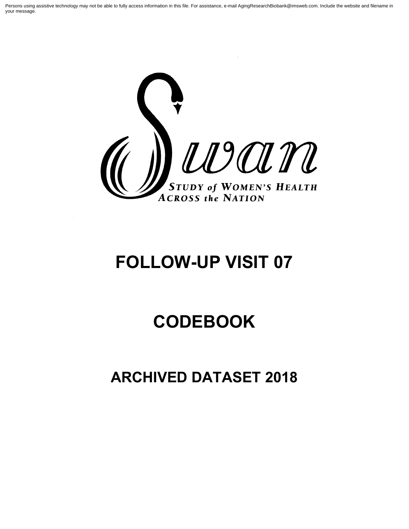Persons using assistive technology may not be able to fully access information in this file. For assistance, e-mail AgingResearchBiobank@imsweb.com. Include the website and filename in your message.



## **FOLLOW-UP VISIT 07**

# **CODEBOOK**

**ARCHIVED DATASET 2018**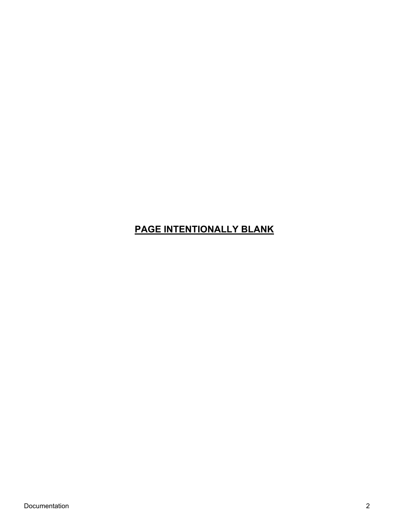### **PAGE INTENTIONALLY BLANK**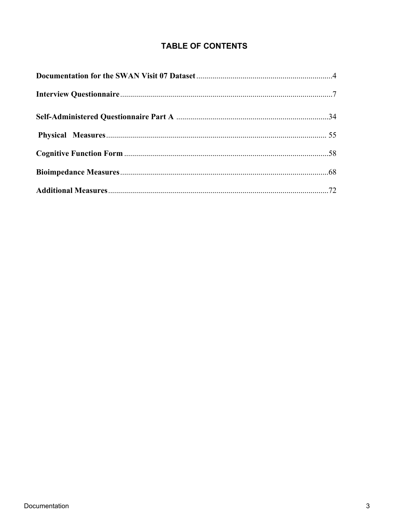### **TABLE OF CONTENTS**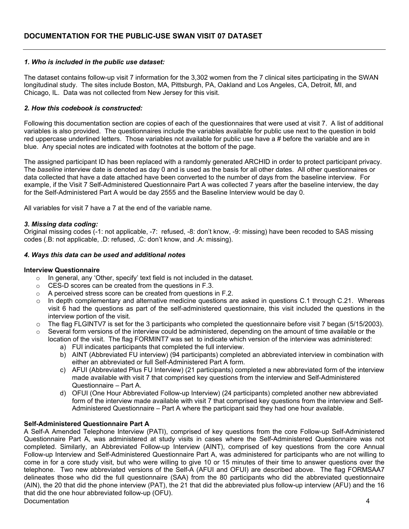### *1. Who is included in the public use dataset:*

The dataset contains follow-up visit 7 information for the 3,302 women from the 7 clinical sites participating in the SWAN longitudinal study. The sites include Boston, MA, Pittsburgh, PA, Oakland and Los Angeles, CA, Detroit, MI, and Chicago, IL. Data was not collected from New Jersey for this visit.

### *2. How this codebook is constructed:*

Following this documentation section are copies of each of the questionnaires that were used at visit 7. A list of additional variables is also provided. The questionnaires include the variables available for public use next to the question in bold red uppercase underlined letters. Those variables not available for public use have a # before the variable and are in blue. Any special notes are indicated with footnotes at the bottom of the page.

The assigned participant ID has been replaced with a randomly generated ARCHID in order to protect participant privacy. The *baseline* interview date is denoted as day 0 and is used as the basis for all other dates. All other questionnaires or data collected that have a date attached have been converted to the number of days from the baseline interview. For example, if the Visit 7 Self-Administered Questionnaire Part A was collected 7 years after the baseline interview, the day for the Self-Administered Part A would be day 2555 and the Baseline Interview would be day 0.

All variables for visit 7 have a 7 at the end of the variable name.

### *3. Missing data coding:*

Original missing codes (-1: not applicable, -7: refused, -8: don't know, -9: missing) have been recoded to SAS missing codes (.B: not applicable, .D: refused, .C: don't know, and .A: missing).

### *4. Ways this data can be used and additional notes*

### **Interview Questionnaire**

- o In general, any 'Other, specify' text field is not included in the dataset.<br>  $\circ$  CFS-D scores can be created from the questions in F.3
- CES-D scores can be created from the questions in F.3.
- o A perceived stress score can be created from questions in F.2.
- $\circ$  In depth complementary and alternative medicine questions are asked in questions C.1 through C.21. Whereas visit 6 had the questions as part of the self-administered questionnaire, this visit included the questions in the interview portion of the visit.
- $\circ$  The flag FLGINTV7 is set for the 3 participants who completed the questionnaire before visit 7 began (5/15/2003).<br>
Several form versions of the interview could be administered, depending on the amount of time availab
- Several form versions of the interview could be administered, depending on the amount of time available or the location of the visit. The flag FORMINT7 was set to indicate which version of the interview was administered:
	- a) FUI indicates participants that completed the full interview.
	- b) AINT (Abbreviated FU interview) (94 participants) completed an abbreviated interview in combination with either an abbreviated or full Self-Administered Part A form.
	- c) AFUI (Abbreviated Plus FU Interview) (21 participants) completed a new abbreviated form of the interview made available with visit 7 that comprised key questions from the interview and Self-Administered Questionnaire – Part A.
	- d) OFUI (One Hour Abbreviated Follow-up Interview) (24 participants) completed another new abbreviated form of the interview made available with visit 7 that comprised key questions from the interview and Self-Administered Questionnaire – Part A where the participant said they had one hour available.

### **Self-Administered Questionnaire Part A**

Documentation 4 A Self-A Amended Telephone Interview (PATI), comprised of key questions from the core Follow-up Self-Administered Questionnaire Part A, was administered at study visits in cases where the Self-Administered Questionnaire was not completed. Similarly, an Abbreviated Follow-up Interview (AINT), comprised of key questions from the core Annual Follow-up Interview and Self-Administered Questionnaire Part A, was administered for participants who are not willing to come in for a core study visit, but who were willing to give 10 or 15 minutes of their time to answer questions over the telephone. Two new abbreviated versions of the Self-A (AFUI and OFUI) are described above. The flag FORMSAA7 delineates those who did the full questionnaire (SAA) from the 80 participants who did the abbreviated questionnaire (AIN), the 20 that did the phone interview (PAT), the 21 that did the abbreviated plus follow-up interview (AFU) and the 16 that did the one hour abbreviated follow-up (OFU).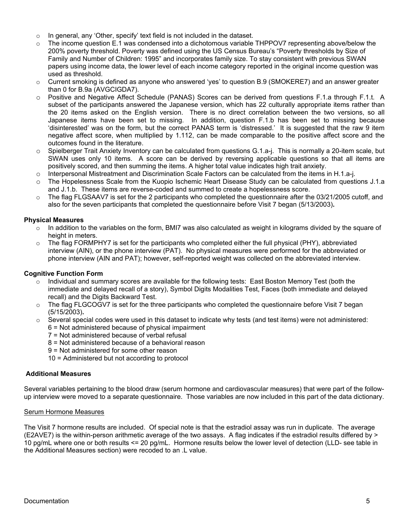- o In general, any 'Other, specify' text field is not included in the dataset.
- $\circ$  The income question E.1 was condensed into a dichotomous variable THPPOV7 representing above/below the 200% poverty threshold. Poverty was defined using the US Census Bureau's "Poverty thresholds by Size of Family and Number of Children: 1995" and incorporates family size. To stay consistent with previous SWAN papers using income data, the lower level of each income category reported in the original income question was used as threshold.
- $\circ$  Current smoking is defined as anyone who answered 'yes' to question B.9 (SMOKERE7) and an answer greater than 0 for B.9a (AVGCIGDA7).
- o Positive and Negative Affect Schedule (PANAS) Scores can be derived from questions F.1.a through F.1.t. A subset of the participants answered the Japanese version, which has 22 culturally appropriate items rather than the 20 items asked on the English version. There is no direct correlation between the two versions, so all Japanese items have been set to missing. In addition, question F.1.b has been set to missing because 'disinterested' was on the form, but the correct PANAS term is 'distressed.' It is suggested that the raw 9 item negative affect score, when multiplied by 1.112, can be made comparable to the positive affect score and the outcomes found in the literature.
- o Spielberger Trait Anxiety Inventory can be calculated from questions G.1.a-j. This is normally a 20-item scale, but SWAN uses only 10 items. A score can be derived by reversing applicable questions so that all items are positively scored, and then summing the items. A higher total value indicates high trait anxiety.
- o Interpersonal Mistreatment and Discrimination Scale Factors can be calculated from the items in H.1.a-j.
- o The Hopelessness Scale from the Kuopio Ischemic Heart Disease Study can be calculated from questions J.1.a and J.1.b. These items are reverse-coded and summed to create a hopelessness score.
- $\circ$  The flag FLGSAAV7 is set for the 2 participants who completed the questionnaire after the 03/21/2005 cutoff, and also for the seven participants that completed the questionnaire before Visit 7 began (5/13/2003)**.**

### **Physical Measures**

- $\circ$  In addition to the variables on the form, BMI7 was also calculated as weight in kilograms divided by the square of height in meters.
- $\circ$  The flag FORMPHY7 is set for the participants who completed either the full physical (PHY), abbreviated interview (AIN), or the phone interview (PAT). No physical measures were performed for the abbreviated or phone interview (AIN and PAT); however, self-reported weight was collected on the abbreviated interview.

### **Cognitive Function Form**

- $\circ$  Individual and summary scores are available for the following tests: East Boston Memory Test (both the immediate and delayed recall of a story), Symbol Digits Modalities Test, Faces (both immediate and delayed recall) and the Digits Backward Test.
- o The flag FLGCOGV7 is set for the three participants who completed the questionnaire before Visit 7 began (5/15/2003)**.**
- o Several special codes were used in this dataset to indicate why tests (and test items) were not administered: 6 = Not administered because of physical impairment
	- 7 = Not administered because of verbal refusal
	- 8 = Not administered because of a behavioral reason
	- 9 = Not administered for some other reason
	- 10 = Administered but not according to protocol

### **Additional Measures**

Several variables pertaining to the blood draw (serum hormone and cardiovascular measures) that were part of the followup interview were moved to a separate questionnaire. Those variables are now included in this part of the data dictionary.

### Serum Hormone Measures

The Visit 7 hormone results are included. Of special note is that the estradiol assay was run in duplicate. The average (E2AVE7) is the within-person arithmetic average of the two assays. A flag indicates if the estradiol results differed by > 10 pg/mL where one or both results <= 20 pg/mL. Hormone results below the lower level of detection (LLD- see table in the Additional Measures section) were recoded to an .L value.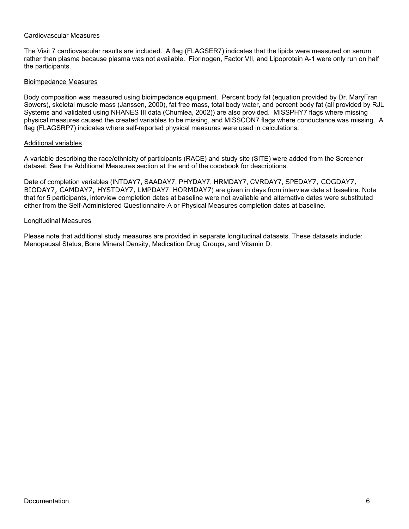#### Cardiovascular Measures

The Visit 7 cardiovascular results are included. A flag (FLAGSER7) indicates that the lipids were measured on serum rather than plasma because plasma was not available. Fibrinogen, Factor VII, and Lipoprotein A-1 were only run on half the participants.

#### Bioimpedance Measures

Body composition was measured using bioimpedance equipment. Percent body fat (equation provided by Dr. MaryFran Sowers), skeletal muscle mass (Janssen, 2000), fat free mass, total body water, and percent body fat (all provided by RJL Systems and validated using NHANES III data (Chumlea, 2002)) are also provided. MISSPHY7 flags where missing physical measures caused the created variables to be missing, and MISSCON7 flags where conductance was missing. A flag (FLAGSRP7) indicates where self-reported physical measures were used in calculations.

#### Additional variables

A variable describing the race/ethnicity of participants (RACE) and study site (SITE) were added from the Screener dataset. See the Additional Measures section at the end of the codebook for descriptions.

Date of completion variables (INTDAY7, SAADAY7, PHYDAY7, HRMDAY7, CVRDAY7, SPEDAY7, COGDAY7, BIODAY7, CAMDAY7, HYSTDAY7, LMPDAY7, HORMDAY7) are given in days from interview date at baseline. Note that for 5 participants, interview completion dates at baseline were not available and alternative dates were substituted either from the Self-Administered Questionnaire-A or Physical Measures completion dates at baseline.

#### Longitudinal Measures

Please note that additional study measures are provided in separate longitudinal datasets. These datasets include: Menopausal Status, Bone Mineral Density, Medication Drug Groups, and Vitamin D.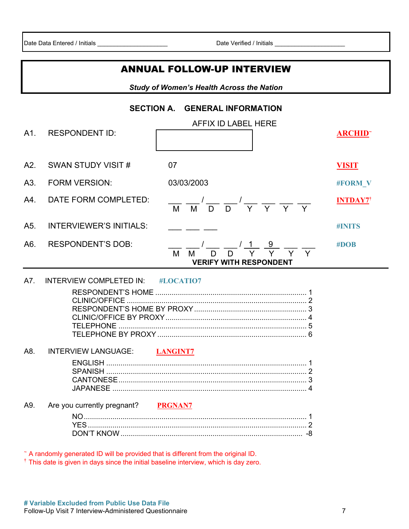### ANNUAL FOLLOW-UP INTERVIEW

*Study of Women's Health Across the Nation*

## **SECTION A. GENERAL INFORMATION** AFFIX ID LABEL HERE A1. RESPONDENT ID: **ARCHID**<sup>~</sup> A2. SWAN STUDY VISIT # 07 **VISIT** A3. FORM VERSION: 03/03/2003 *#FORM\_V* A4. DATE FORM COMPLETED: \_\_\_ \_\_\_ / \_\_\_ \_\_\_ / \_\_\_ \_\_\_ \_\_\_ \_\_\_ **INTDAY7† INTDAY7<sup>†</sup>**  M M D D Y Y Y Y A5. INTERVIEWER'S INITIALS: \_\_\_ \_\_\_ \_\_\_ \_\_\_ \_\_\_ \_\_\_ \_\_\_ #INITS A6. RESPONDENT'S DOB: \_\_\_ \_\_\_ / \_\_\_ \_\_\_ / 1 9 \_\_\_ \_\_\_ **#DOB** M M D D Y Y Y Y **VERIFY WITH RESPONDENT**

| A7. | INTERVIEW COMPLETED IN: #LOCATIO7                                                       |
|-----|-----------------------------------------------------------------------------------------|
|     |                                                                                         |
|     | <b>CLINIC/OFFICE</b>                                                                    |
|     |                                                                                         |
|     |                                                                                         |
|     | TELEPHONE                                                                               |
|     |                                                                                         |
| A8. | <b>INTERVIEW LANGUAGE:</b><br><b>LANGINT7</b>                                           |
|     |                                                                                         |
|     |                                                                                         |
|     |                                                                                         |
|     |                                                                                         |
| A9. | Are you currently pregnant? PRGNAN7                                                     |
|     |                                                                                         |
|     |                                                                                         |
|     |                                                                                         |
|     | المستعمل والمنافي والمتناقص والمستعمل والمتناور والمتناور والمتناور والمستعمر والمتناور |

<sup>~</sup> A randomly generated ID will be provided that is different from the original ID.

**†** This date is given in days since the initial baseline interview, which is day zero.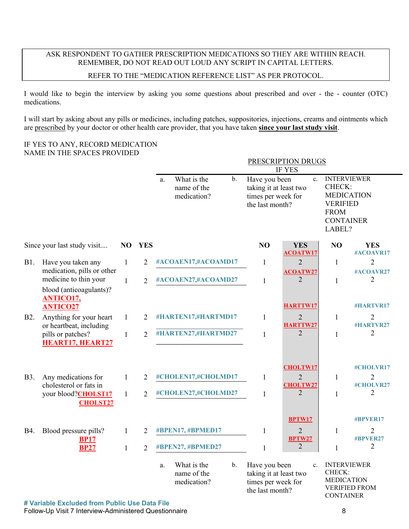### ASK RESPONDENT TO GATHER PRESCRIPTION MEDICATIONS SO THEY ARE WITHIN REACH. REMEMBER, DO NOT READ OUT LOUD ANY SCRIPT IN CAPITAL LETTERS.

### REFER TO THE "MEDICATION REFERENCE LIST" AS PER PROTOCOL.

I would like to begin the interview by asking you some questions about prescribed and over - the - counter (OTC) medications.

I will start by asking about any pills or medicines, including patches, suppositories, injections, creams and ointments which are prescribed by your doctor or other health care provider, that you have taken **since your last study visit**.

### IF YES TO ANY, RECORD MEDICATION NAME IN THE SPACES PROVIDED

|             |                                                                                                                       |                |                |    |                                           |                | PRESCRIPTION DRUGS                                                               |                                                                              |                                                   |                                                                                                    |  |  |
|-------------|-----------------------------------------------------------------------------------------------------------------------|----------------|----------------|----|-------------------------------------------|----------------|----------------------------------------------------------------------------------|------------------------------------------------------------------------------|---------------------------------------------------|----------------------------------------------------------------------------------------------------|--|--|
|             |                                                                                                                       |                |                | a. | What is the<br>name of the<br>medication? | $b$ .          | Have you been<br>the last month?                                                 | <b>IF YES</b><br>$c_{\cdot}$<br>taking it at least two<br>times per week for |                                                   | <b>INTERVIEWER</b><br>CHECK:<br><b>MEDICATION</b><br><b>VERIFIED</b><br><b>CONTAINER</b><br>LABEL? |  |  |
|             | Since your last study visit                                                                                           | N <sub>O</sub> | <b>YES</b>     |    |                                           |                | N <sub>O</sub>                                                                   | <b>YES</b><br><b>ACOATW17</b>                                                | N <sub>O</sub>                                    | <b>YES</b><br>#ACOAVR17                                                                            |  |  |
| <b>B1.</b>  | Have you taken any                                                                                                    | $\mathbf{1}$   | 2              |    | #ACOAEN17,#ACOAMD17                       |                | $\mathbf{1}$                                                                     | $\overline{2}$                                                               | 1                                                 | $\overline{2}$                                                                                     |  |  |
|             | medication, pills or other<br>medicine to thin your<br>blood (anticoagulants)?<br><b>ANTICO17,</b><br><b>ANTICO27</b> | $\mathbf{1}$   | $\overline{2}$ |    | #ACOAEN27,#ACOAMD27                       |                | $\mathbf{1}$                                                                     | <b>ACOATW27</b><br>$\overline{2}$                                            | 1                                                 | #ACOAVR27<br>2                                                                                     |  |  |
|             |                                                                                                                       |                |                |    |                                           |                |                                                                                  | <b>HARTTW17</b>                                                              |                                                   | <b>#HARTVR17</b>                                                                                   |  |  |
| <b>B2.</b>  | Anything for your heart<br>or heartbeat, including<br>pills or patches?<br><b>HEART17, HEART27</b>                    | $\mathbf{1}$   | 2              |    | #HARTEN17,#HARTMD17                       |                | $\mathbf{1}$                                                                     | $\overline{2}$<br><b>HARTTW27</b>                                            | $\mathbf{1}$                                      | 2<br>#HARTVR27                                                                                     |  |  |
|             |                                                                                                                       | $\mathbf{1}$   | $\overline{2}$ |    | #HARTEN27,#HARTMD27                       |                | $\mathbf{1}$                                                                     | $\overline{2}$                                                               | 1                                                 | 2                                                                                                  |  |  |
|             |                                                                                                                       |                |                |    |                                           |                |                                                                                  | <b>CHOLTW17</b>                                                              |                                                   | #CHOLVR17                                                                                          |  |  |
| <b>B</b> 3. | Any medications for<br>cholesterol or fats in                                                                         | $\mathbf{1}$   | 2              |    | #CHOLEN17,#CHOLMD17                       |                | $\mathbf{1}$                                                                     | $\overline{2}$<br><b>CHOLTW27</b>                                            | $\mathbf{1}$                                      | $\overline{2}$<br>#CHOLVR27                                                                        |  |  |
|             | your blood? <b>CHOLST17</b><br><b>CHOLST27</b>                                                                        | $\mathbf{1}$   | $\overline{2}$ |    | #CHOLEN27,#CHOLMD27                       |                | $\mathbf{1}$                                                                     | 2                                                                            | 1                                                 | 2                                                                                                  |  |  |
|             |                                                                                                                       |                |                |    |                                           |                |                                                                                  | <b>BPTW17</b>                                                                |                                                   | <b>#BPVER17</b>                                                                                    |  |  |
| <b>B4.</b>  | Blood pressure pills?<br><b>BP17</b>                                                                                  | 1              | 2              |    | #BPEN17, #BPMED17                         |                | $\mathbf{1}$                                                                     | $\overline{2}$<br>BPTW27                                                     | 1                                                 | $\overline{2}$<br>#BPVER27                                                                         |  |  |
|             | <b>BP27</b>                                                                                                           | $\mathbf{1}$   | $\overline{2}$ |    | #BPEN27, #BPMED27                         |                | $\mathbf{1}$                                                                     | $\overline{2}$                                                               | $\mathbf{1}$                                      | 2                                                                                                  |  |  |
|             |                                                                                                                       |                |                | a. | What is the<br>name of the<br>medication? | $\mathbf{b}$ . | Have you been<br>taking it at least two<br>times per week for<br>the last month? | $\mathbf{c}$ .                                                               | <b>INTERVIEWER</b><br>CHECK:<br><b>MEDICATION</b> | <b>VERIFIED FROM</b>                                                                               |  |  |

CONTAINER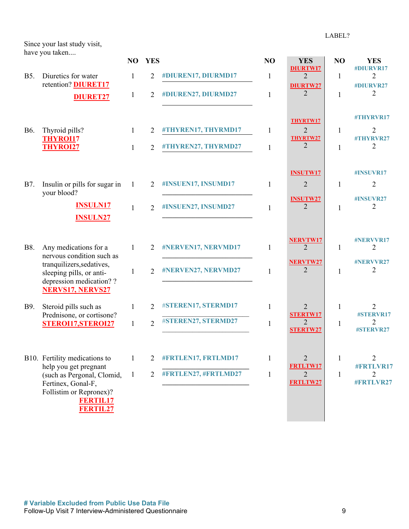Since your last study visit, have you taken....

|            |                                                                                                                                            | NO           | <b>YES</b>     |                         | NO           | <b>YES</b>                                           | NO           | <b>YES</b>                  |
|------------|--------------------------------------------------------------------------------------------------------------------------------------------|--------------|----------------|-------------------------|--------------|------------------------------------------------------|--------------|-----------------------------|
| <b>B5.</b> | Diuretics for water<br>retention? DIURET17                                                                                                 | $\mathbf{1}$ | 2              | #DIUREN17, DIURMD17     | 1            | <b>DIURTWI7</b><br>$\overline{2}$                    | 1            | <b>#DIURVR17</b><br>2       |
|            | <b>DIURET27</b>                                                                                                                            | 1            | 2              | #DIUREN27, DIURMD27     | 1            | <b>DIURTW27</b><br>$\overline{2}$                    | 1            | #DIURVR27<br>2              |
| <b>B6.</b> | Thyroid pills?<br><b>THYROI17</b>                                                                                                          | 1            | 2              | #THYREN17, THYRMD17     | 1            | <b>THYRTW17</b><br>$\overline{2}$<br><b>THYRTW27</b> | 1            | #THYRVR17<br>2<br>#THYRVR27 |
|            | <b>THYROI27</b>                                                                                                                            | $\mathbf{1}$ | 2              | #THYREN27, THYRMD27     | 1            | 2                                                    | 1            | 2                           |
| B7.        | Insulin or pills for sugar in                                                                                                              | 1            | 2              | #INSUEN17, INSUMD17     | 1            | <b>INSUTW17</b><br>$\overline{2}$                    | 1            | #INSUVR17<br>2              |
|            | your blood?                                                                                                                                |              |                |                         |              |                                                      |              |                             |
|            | <b>INSULN17</b><br><b>INSULN27</b>                                                                                                         | $\mathbf{1}$ | $\overline{2}$ | #INSUEN27, INSUMD27     | 1            | <b>INSUTW27</b><br>$\overline{2}$                    | 1            | <b>#INSUVR27</b><br>2       |
|            |                                                                                                                                            |              |                |                         |              |                                                      |              |                             |
| <b>B8.</b> | Any medications for a<br>nervous condition such as                                                                                         | 1            | 2              | #NERVEN17, NERVMD17     | 1            | <b>NERVTW17</b><br>$\overline{2}$                    | 1            | <b>#NERVVR17</b><br>2       |
|            | tranquilizers, sedatives,<br>sleeping pills, or anti-<br>depression medication? ?<br><b>NERVS17, NERVS27</b>                               | $\mathbf{1}$ | $\overline{2}$ | #NERVEN27, NERVMD27     | 1            | <b>NERVTW27</b><br>$\overline{2}$                    | 1            | #NERVVR27<br>2              |
|            |                                                                                                                                            |              |                |                         |              |                                                      |              |                             |
| B9.        | Steroid pills such as<br>Prednisone, or cortisone?                                                                                         | $\mathbf{1}$ | 2              | #STEREN17, STERMD17     | 1            | 2<br><b>STERTW17</b>                                 | 1            | 2<br><b>#STERVR17</b>       |
|            | STEROI17, STEROI27                                                                                                                         | $\mathbf{1}$ | $\overline{2}$ | #STEREN27, STERMD27     | 1            | $\overline{2}$<br><b>STERTW27</b>                    | 1            | 2<br><b>#STERVR27</b>       |
|            | B10. Fertility medications to                                                                                                              |              |                | 1 2 #FRTLEN17, FRTLMD17 | $\mathbf{1}$ | $\overline{2}$<br><b>FRTLTW17</b>                    | $\mathbf{1}$ | $\overline{2}$              |
|            | help you get pregnant<br>(such as Pergonal, Clomid,<br>Fertinex, Gonal-F,<br>Follistim or Repronex)?<br><b>FERTIL17</b><br><b>FERTIL27</b> | $\mathbf{1}$ | 2              | #FRTLEN27, #FRTLMD27    | $\mathbf{1}$ | $\overline{2}$<br><b>FRTLTW27</b>                    | 1            | #FRTLVR17<br>2<br>#FRTLVR27 |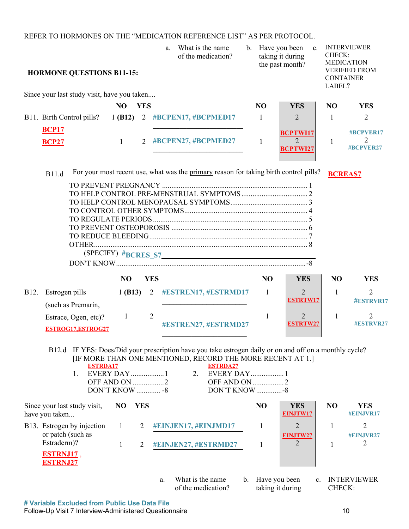### REFER TO HORMONES ON THE "MEDICATION REFERENCE LIST" AS PER PROTOCOL.

|      |                                      | <b>HORMONE QUESTIONS B11-15:</b>                           |                |            | a.             |    | What is the name<br>of the medication? | $\mathbf{b}$ . |                     | Have you been<br>$c_{\cdot}$<br>taking it during<br>the past month?                                     | CHECK:<br><b>CONTAINER</b><br>LABEL? | <b>INTERVIEWER</b><br><b>MEDICATION</b><br><b>VERIFIED FROM</b> |
|------|--------------------------------------|------------------------------------------------------------|----------------|------------|----------------|----|----------------------------------------|----------------|---------------------|---------------------------------------------------------------------------------------------------------|--------------------------------------|-----------------------------------------------------------------|
|      |                                      | Since your last study visit, have you taken                |                |            |                |    |                                        |                |                     |                                                                                                         |                                      |                                                                 |
|      |                                      |                                                            | N <sub>O</sub> | <b>YES</b> |                |    |                                        |                | N <sub>O</sub><br>1 | <b>YES</b><br>2                                                                                         | N <sub>O</sub><br>1                  | <b>YES</b>                                                      |
|      |                                      | B11. Birth Control pills?                                  |                |            |                |    | 1 (B12) 2 #BCPEN17, #BCPMED17          |                |                     |                                                                                                         |                                      | 2                                                               |
|      | <b>BCP17</b>                         |                                                            |                |            |                |    |                                        |                |                     | <b>BCPTWI17</b><br>$\overline{2}$                                                                       |                                      | <b>#BCPVER17</b>                                                |
|      | <b>BCP27</b>                         |                                                            | $\mathbf{1}$   | 2          |                |    | #BCPEN27, #BCPMED27                    |                | 1                   | <b>BCPTWI27</b>                                                                                         | 1                                    | #BCPVER27                                                       |
|      |                                      |                                                            |                |            |                |    |                                        |                |                     |                                                                                                         |                                      |                                                                 |
|      | B11.d                                |                                                            |                |            |                |    |                                        |                |                     | For your most recent use, what was the primary reason for taking birth control pills?                   | <b>BCREAS7</b>                       |                                                                 |
|      |                                      |                                                            |                |            |                |    |                                        |                |                     |                                                                                                         |                                      |                                                                 |
|      |                                      |                                                            |                |            |                |    |                                        |                |                     |                                                                                                         |                                      |                                                                 |
|      |                                      |                                                            |                |            |                |    |                                        |                |                     |                                                                                                         |                                      |                                                                 |
|      |                                      |                                                            |                |            |                |    |                                        |                |                     |                                                                                                         |                                      |                                                                 |
|      |                                      |                                                            |                |            |                |    |                                        |                |                     |                                                                                                         |                                      |                                                                 |
|      |                                      |                                                            |                |            |                |    |                                        |                |                     |                                                                                                         |                                      |                                                                 |
|      |                                      |                                                            |                |            |                |    |                                        |                |                     |                                                                                                         |                                      |                                                                 |
|      |                                      |                                                            |                |            |                |    | $(SPECTY)$ # $BCRES_S7$                |                |                     |                                                                                                         |                                      |                                                                 |
|      |                                      |                                                            |                |            |                |    |                                        |                |                     |                                                                                                         |                                      |                                                                 |
|      |                                      |                                                            | N <sub>O</sub> |            | <b>YES</b>     |    |                                        |                | N <sub>O</sub>      | <b>YES</b>                                                                                              | N <sub>O</sub>                       | <b>YES</b>                                                      |
| B12. | Estrogen pills                       |                                                            | 1 (B13)        |            | 2              |    | #ESTREN17, #ESTRMD17                   |                | 1                   | 2                                                                                                       | 1                                    | 2                                                               |
|      |                                      | (such as Premarin,                                         |                |            |                |    |                                        |                |                     | <b>ESTRTW17</b>                                                                                         |                                      | <b>#ESTRVR17</b>                                                |
|      |                                      | Estrace, Ogen, etc)?                                       | $\mathbf{1}$   |            | $\overline{2}$ |    |                                        |                | 1                   | 2                                                                                                       | 1                                    | 2                                                               |
|      |                                      | ESTROG17,ESTROG27                                          |                |            |                |    | #ESTREN27, #ESTRMD27                   |                |                     | <b>ESTRTW27</b>                                                                                         |                                      | <b>#ESTRVR27</b>                                                |
|      |                                      |                                                            |                |            |                |    |                                        |                |                     |                                                                                                         |                                      |                                                                 |
|      |                                      |                                                            |                |            |                |    |                                        |                |                     | B12.d IF YES: Does/Did your prescription have you take estrogen daily or on and off on a monthly cycle? |                                      |                                                                 |
|      |                                      | [IF MORE THAN ONE MENTIONED, RECORD THE MORE RECENT AT 1.] |                |            |                |    |                                        |                |                     |                                                                                                         |                                      |                                                                 |
|      |                                      | <b>ESTRDA17</b><br>1.                                      | EVERY DAY 1    |            |                | 2. | <b>ESTRDA27</b><br>EVERY DAY1          |                |                     |                                                                                                         |                                      |                                                                 |
|      |                                      |                                                            | OFF AND ON 2   |            |                |    | OFF AND ON 2                           |                |                     |                                                                                                         |                                      |                                                                 |
|      |                                      |                                                            |                |            |                |    | DON'T KNOW -8                          |                |                     |                                                                                                         |                                      |                                                                 |
|      |                                      | Since your last study visit,                               | N <sub>O</sub> | <b>YES</b> |                |    |                                        |                | NO                  | <b>YES</b>                                                                                              | N <sub>O</sub>                       | <b>YES</b>                                                      |
|      | have you taken                       |                                                            |                |            |                |    |                                        |                |                     | <b>EINJTW17</b>                                                                                         |                                      | #EINJVR17                                                       |
|      |                                      | B13. Estrogen by injection                                 | 1              | 2          |                |    | #EINJEN17, #EINJMD17                   |                | 1                   | 2                                                                                                       | 1                                    | 2                                                               |
|      | or patch (such as                    |                                                            |                |            |                |    |                                        |                |                     | EINJTW27                                                                                                |                                      | #EINJVR27                                                       |
|      | Estraderm)?                          |                                                            |                |            |                |    |                                        |                |                     | $\overline{2}$                                                                                          |                                      | 2                                                               |
|      |                                      |                                                            | 1              | 2          |                |    | #EINJEN27, #ESTRMD27                   |                | 1                   |                                                                                                         | 1                                    |                                                                 |
|      | <b>ESTRNJ17</b> ,<br><b>ESTRNJ27</b> |                                                            |                |            |                |    |                                        |                |                     |                                                                                                         |                                      |                                                                 |

of the medication?

**# Variable Excluded from Public Use Data File** Follow-Up Visit 7 Interview-Administered Questionnaire 10

CHECK:

taking it during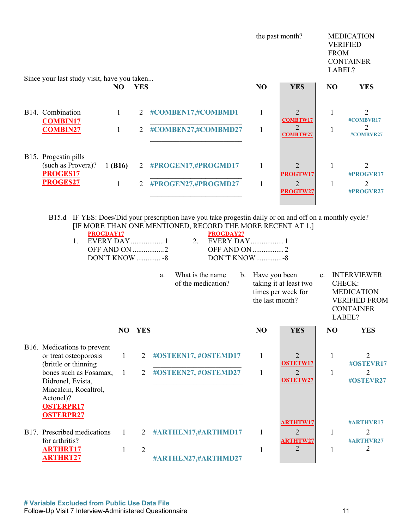|                                             |        |            |                       |                | the past month?                  |    | <b>MEDICATION</b><br><b>VERIFIED</b><br><b>FROM</b><br><b>CONTAINER</b><br>LABEL? |
|---------------------------------------------|--------|------------|-----------------------|----------------|----------------------------------|----|-----------------------------------------------------------------------------------|
| Since your last study visit, have you taken | NO.    | <b>YES</b> |                       | N <sub>O</sub> | <b>YES</b>                       | NO | <b>YES</b>                                                                        |
| B14. Combination<br><b>COMBIN17</b>         |        | 2          | #COMBEN17,#COMBMD1    |                | $\mathcal{D}$<br><b>COMBTW17</b> |    | $\mathcal{D}$<br>#COMBVR17                                                        |
| <b>COMBIN27</b>                             | 1      | 2          | #COMBEN27,#COMBMD27   |                | <b>COMBTW27</b>                  |    | 2<br>#COMBVR27                                                                    |
| B15. Progestin pills                        |        |            |                       |                |                                  |    |                                                                                   |
| (such as Provera)?<br>PROGES17              | 1(B16) |            | 2 #PROGEN17,#PROGMD17 | 1              | 2<br>PROGTW17                    |    | 2<br>#PROGVR17                                                                    |
| PROGES27                                    | 1      | 2          | #PROGEN27,#PROGMD27   | 1              | $\overline{2}$<br>PROGTW27       |    | 2<br>#PROGVR27                                                                    |

B15.d IF YES: Does/Did your prescription have you take progestin daily or on and off on a monthly cycle? [IF MORE THAN ONE MENTIONED, RECORD THE MORE RECENT AT 1.]

| PROGDAY17<br><b>EVERY DAY</b> 1<br>1.<br>OFF AND ON 2                                                                     |              |                | a. | PROGDAY27<br>2.<br>What is the name<br>of the medication? | b. | <b>EVERY DAY 1</b><br>OFF AND ON 2<br>DON'T KNOW -8<br>Have you been<br>the last month? | taking it at least two<br>times per week for   | $\mathbf{c}$ . | <b>INTERVIEWER</b><br>CHECK:<br><b>MEDICATION</b><br><b>VERIFIED FROM</b><br><b>CONTAINER</b><br>LABEL? |
|---------------------------------------------------------------------------------------------------------------------------|--------------|----------------|----|-----------------------------------------------------------|----|-----------------------------------------------------------------------------------------|------------------------------------------------|----------------|---------------------------------------------------------------------------------------------------------|
|                                                                                                                           | NO.          | <b>YES</b>     |    |                                                           |    | N <sub>O</sub>                                                                          | <b>YES</b>                                     | N <sub>O</sub> | <b>YES</b>                                                                                              |
| B16. Medications to prevent<br>or treat osteoporosis<br>(brittle or thinning                                              | $\mathbf{1}$ | 2              |    | #OSTEEN17, #OSTEMD17                                      |    | 1                                                                                       | $\mathcal{D}_{\mathcal{L}}$<br><b>OSTETW17</b> |                | 2<br><b>#OSTEVR17</b>                                                                                   |
| bones such as Fosamax,<br>Didronel, Evista,<br>Miacalcin, Rocaltrol,<br>Actonel)?<br><b>OSTERPR17</b><br><b>OSTERPR27</b> | $\mathbf{1}$ |                |    | 2 #OSTEEN27, #OSTEMD27                                    |    | 1                                                                                       | $\overline{2}$<br><b>OSTETW27</b>              |                | $\overline{2}$<br>#OSTEVR27                                                                             |
| B17. Prescribed medications                                                                                               | $\mathbf{1}$ | 2              |    | #ARTHEN17,#ARTHMD17                                       |    | 1                                                                                       | <b>ARTHTW17</b><br>$\overline{2}$              |                | <b>#ARTHVR17</b><br>$\overline{2}$                                                                      |
| for arthritis?<br>ARTHRT17<br><b>ARTHRT27</b>                                                                             | 1            | $\overline{2}$ |    | #ARTHEN27,#ARTHMD27                                       |    |                                                                                         | <b>ARTHTW27</b><br>$\overline{2}$              |                | <b>#ARTHVR27</b><br>2                                                                                   |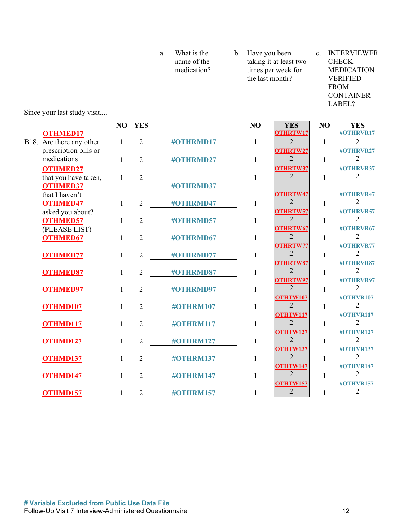| a. | What is the<br>name of the<br>medication? |  | b. Have you been<br>taking it at least two<br>times per week for<br>the last month? |  | c. INTERVIEWER<br>CHECK:<br><b>MEDICATION</b><br><b>VERIFIED</b><br><b>FROM</b> |
|----|-------------------------------------------|--|-------------------------------------------------------------------------------------|--|---------------------------------------------------------------------------------|
|----|-------------------------------------------|--|-------------------------------------------------------------------------------------|--|---------------------------------------------------------------------------------|

 $\sim$ 

 $\sim$ 

 $\zeta$ : **ATION IED** CONTAINER LABEL?

Since your last study visit....

|                          | N <sub>O</sub> | <b>YES</b>     |           | N <sub>O</sub> | <b>YES</b>      | N <sub>O</sub> | <b>YES</b>     |
|--------------------------|----------------|----------------|-----------|----------------|-----------------|----------------|----------------|
| <b>OTHMED17</b>          |                |                |           |                | <b>OTHRTW17</b> |                | #OTHRVR17      |
| B18. Are there any other | 1              | $\overline{2}$ | #OTHRMD17 | 1              | $\overline{2}$  | 1              | $\overline{2}$ |
| prescription pills or    |                |                |           |                | <b>OTHRTW27</b> |                | #OTHRVR27      |
| medications              | 1              | $\overline{2}$ | #OTHRMD27 | 1              | $\overline{2}$  | 1              | $\overline{2}$ |
| <b>OTHMED27</b>          |                |                |           |                | <b>OTHRTW37</b> |                | #OTHRVR37      |
| that you have taken,     | 1              | $\overline{2}$ |           | 1              | $\overline{2}$  | 1              | $\overline{2}$ |
| <b>OTHMED37</b>          |                |                | #OTHRMD37 |                |                 |                |                |
| that I haven't           |                |                |           |                | <b>OTHRTW47</b> |                | #OTHRVR47      |
| <b>OTHMED47</b>          | $\mathbf{1}$   | $\overline{2}$ | #OTHRMD47 | 1              | $\overline{2}$  | 1              | $\overline{2}$ |
| asked you about?         |                |                |           |                | <b>OTHRTW57</b> |                | #OTHRVR57      |
| <b>OTHMED57</b>          | 1              | $\overline{2}$ | #OTHRMD57 | 1              | $\overline{2}$  | 1              | 2              |
| (PLEASE LIST)            |                |                |           |                | <b>OTHRTW67</b> |                | #OTHRVR67      |
| <b>OTHMED67</b>          | 1              | $\overline{2}$ | #OTHRMD67 | 1              | $\mathfrak{D}$  | 1              | $\overline{2}$ |
|                          |                |                |           |                | <b>OTHRTW77</b> |                | #OTHRVR77      |
| <b>OTHMED77</b>          | 1              | $\overline{2}$ | #OTHRMD77 | 1              | $\overline{2}$  | 1              | $\overline{2}$ |
|                          |                |                |           |                | <b>OTHRTW87</b> |                | #OTHRVR87      |
| <b>OTHMED87</b>          | 1              | $\overline{2}$ | #OTHRMD87 | 1              | $\overline{2}$  |                | 2              |
|                          |                |                |           |                | <b>OTHRTW97</b> |                | #OTHRVR97      |
| <b>OTHMED97</b>          | 1              | 2              | #OTHRMD97 | 1              | $\mathfrak{D}$  | 1              | $\overline{2}$ |
|                          |                |                |           |                | <b>OTHTW107</b> |                | #OTHVR107      |
| <b>OTHMD107</b>          | 1              | $\overline{2}$ | #OTHRM107 | 1              | $\overline{2}$  | 1              | $\overline{2}$ |
|                          |                |                |           |                | <b>OTHTW117</b> |                | #OTHVR117      |
| OTHMD117                 | 1              | $\overline{2}$ | #OTHRM117 | 1              | $\overline{2}$  | 1              | 2              |
|                          |                |                |           |                | OTHTW127        |                | #OTHVR127      |
| <b>OTHMD127</b>          | 1              | 2              | #OTHRM127 | 1              | $\overline{2}$  | 1              | 2              |
|                          |                |                |           |                | OTHTW137        |                | #OTHVR137      |
| <b>OTHMD137</b>          | 1              | $\overline{2}$ | #OTHRM137 | 1              | $\overline{2}$  |                | $\overline{2}$ |
|                          |                |                |           |                | OTHTW147        |                | #OTHVR147      |
| <b>OTHMD147</b>          | 1              | $\overline{2}$ | #OTHRM147 | 1              | $\overline{2}$  | 1              | $\overline{2}$ |
|                          |                |                |           |                | OTHTW157        |                | #OTHVR157      |
| OTHMD157                 | 1              | $\overline{2}$ | #OTHRM157 | 1              | $\overline{2}$  | 1              | 2              |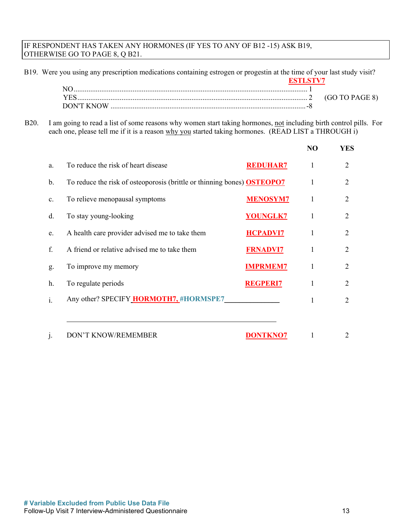### IF RESPONDENT HAS TAKEN ANY HORMONES (IF YES TO ANY OF B12 -15) ASK B19, OTHERWISE GO TO PAGE 8, Q B21.

B19. Were you using any prescription medications containing estrogen or progestin at the time of your last study visit?

|             |                          | (GO TO PAGE 8) |
|-------------|--------------------------|----------------|
| DON'T K NOW | $\overline{\phantom{0}}$ |                |

B20. I am going to read a list of some reasons why women start taking hormones, not including birth control pills. For each one, please tell me if it is a reason why you started taking hormones. (READ LIST a THROUGH i)

|                |                                                                         |                 | N <sub>O</sub> | <b>YES</b>     |
|----------------|-------------------------------------------------------------------------|-----------------|----------------|----------------|
| a.             | To reduce the risk of heart disease                                     | <b>REDUHAR7</b> | 1              | 2              |
| $\mathbf{b}$ . | To reduce the risk of osteoporosis (brittle or thinning bones) OSTEOPO7 |                 | 1              | 2              |
| $\mathbf{c}$ . | To relieve menopausal symptoms                                          | <b>MENOSYM7</b> | 1              | 2              |
| d.             | To stay young-looking                                                   | YOUNGLK7        | 1              | $\overline{2}$ |
| e.             | A health care provider advised me to take them                          | <b>HCPADVI7</b> | 1              | 2              |
| f.             | A friend or relative advised me to take them                            | <b>FRNADVI7</b> | 1              | 2              |
| g.             | To improve my memory                                                    | <b>IMPRMEM7</b> | 1              | 2              |
| h.             | To regulate periods                                                     | <b>REGPERI7</b> | 1              | 2              |
| $\mathbf{i}$ . | Any other? SPECIFY HORMOTH7, #HORMSPE7                                  |                 | 1              | 2              |
|                |                                                                         |                 |                |                |
| $\mathbf{1}$   | <b>DON'T KNOW/REMEMBER</b>                                              |                 | 1              | 2              |
|                |                                                                         |                 |                |                |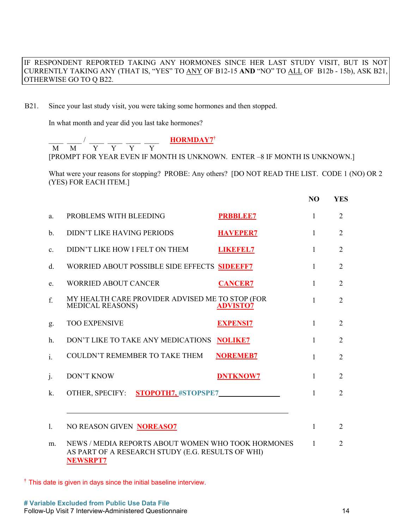IF RESPONDENT REPORTED TAKING ANY HORMONES SINCE HER LAST STUDY VISIT, BUT IS NOT CURRENTLY TAKING ANY (THAT IS, "YES" TO ANY OF B12-15 **AND** "NO" TO ALL OF B12b - 15b), ASK B21, OTHERWISE GO TO Q B22.

B21. Since your last study visit, you were taking some hormones and then stopped.

In what month and year did you last take hormones?

 $\frac{1}{M}$   $\frac{1}{M}$   $\frac{1}{Y}$   $\frac{1}{Y}$   $\frac{1}{Y}$   $\frac{1}{Y}$   $\frac{1}{Y}$   $\frac{1}{Y}$   $\frac{1}{Y}$  $\overline{Y}$   $\overline{Y}$   $\overline{Y}$   $\overline{Y}$  -[PROMPT FOR YEAR EVEN IF MONTH IS UNKNOWN. ENTER –8 IF MONTH IS UNKNOWN.]

What were your reasons for stopping? PROBE: Any others? [DO NOT READ THE LIST. CODE 1 (NO) OR 2 (YES) FOR EACH ITEM.]

|                |                                                                                                                            |                 | N <sub>O</sub> | <b>YES</b>     |
|----------------|----------------------------------------------------------------------------------------------------------------------------|-----------------|----------------|----------------|
| a.             | PROBLEMS WITH BLEEDING                                                                                                     | <b>PRBBLEE7</b> | 1              | 2              |
| b.             | DIDN'T LIKE HAVING PERIODS                                                                                                 | <b>HAVEPER7</b> | $\mathbf{1}$   | 2              |
| $\mathbf{c}$ . | DIDN'T LIKE HOW I FELT ON THEM                                                                                             | <b>LIKEFEL7</b> | $\mathbf{1}$   | $\overline{2}$ |
| d.             | WORRIED ABOUT POSSIBLE SIDE EFFECTS SIDEEFF7                                                                               |                 | $\mathbf{1}$   | $\overline{2}$ |
| e.             | <b>WORRIED ABOUT CANCER</b>                                                                                                | <b>CANCER7</b>  | $\mathbf{1}$   | $\overline{2}$ |
| f.             | MY HEALTH CARE PROVIDER ADVISED ME TO STOP (FOR<br><b>MEDICAL REASONS)</b>                                                 | <b>ADVISTO7</b> | $\mathbf{1}$   | 2              |
| g.             | <b>TOO EXPENSIVE</b>                                                                                                       | <b>EXPENSI7</b> | $\mathbf{1}$   | $\overline{2}$ |
| h.             | DON'T LIKE TO TAKE ANY MEDICATIONS                                                                                         | <b>NOLIKE7</b>  | $\mathbf{1}$   | 2              |
| $\mathbf{i}$ . | <b>COULDN'T REMEMBER TO TAKE THEM</b>                                                                                      | <b>NOREMEB7</b> | $\mathbf{1}$   | $\overline{2}$ |
| $\mathbf{i}$ . | <b>DON'T KNOW</b>                                                                                                          | <b>DNTKNOW7</b> | 1              | 2              |
| k.             | OTHER, SPECIFY: STOPOTH7, #STOPSPE7                                                                                        |                 | $\mathbf{1}$   | $\overline{2}$ |
|                |                                                                                                                            |                 |                |                |
| $\mathbf{1}$ . | NO REASON GIVEN NOREASO7                                                                                                   |                 | 1              | 2              |
| m.             | NEWS / MEDIA REPORTS ABOUT WOMEN WHO TOOK HORMONES<br>AS PART OF A RESEARCH STUDY (E.G. RESULTS OF WHI)<br><b>NEWSRPT7</b> |                 | $\mathbf{1}$   | 2              |
|                |                                                                                                                            |                 |                |                |

**†** This date is given in days since the initial baseline interview.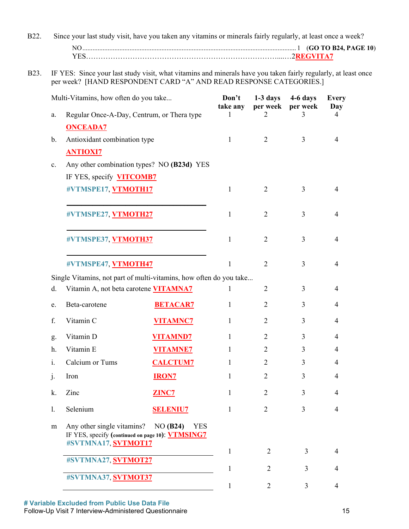B22. Since your last study visit, have you taken any vitamins or minerals fairly regularly, at least once a week?

NO............................................................................................................................... 1 (**GO TO B24, PAGE 10**) YES……………………………………………………………………....…2**REGVITA7**

B23. IF YES: Since your last study visit, what vitamins and minerals have you taken fairly regularly, at least once per week? [HAND RESPONDENT CARD "A" AND READ RESPONSE CATEGORIES.]

|    | Multi-Vitamins, how often do you take             |                                                                              | Don't<br>take any | $1-3$ days<br>per week | 4-6 days<br>per week | <b>Every</b><br>Day |
|----|---------------------------------------------------|------------------------------------------------------------------------------|-------------------|------------------------|----------------------|---------------------|
| a. | Regular Once-A-Day, Centrum, or Thera type        |                                                                              |                   | 2                      | 3                    | 4                   |
|    | <b>ONCEADA7</b>                                   |                                                                              |                   |                        |                      |                     |
| b. | Antioxidant combination type                      |                                                                              | $\mathbf{1}$      | $\overline{2}$         | $\overline{3}$       | 4                   |
|    | <b>ANTIOXI7</b>                                   |                                                                              |                   |                        |                      |                     |
| c. |                                                   | Any other combination types? NO (B23d) YES                                   |                   |                        |                      |                     |
|    | IF YES, specify <b>VITCOMB7</b>                   |                                                                              |                   |                        |                      |                     |
|    | #VTMSPE17, VTMOTH17                               |                                                                              | $\mathbf{1}$      | $\overline{2}$         | 3                    | 4                   |
|    | #VTMSPE27, VTMOTH27                               |                                                                              | 1                 | $\overline{2}$         | 3                    | 4                   |
|    | #VTMSPE37, VTMOTH37                               |                                                                              | 1                 | $\overline{2}$         | 3                    | 4                   |
|    | #VTMSPE47, VTMOTH47                               |                                                                              | $\mathbf{1}$      | $\overline{2}$         | 3                    | 4                   |
|    |                                                   | Single Vitamins, not part of multi-vitamins, how often do you take           |                   |                        |                      |                     |
| d. | Vitamin A, not beta carotene VITAMNA7             |                                                                              | 1                 | $\overline{2}$         | 3                    | 4                   |
| e. | Beta-carotene                                     | <b>BETACAR7</b>                                                              | 1                 | $\overline{2}$         | 3                    | 4                   |
| f. | Vitamin C                                         | <b>VITAMNC7</b>                                                              | 1                 | $\overline{2}$         | 3                    | 4                   |
| g. | Vitamin D                                         | <b>VITAMND7</b>                                                              | 1                 | $\overline{2}$         | 3                    | 4                   |
| h. | Vitamin E                                         | <b>VITAMNE7</b>                                                              | 1                 | $\overline{2}$         | 3                    | 4                   |
| i. | Calcium or Tums                                   | <b>CALCTUM7</b>                                                              | 1                 | $\overline{2}$         | 3                    | 4                   |
| j. | Iron                                              | <b>IRON7</b>                                                                 | 1                 | $\overline{2}$         | 3                    | 4                   |
| k. | Zinc                                              | <b>ZINC7</b>                                                                 | $\mathbf{1}$      | $\overline{2}$         | 3                    |                     |
| 1. | Selenium                                          | <b>SELENIU7</b>                                                              | $\mathbf{1}$      | $\overline{2}$         | $\overline{3}$       | 4                   |
| m  | Any other single vitamins?<br>#SVTMNA17, SVTMOT17 | $NO$ (B24)<br><b>YES</b><br>IF YES, specify (continued on page 10): VTMSING7 |                   |                        |                      |                     |
|    |                                                   |                                                                              | 1                 | $\overline{2}$         | 3                    | 4                   |
|    | #SVTMNA27, SVTMOT27                               |                                                                              | 1                 | $\overline{2}$         | 3                    | 4                   |
|    | #SVTMNA37, SVTMOT37                               |                                                                              | $\mathbf{1}$      | $\overline{2}$         | 3                    | 4                   |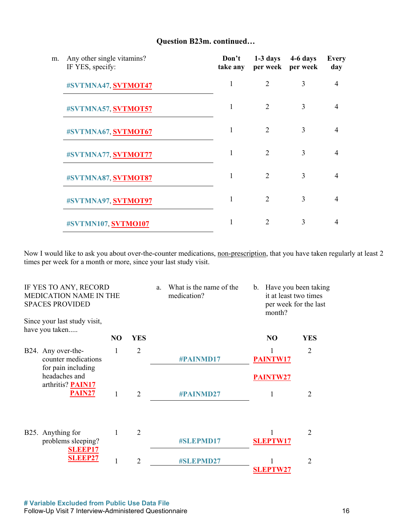### **Question B23m. continued…**

| m. | Any other single vitamins?<br>IF YES, specify: | Don't<br>take any | $1-3$ days<br>per week      | $4-6$ days<br>per week | <b>Every</b><br>day |
|----|------------------------------------------------|-------------------|-----------------------------|------------------------|---------------------|
|    | #SVTMNA47, SVTMOT47                            | 1                 | $\overline{2}$              | 3                      | 4                   |
|    | #SVTMNA57, SVTMOT57                            | 1                 | $\overline{2}$              | 3                      | 4                   |
|    | #SVTMNA67, SVTMOT67                            | 1                 | 2                           | 3                      | 4                   |
|    | #SVTMNA77, SVTMOT77                            | 1                 | $\mathcal{D}_{\mathcal{L}}$ | 3                      | 4                   |
|    | #SVTMNA87, SVTMOT87                            | 1                 | 2                           | 3                      | 4                   |
|    | #SVTMNA97, SVTMOT97                            |                   | 2                           | 3                      | 4                   |
|    | #SVTMN107, SVTMO107                            |                   | $\mathcal{D}_{\mathcal{L}}$ | 3                      |                     |

Now I would like to ask you about over-the-counter medications, non-prescription, that you have taken regularly at least 2 times per week for a month or more, since your last study visit.

| IF YES TO ANY, RECORD<br><b>MEDICATION NAME IN THE</b><br><b>SPACES PROVIDED</b> |                                                                 |                |                |  | What is the name of the<br>medication? | Have you been taking<br>b.<br>it at least two times<br>per week for the last<br>month? |                 |                |
|----------------------------------------------------------------------------------|-----------------------------------------------------------------|----------------|----------------|--|----------------------------------------|----------------------------------------------------------------------------------------|-----------------|----------------|
|                                                                                  | Since your last study visit,<br>have you taken                  |                |                |  |                                        |                                                                                        |                 |                |
|                                                                                  |                                                                 | N <sub>O</sub> | YES            |  |                                        |                                                                                        | N <sub>O</sub>  | <b>YES</b>     |
|                                                                                  | B24. Any over-the-<br>counter medications                       |                | 2              |  | <b>#PAINMD17</b>                       |                                                                                        | <b>PAINTW17</b> | $\overline{2}$ |
|                                                                                  | for pain including<br>headaches and<br>arthritis? <b>PAIN17</b> |                |                |  |                                        |                                                                                        | PAINTW27        |                |
|                                                                                  | PAIN27                                                          | 1              | 2              |  | <b>#PAINMD27</b>                       |                                                                                        | 1               | 2              |
|                                                                                  | B25. Anything for                                               | 1              | 2              |  |                                        |                                                                                        |                 | 2              |
|                                                                                  | problems sleeping?                                              |                |                |  | <b>#SLEPMD17</b>                       |                                                                                        | <b>SLEPTW17</b> |                |
|                                                                                  | <b>SLEEP17</b><br><b>SLEEP27</b>                                | 1              | $\overline{2}$ |  | <b>#SLEPMD27</b>                       |                                                                                        | <b>SLEPTW27</b> | 2              |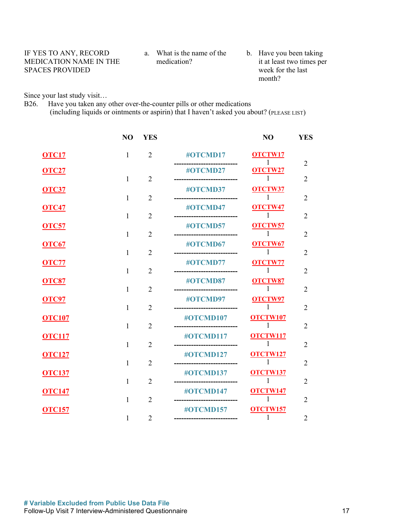### IF YES TO ANY, RECORD MEDICATION NAME IN THE SPACES PROVIDED

a. What is the name of the medication?

b. Have you been taking it at least two times per week for the last month?

Since your last study visit…

B26. Have you taken any other over-the-counter pills or other medications (including liquids or ointments or aspirin) that I haven't asked you about? (PLEASE LIST)

|               | NO           | <b>YES</b>     |              | N <sub>O</sub>                 | <b>YES</b>                       |
|---------------|--------------|----------------|--------------|--------------------------------|----------------------------------|
| <b>OTC17</b>  | $\mathbf{1}$ | $\overline{2}$ | #OTCMD17     | OTCTW17<br>1                   |                                  |
| <b>OTC27</b>  | $\mathbf{1}$ | $\overline{2}$ | #OTCMD27     | OTCTW27<br>$\overline{1}$      | $\overline{2}$<br>$\overline{2}$ |
| <b>OTC37</b>  | $\mathbf{1}$ | $\overline{2}$ | #OTCMD37     | OTCTW37<br>1                   | $\overline{2}$                   |
| <b>OTC47</b>  |              |                | #OTCMD47     | OTCTW47<br>$\mathbf{1}$        |                                  |
| <b>OTC57</b>  | $\mathbf{1}$ | $\overline{2}$ | <br>#OTCMD57 | OTCTW57<br>1                   | $\overline{2}$                   |
| <b>OTC67</b>  | $\mathbf{1}$ | $\overline{2}$ | #OTCMD67     | OTCTW67<br>$\mathbf{1}$        | $\overline{2}$                   |
| <b>OTC77</b>  | $\mathbf{1}$ | $\overline{2}$ | #OTCMD77     | <b>OTCTW77</b><br>$\mathbf{1}$ | $\overline{2}$                   |
| <b>OTC87</b>  | $\mathbf{1}$ | $\overline{2}$ | #OTCMD87     | OTCTW87<br>1                   | $\overline{2}$                   |
| <b>OTC97</b>  | $\mathbf{1}$ | $\overline{2}$ | #OTCMD97     | OTCTW97<br>$\mathbf{1}$        | $\overline{2}$                   |
| <b>OTC107</b> | $\mathbf{1}$ | $\overline{2}$ | #OTCMD107    | OTCTW107<br>$\overline{1}$     | $\overline{2}$                   |
| <b>OTC117</b> | $\mathbf{1}$ | $\overline{2}$ | #OTCMD117    | OTCTW117<br>1                  | $\overline{2}$                   |
| <b>OTC127</b> | $\mathbf{1}$ | $\overline{2}$ | #OTCMD127    | OTCTW127<br>$\mathbf{1}$       | $\overline{2}$                   |
| <b>OTC137</b> | $\mathbf{1}$ | $\overline{2}$ | #OTCMD137    | OTCTW137<br>$\mathbf{1}$       | $\overline{2}$                   |
| <b>OTC147</b> | $\mathbf{1}$ | $\overline{2}$ | #OTCMD147    | OTCTW147<br>$\mathbf{1}$       | $\overline{2}$                   |
| <b>OTC157</b> | $\mathbf{1}$ | $\overline{2}$ | #OTCMD157    | OTCTW157                       | $\overline{2}$                   |
|               | $\mathbf{1}$ | $\overline{2}$ |              | $\mathbf{1}$                   | $\overline{2}$                   |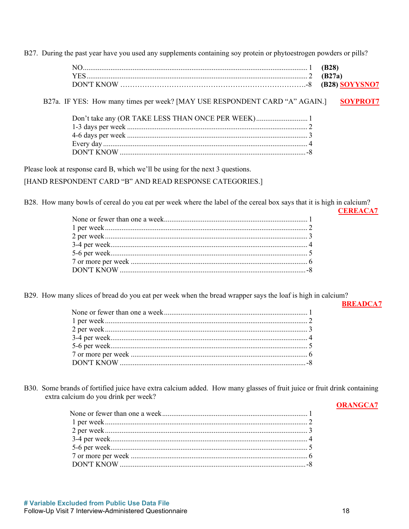B27. During the past year have you used any supplements containing soy protein or phytoestrogen powders or pills?

| NO.        |  |
|------------|--|
|            |  |
| DON'T KNOW |  |

B27a. IF YES: How many times per week? [MAY USE RESPONDENT CARD "A" AGAIN.] **SOYPROT7** 

Please look at response card B, which we'll be using for the next 3 questions.

[HAND RESPONDENT CARD "B" AND READ RESPONSE CATEGORIES.]

B28. How many bowls of cereal do you eat per week where the label of the cereal box says that it is high in calcium? **CEREACA7** 

B29. How many slices of bread do you eat per week when the bread wrapper says the loaf is high in calcium?

**BREADCA7** 

B30. Some brands of fortified juice have extra calcium added. How many glasses of fruit juice or fruit drink containing extra calcium do you drink per week?

### **ORANGCA7**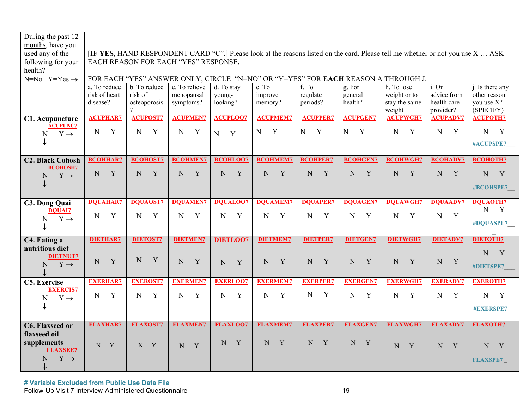| During the past 12<br>months, have you<br>used any of the<br>following for your<br>health?     |                                           |                                         | EACH REASON FOR EACH "YES" RESPONSE.     |                                      |                                        |                                        |                                      | <b>IF YES, HAND RESPONDENT CARD "C".] Please look at the reasons listed on the card. Please tell me whether or not you use X ASK</b>       |                                                  |                                                            |
|------------------------------------------------------------------------------------------------|-------------------------------------------|-----------------------------------------|------------------------------------------|--------------------------------------|----------------------------------------|----------------------------------------|--------------------------------------|--------------------------------------------------------------------------------------------------------------------------------------------|--------------------------------------------------|------------------------------------------------------------|
| $N=No Y=Yes \rightarrow$                                                                       | a. To reduce<br>risk of heart<br>disease? | b. To reduce<br>risk of<br>osteoporosis | c. To relieve<br>menopausal<br>symptoms? | d. To stay<br>young-<br>looking?     | e. To<br>improve<br>memory?            | f. $To$<br>regulate<br>periods?        | g. For<br>general<br>health?         | FOR EACH "YES" ANSWER ONLY, CIRCLE "N=NO" OR "Y=YES" FOR EACH REASON A THROUGH J.<br>h. To lose<br>weight or to<br>stay the same<br>weight | i. On<br>advice from<br>health care<br>provider? | j. Is there any<br>other reason<br>you use X?<br>(SPECIFY) |
| C1. Acupuncture<br><b>ACUPUNC7</b><br>$Y \rightarrow$<br>N                                     | <b>ACUPHAR7</b><br>N<br>$\mathbf{Y}$      | <b>ACUPOST7</b><br>N<br>Y               | <b>ACUPMEN7</b><br>$\mathbf N$<br>Y      | <b>ACUPLOO7</b><br>Y<br>N            | <b>ACUPMEM7</b><br>N<br>Y              | <b>ACUPPER7</b><br>$\overline{N}$<br>Y | <b>ACUPGEN7</b><br>N<br>$\mathbf{Y}$ | <b>ACUPWGH7</b><br>N<br>Y                                                                                                                  | <b>ACUPADV7</b><br>N<br>$\mathbf{Y}$             | <b>ACUPOTH7</b><br>N Y<br>#ACUPSPE7                        |
| <b>C2. Black Cohosh</b><br><b>BCOHOSH7</b><br>N<br>$Y \rightarrow$                             | <b>BCOHHAR7</b><br>Y<br>N                 | <b>BCOHOST7</b><br>$\mathbf{Y}$<br>N    | <b>BCOHMEN7</b><br>Y<br>${\bf N}$        | <b>BCOHLOO7</b><br>N<br>$\mathbf{Y}$ | <b>BCOHMEM7</b><br>$\mathbf{Y}$<br>N   | <b>BCOHPER7</b><br>N<br>$\mathbf{Y}$   | <b>BCOHGEN7</b><br>N<br>$\mathbf{Y}$ | <b>BCOHWGH7</b><br>N<br>Y                                                                                                                  | <b>BCOHADV7</b><br>N<br>$\mathbf{Y}$             | <b>ВСОНОТН7</b><br>N Y<br>#BCOHSPE7                        |
| <b>C3. Dong Quai</b><br><b>DQUAI7</b><br>$Y \rightarrow$<br>N<br>↓                             | <b>DQUAHAR7</b><br>N<br>Y                 | <b>DQUAOST7</b><br>N<br>$\mathbf{Y}$    | <b>DQUAMEN7</b><br>N<br>Y                | DQUALO07<br>N<br>Y                   | <b>DQUAMEM7</b><br>$\mathbf N$<br>Y    | <b>DQUAPER7</b><br>N<br>$\mathbf{Y}$   | <b>DQUAGEN7</b><br>N<br>Y            | <b>DQUAWGH7</b><br>$\mathbf N$<br>Y                                                                                                        | <b>DQUAADV7</b><br>${\bf N}$<br>Y                | <b>DQUAOTH7</b><br>N<br>$\mathbf{Y}$<br>#DQUASPE7          |
| C <sub>4</sub> . Eating a<br>nutritious diet<br><b>DIETNUT7</b><br>N<br>$Y \rightarrow$        | <b>DIETHAR7</b><br>Y<br>N                 | <b>DIETOST7</b><br>Y<br>N               | <b>DIETMEN7</b><br>N<br>Y                | <b>DIETLOO7</b><br>N<br>Y            | <b>DIETMEM7</b><br>N<br>Y              | <b>DIETPER7</b><br>N<br>$\mathbf{Y}$   | <b>DIETGEN7</b><br>N<br>$\mathbf{Y}$ | <b>DIETWGH7</b><br>N<br>Y                                                                                                                  | <b>DIETADV7</b><br>Y<br>N                        | <b>DIETOTH7</b><br>N<br>$\mathbf{Y}$<br>#DIETSPE7          |
| <b>C5. Exercise</b><br><b>EXERCIS7</b><br>$Y \rightarrow$<br>N<br>↓                            | <b>EXERHAR7</b><br>Y<br>N                 | <b>EXEROST7</b><br>N<br>Y               | <b>EXERMEN7</b><br>$\mathbf N$<br>Y      | <b>EXERLOO7</b><br>$\mathbf N$<br>Y  | <b>EXERMEM7</b><br>$\overline{N}$<br>Y | <b>EXERPER7</b><br>N<br>Y              | <b>EXERGEN7</b><br>${\bf N}$<br>Y    | <b>EXERWGH7</b><br>$\mathbf N$<br>Y                                                                                                        | <b>EXERADV7</b><br>${\bf N}$<br>Y                | <b>EXEROTH7</b><br>$N_{\odot}$<br>Y<br><b>#EXERSPE7</b>    |
| C6. Flaxseed or<br>flaxseed oil<br>supplements<br><b>FLAXSEE7</b><br>$Y \rightarrow$<br>N<br>↓ | <b>FLAXHAR7</b><br>N Y                    | <b>FLAXOST7</b><br>N Y                  | <b>FLAXMEN7</b><br>N Y                   | <b>FLAXLOO7</b><br>Y<br>N            | <b>FLAXMEM7</b><br>N<br>Y              | <b>FLAXPER7</b><br>N<br>$\mathbf{Y}$   | <b>FLAXGEN7</b><br>N<br>Y            | <b>FLAXWGH7</b><br>${\bf N}$<br>Y                                                                                                          | <b>FLAXADV7</b><br>Y<br>$\mathbf N$              | <b>FLAXOTH7</b><br>N Y<br><b>FLAXSPE7</b>                  |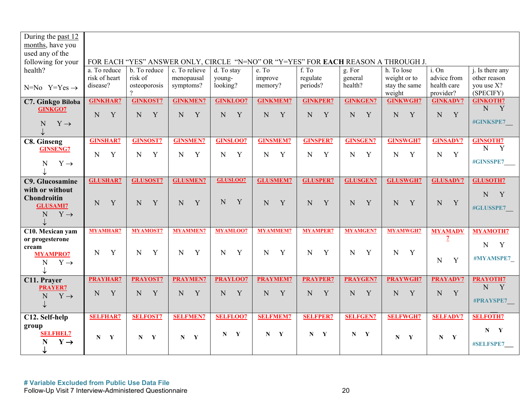| During the past 12<br>months, have you<br>used any of the<br>following for your                             |                                           |                                         |                                          |                                      |                                      |                                               |                                                | FOR EACH "YES" ANSWER ONLY, CIRCLE "N=NO" OR "Y=YES" FOR EACH REASON A THROUGH J. |                                                  |                                                            |
|-------------------------------------------------------------------------------------------------------------|-------------------------------------------|-----------------------------------------|------------------------------------------|--------------------------------------|--------------------------------------|-----------------------------------------------|------------------------------------------------|-----------------------------------------------------------------------------------|--------------------------------------------------|------------------------------------------------------------|
| health?<br>$N=No Y=Yes \rightarrow$                                                                         | a. To reduce<br>risk of heart<br>disease? | b. To reduce<br>risk of<br>osteoporosis | c. To relieve<br>menopausal<br>symptoms? | d. To stay<br>young-<br>looking?     | e. To<br>improve<br>memory?          | f. To<br>regulate<br>periods?                 | g. For<br>general<br>health?                   | h. To lose<br>weight or to<br>stay the same<br>weight                             | i. On<br>advice from<br>health care<br>provider? | j. Is there any<br>other reason<br>you use X?<br>(SPECIFY) |
| C7. Ginkgo Biloba<br><b>GINKGO7</b><br>$Y \rightarrow$<br>N                                                 | <b>GINKHAR7</b><br>N<br>Y                 | <b>GINKOST7</b><br>N<br>$\mathbf{Y}$    | <b>GINKMEN7</b><br>Y<br>N                | <b>GINKLOO7</b><br>N<br>Y            | <b>GINKMEM7</b><br>Y<br>N            | <b>GINKPER7</b><br>N<br>Y                     | <b>GINKGEN7</b><br>N<br>$\mathbf{Y}$           | <b>GINKWGH7</b><br>N<br>Y                                                         | <b>GINKADV7</b><br>Y<br>N                        | <b>GINKOTH7</b><br>N Y<br><b>#GINKSPE7</b>                 |
| C8. Ginseng<br><b>GINSENG7</b><br>$Y \rightarrow$<br>N                                                      | <b>GINSHAR7</b><br>Y<br>N                 | <b>GINSOST7</b><br>N<br>$\mathbf{Y}$    | <b>GINSMEN7</b><br>N<br>Y                | GINSLOO7<br>N<br>Y                   | <b>GINSMEM7</b><br>$\mathbf N$<br>Y  | <b>GINSPER7</b><br>N<br>Y                     | <b>GINSGEN7</b><br>$\mathbf N$<br>$\mathbf{Y}$ | <b>GINSWGH7</b><br>N<br>Y                                                         | <b>GINSADV7</b><br>Y<br>N                        | <b>GINSOTH7</b><br>N Y<br>#GINSSPE7                        |
| C9. Glucosamine<br>with or without<br><b>Chondroitin</b><br><b>GLUSAMI7</b><br>${\bf N}$<br>$Y \rightarrow$ | <b>GLUSHAR7</b><br>N<br>Y                 | <b>GLUSOST7</b><br>N<br>$\mathbf{Y}$    | <b>GLUSMEN7</b><br>N<br>Y                | GLUSLOO7<br>N<br>Y                   | <b>GLUSMEM7</b><br>N<br>Y            | <b>GLUSPER7</b><br>N<br>Y                     | <b>GLUSGEN7</b><br>N<br>$\mathbf{Y}$           | <b>GLUSWGH7</b><br>N<br>Y                                                         | <b>GLUSADV7</b><br>Y<br>N                        | <b>GLUSOTH7</b><br>N<br>Y<br>#GLUSSPE7                     |
| C10. Mexican yam<br>or progesterone<br>cream<br><b>MYAMPRO7</b><br>$N_{\rm}$<br>$Y \rightarrow$<br>↓        | <b>MYAMHAR7</b><br>Y<br>N                 | <b>MYAMOST7</b><br>$\mathbf{Y}$<br>N    | <b>MYAMMEN7</b><br>N<br>Y                | <b>MYAMLOO7</b><br>N<br>Y            | <b>MYAMMEM7</b><br>Y<br>N            | <b>MYAMPER7</b><br>N<br>Y                     | <b>MYAMGEN7</b><br>$\mathbf{Y}$<br>N           | <b>MYAMWGH7</b><br>Y<br>N                                                         | <b>MYAMADV</b><br>$\overline{1}$<br>Y<br>N       | <b>MYAMOTH7</b><br>N Y<br>#MYAMSPE7_                       |
| C11. Prayer<br><b>PRAYER7</b><br>$Y \rightarrow$<br>${\bf N}$<br>↓                                          | <b>PRAYHAR7</b><br>Y<br>N                 | <b>PRAYOST7</b><br>Y<br>${\bf N}$       | <b>PRAYMEN7</b><br>$\mathbf N$<br>Y      | <b>PRAYLOO7</b><br>$\mathbf N$<br>Y  | <b>PRAYMEM7</b><br>N<br>Y            | <b>PRAYPER7</b><br>${\bf N}$<br>Y             | <b>PRAYGEN7</b><br>N<br>Y                      | <b>PRAYWGH7</b><br>N<br>Y                                                         | <b>PRAYADV7</b><br>Y<br>${\bf N}$                | <b>PRAYOTH7</b><br>N Y<br>#PRAYSPE7                        |
| C12. Self-help<br>group<br><b>SELFHEL7</b><br>N<br>$Y \rightarrow$                                          | <b>SELFHAR7</b><br>N<br>$\mathbf{Y}$      | <b>SELFOST7</b><br>$\mathbf{Y}$<br>N    | <b>SELFMEN7</b><br>$N$ $Y$               | <b>SELFLOO7</b><br>N<br>$\mathbf{Y}$ | <b>SELFMEM7</b><br>N<br>$\mathbf{Y}$ | <b>SELFPER7</b><br>$\mathbf N$<br>$\mathbf Y$ | <b>SELFGEN7</b><br>$N$ $Y$                     | <b>SELFWGH7</b><br>$\mathbf{N}$<br>$\mathbf{Y}$                                   | <b>SELFADV7</b><br>$\mathbf{N}$<br>$\mathbf{Y}$  | <b>SELFOTH7</b><br>$N$ $Y$<br><b>#SELFSPE7</b>             |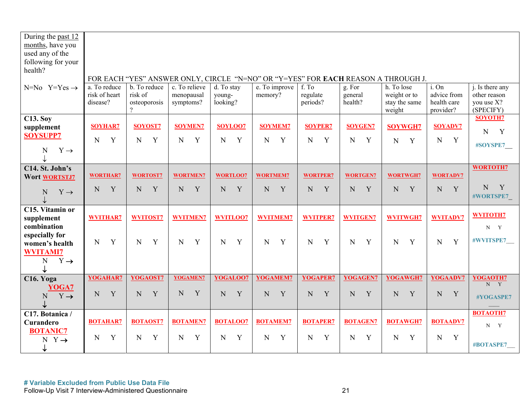| During the past 12<br>months, have you<br>used any of the<br>following for your<br>health?                                          |                                           |                                                           |                                          |                                    |                                     |                                     |                                      | FOR EACH "YES" ANSWER ONLY, CIRCLE "N=NO" OR "Y=YES" FOR EACH REASON A THROUGH J. |                                                  |                                                                |
|-------------------------------------------------------------------------------------------------------------------------------------|-------------------------------------------|-----------------------------------------------------------|------------------------------------------|------------------------------------|-------------------------------------|-------------------------------------|--------------------------------------|-----------------------------------------------------------------------------------|--------------------------------------------------|----------------------------------------------------------------|
| $N=No Y=Yes \rightarrow$                                                                                                            | a. To reduce<br>risk of heart<br>disease? | b. To reduce<br>risk of<br>osteoporosis<br>$\overline{?}$ | c. To relieve<br>menopausal<br>symptoms? | d. To stay<br>young-<br>looking?   | e. To improve<br>memory?            | f. To<br>regulate<br>periods?       | g. For<br>general<br>health?         | h. To lose<br>weight or to<br>stay the same<br>weight                             | i. On<br>advice from<br>health care<br>provider? | j. Is there any<br>other reason<br>you use X?<br>(SPECIFY)     |
| $C13.$ Soy<br>supplement<br><b>SOYSUPP7</b><br>$\mathbf N$<br>$Y \rightarrow$<br>$\downarrow$                                       | <b>SOYHAR7</b><br>Y<br>N                  | <b>SOYOST7</b><br>$\mathbf{Y}$<br>N                       | <b>SOYMEN7</b><br>Y<br>N                 | <b>SOYLOO7</b><br>$\mathbf N$<br>Y | <b>SOYMEM7</b><br>$\mathbf{Y}$<br>N | <b>SOYPER7</b><br>N<br>Y            | <b>SOYGEN7</b><br>$\mathbf{Y}$<br>N  | <b>SOYWGH7</b><br>N<br>Y                                                          | <b>SOYADV7</b><br>$\mathbf{Y}$<br>N              | <b>SOYOTH7</b><br>Y<br>N<br>#SOYSPE7                           |
| C14. St. John's<br><b>Wort WORTSTJ7</b><br>$Y \rightarrow$<br>${\bf N}$                                                             | <b>WORTHAR7</b><br>$\mathbf N$<br>Y       | <b>WORTOST7</b><br>Y<br>$\mathbf N$                       | <b>WORTMEN7</b><br>$\mathbf N$<br>Y      | <b>WORTLOO7</b><br>${\bf N}$<br>Y  | <b>WORTMEM7</b><br>$\mathbf N$<br>Y | <b>WORTPER7</b><br>$\mathbf N$<br>Y | <b>WORTGEN7</b><br>$\mathbf N$<br>Y  | <b>WORTWGH7</b><br>$\mathbf N$<br>Y                                               | <b>WORTADV7</b><br>Y<br>$\mathbf N$              | <b>WORTOTH7</b><br>$\mathbf{Y}$<br>N<br>#WORTSPE7              |
| C15. Vitamin or<br>supplement<br>combination<br>especially for<br>women's health<br><b>WVITAMI7</b><br>$Y \rightarrow$<br>${\bf N}$ | <b>WVITHAR7</b><br>Y<br>N                 | <b>WVITOST7</b><br>Y<br>N                                 | <b>WVITMEN7</b><br>${\bf N}$<br>Y        | <b>WVITLOO7</b><br>N<br>Y          | <b>WVITMEM7</b><br>N<br>Y           | <b>WVITPER7</b><br>N<br>Y           | <b>WVITGEN7</b><br>N<br>$\mathbf{Y}$ | <b>WVITWGH7</b><br>$\mathbf N$<br>Y                                               | <b>WVITADV7</b><br>Y<br>N                        | <b>WVITOTH7</b><br>$N$ $Y$<br>#WVITSPE7___                     |
| C <sub>16</sub> . Yoga<br>YOGA7<br>$Y \rightarrow$<br>N                                                                             | YOGAHAR7<br>Y<br>N                        | YOGAOST7<br>Y<br>N                                        | YOGAMEN7<br>Y<br>N                       | YOGALOO7<br>N<br>Y                 | YOGAMEM7<br>N<br>Y                  | YOGAPER7<br>N<br>Y                  | YOGAGEN7<br>Y<br>N                   | YOGAWGH7<br>N<br>Y                                                                | <b>YOGAADV7</b><br>N<br>Y                        | $\frac{\textbf{YOGAOTH7}}{\textbf{N}-\textbf{Y}}$<br>#YOGASPE7 |
| C17. Botanica /<br>Curandero<br><b>BOTANIC7</b><br>N $Y \rightarrow$<br>↓                                                           | <b>BOTAHAR7</b><br>N<br>Y                 | <b>BOTAOST7</b><br>Y<br>N                                 | <b>BOTAMEN7</b><br>Y<br>$\mathbf N$      | <b>BOTALOO7</b><br>${\bf N}$<br>Y  | <b>BOTAMEM7</b><br>N<br>Y           | <b>BOTAPER7</b><br>N<br>Y           | <b>BOTAGEN7</b><br>Y<br>N            | <b>BOTAWGH7</b><br>$\mathbf N$<br>Y                                               | <b>BOTAADV7</b><br>Y<br>${\bf N}$                | <b>BOTAOTH7</b><br>$\rm N-V$<br>#BOTASPE7__                    |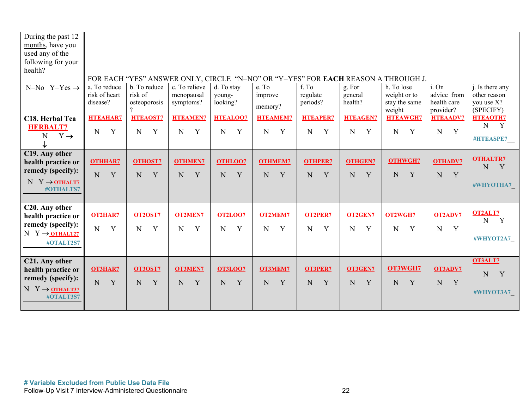| During the past 12<br>months, have you<br>used any of the<br>following for your<br>health?                        |                                           |                                         |                                          |                                       |                             |                                     |                                     | FOR EACH "YES" ANSWER ONLY, CIRCLE "N=NO" OR "Y=YES" FOR EACH REASON A THROUGH J. |                                                  |                                                            |
|-------------------------------------------------------------------------------------------------------------------|-------------------------------------------|-----------------------------------------|------------------------------------------|---------------------------------------|-----------------------------|-------------------------------------|-------------------------------------|-----------------------------------------------------------------------------------|--------------------------------------------------|------------------------------------------------------------|
| $N=No Y=Yes \rightarrow$                                                                                          | a. To reduce<br>risk of heart<br>disease? | b. To reduce<br>risk of<br>osteoporosis | c. To relieve<br>menopausal<br>symptoms? | d. To stay<br>young-<br>looking?      | e. To<br>improve<br>memory? | f. To<br>regulate<br>periods?       | g. For<br>general<br>health?        | h. To lose<br>weight or to<br>stay the same<br>weight                             | i. On<br>advice from<br>health care<br>provider? | j. Is there any<br>other reason<br>you use X?<br>(SPECIFY) |
| C18. Herbal Tea<br><b>HERBALT7</b><br>$Y \rightarrow$<br>$\mathbf N$                                              | <b>HTEAHAR7</b><br>N<br>Y                 | <b>HTEAOST7</b><br>Y<br>N               | <b>HTEAMEN7</b><br>Y<br>N                | <b>HTEALOO7</b><br>N<br>Y             | <b>HTEAMEM7</b><br>Y<br>N   | <b>HTEAPER7</b><br>$\mathbf N$<br>Y | <b>HTEAGEN7</b><br>$\mathbf N$<br>Y | <b>HTEAWGH7</b><br>N<br>Y                                                         | <b>HTEAADV7</b><br>Y<br>$\mathbf N$              | <b>HTEAOTH7</b><br>$\mathbf{Y}$<br>N<br>#HTEASPE7          |
| C19. Any other<br>health practice or<br>remedy (specify):<br>$N Y \rightarrow$ OTHALT7<br>#OTHALTS7               | <b>OTHHAR7</b><br>N<br>Y                  | <b>OTHOST7</b><br>N<br>Y                | <b>OTHMEN7</b><br>N<br>Y                 | OTHLOO7<br>N<br>Y                     | <b>OTHMEM7</b><br>N<br>Y    | <b>OTHPER7</b><br>N<br>Y            | <b>OTHGEN7</b><br>N<br>Y            | <b>OTHWGH7</b><br>N<br>Y                                                          | <b>OTHADV7</b><br>N<br>Y                         | <b>OTHALTR7</b><br>Y<br>N<br>#WHYOTHA7                     |
| C <sub>20</sub> . Any other<br>health practice or<br>remedy (specify):<br>N $Y \rightarrow$ OTHALT27<br>#OTALT2S7 | <b>OT2HAR7</b><br>N<br>Y                  | <b>OT2OST7</b><br>Y<br>N                | <b>OT2MEN7</b><br>Y<br>${\bf N}$         | <b>OT2LOO7</b><br>$\overline{N}$<br>Y | <b>OT2MEM7</b><br>Y<br>N    | <b>OT2PER7</b><br>$\mathbf N$<br>Y  | <b>OT2GEN7</b><br>Y<br>$\mathbf N$  | OT2WGH7<br>N<br>Y                                                                 | <b>OT2ADV7</b><br>Y<br>$\mathbf N$               | <b>OT2ALT7</b><br>N<br>$\mathbf{Y}$<br>#WHYOT2A7           |
| C21. Any other<br>health practice or<br>remedy (specify):<br>$N Y \rightarrow$ OTHALT37<br>#OTALT3S7              | <b>OT3HAR7</b><br>$\overline{N}$<br>Y     | <b>OT3OST7</b><br>Y<br>N                | <b>OT3MEN7</b><br>Y<br>N                 | <b>OT3LOO7</b><br>N<br>Y              | OT3MEM7<br>Y<br>N           | OT3PER7<br>N<br>Y                   | OT3GEN7<br>Y<br>N                   | OT3WGH7<br>${\bf N}$<br>Y                                                         | OT3ADV7<br>$\mathbf{Y}$<br>N                     | OT3ALT7<br>N<br>$\mathbf{Y}$<br>#WHYOT3A7                  |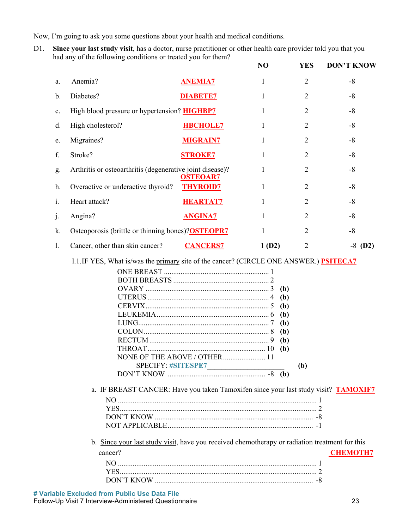Now, I'm going to ask you some questions about your health and medical conditions.

D1. **Since your last study visit**, has a doctor, nurse practitioner or other health care provider told you that you had any of the following conditions or treated you for them? **NO YES DON'T KNOW**

|                |                                                           |                 | NO    | YES            | DON'T KNOW |
|----------------|-----------------------------------------------------------|-----------------|-------|----------------|------------|
| a.             | Anemia?                                                   | <b>ANEMIA7</b>  | 1     | $\overline{2}$ | $-8$       |
| b.             | Diabetes?                                                 | <b>DIABETE7</b> |       | 2              | -8         |
| $\mathbf{c}$ . | High blood pressure or hypertension? <b>HIGHBP7</b>       |                 |       | 2              | $-8$       |
| d.             | High cholesterol?                                         | <b>HBCHOLE7</b> |       | 2              | $-8$       |
| e.             | Migraines?                                                | <b>MIGRAIN7</b> |       | 2              | $-8$       |
| f.             | Stroke?                                                   | <b>STROKE7</b>  |       | 2              | $-8$       |
| g.             | Arthritis or osteoarthritis (degenerative joint disease)? | <b>OSTEOAR7</b> |       | 2              | $-8$       |
| h.             | Overactive or underactive thyroid?                        | <b>THYROID7</b> |       | $\overline{2}$ | $-8$       |
| 1.             | Heart attack?                                             | <b>HEARTAT7</b> |       | 2              | $-8$       |
| $\cdot$        | Angina?                                                   | <b>ANGINA7</b>  |       | $\overline{2}$ | $-8$       |
| k.             | Osteoporosis (brittle or thinning bones)? <b>OSTEOPR7</b> |                 |       | $\overline{2}$ | -8         |
|                | Cancer, other than skin cancer?                           | <b>CANCERS7</b> | 1(D2) | $\overline{2}$ | -8<br>(D2) |

l.1.IF YES, What is/was the primary site of the cancer? (CIRCLE ONE ANSWER.) **PSITECA7**

| 1.1.IF YES, What is/was the primary site of the cancer? (CIRCLE ONE ANSWER.) <b>PSITECA7</b>   |                 |
|------------------------------------------------------------------------------------------------|-----------------|
|                                                                                                |                 |
|                                                                                                |                 |
|                                                                                                | (b)             |
|                                                                                                |                 |
|                                                                                                |                 |
|                                                                                                | (b)             |
|                                                                                                | (b)             |
|                                                                                                | (b)             |
|                                                                                                | (b)             |
|                                                                                                |                 |
| NONE OF THE ABOVE / OTHER 11                                                                   |                 |
|                                                                                                | (b)             |
|                                                                                                |                 |
| a. IF BREAST CANCER: Have you taken Tamoxifen since your last study visit? <b>TAMOXIF7</b>     |                 |
|                                                                                                |                 |
|                                                                                                |                 |
|                                                                                                |                 |
|                                                                                                |                 |
|                                                                                                |                 |
| b. Since your last study visit, have you received chemotherapy or radiation treatment for this |                 |
| cancer?                                                                                        | <b>CHEMOTH7</b> |
|                                                                                                |                 |
|                                                                                                |                 |
|                                                                                                |                 |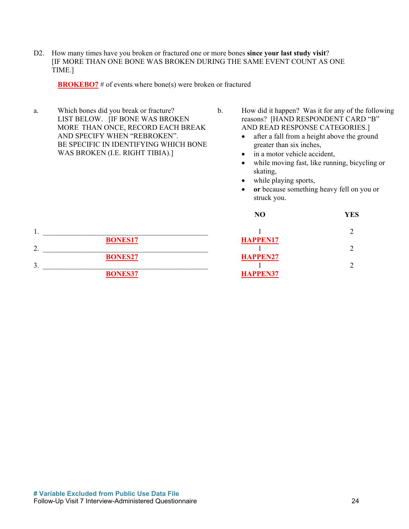D2. How many times have you broken or fractured one or more bones **since your last study visit**? [IF MORE THAN ONE BONE WAS BROKEN DURING THE SAME EVENT COUNT AS ONE TIME.]

**BROKEBO7** # of events where bone(s) were broken or fractured

- a. Which bones did you break or fracture? LIST BELOW. [IF BONE WAS BROKEN MORE THAN ONCE, RECORD EACH BREAK AND SPECIFY WHEN "REBROKEN". BE SPECIFIC IN IDENTIFYING WHICH BONE WAS BROKEN (I.E. RIGHT TIBIA).]
- b. How did it happen? Was it for any of the following reasons? [HAND RESPONDENT CARD "B" AND READ RESPONSE CATEGORIES.]
	- after a fall from a height above the ground greater than six inches,
	- in a motor vehicle accident,
	- while moving fast, like running, bicycling or skating,
	- while playing sports,

**NO**

• **or** because something heavy fell on you or struck you.

**YES**

| . .           |                |                 |  |
|---------------|----------------|-----------------|--|
|               | <b>BONES17</b> | <b>HAPPEN17</b> |  |
| ◠<br><u>.</u> |                |                 |  |
|               | <b>BONES27</b> | HAPPEN27        |  |
| 3.            |                |                 |  |
|               | <b>BONES37</b> | <b>HAPPEN37</b> |  |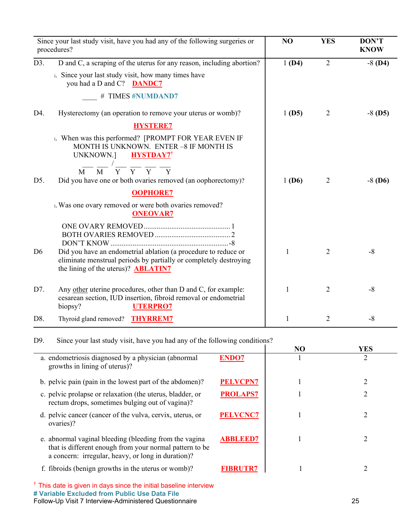|                  | Since your last study visit, have you had any of the following surgeries or<br>procedures?                                                                                        | <b>YES</b><br>NO |                |           |
|------------------|-----------------------------------------------------------------------------------------------------------------------------------------------------------------------------------|------------------|----------------|-----------|
| D3.              | D and C, a scraping of the uterus for any reason, including abortion?                                                                                                             | 1(D4)            | $\overline{2}$ | $-8$ (D4) |
|                  | L. Since your last study visit, how many times have<br>you had a D and C? DANDC7                                                                                                  |                  |                |           |
|                  | # TIMES #NUMDAND7                                                                                                                                                                 |                  |                |           |
| D4.              | Hysterectomy (an operation to remove your uterus or womb)?                                                                                                                        | 1(D5)            | $\overline{2}$ | $-8$ (D5) |
|                  | <b>HYSTERE7</b>                                                                                                                                                                   |                  |                |           |
|                  | L. When was this performed? [PROMPT FOR YEAR EVEN IF<br>MONTH IS UNKNOWN. ENTER -8 IF MONTH IS<br>UNKNOWN.]<br><b>HYSTDAY7<sup>†</sup></b>                                        |                  |                |           |
|                  | $\frac{1}{M}$ $\frac{1}{M}$ $\frac{1}{Y}$ $\frac{1}{Y}$ $\frac{1}{Y}$ $\frac{1}{Y}$                                                                                               |                  |                |           |
| D <sub>5</sub> . | Did you have one or both ovaries removed (an oophorectomy)?                                                                                                                       | 1(D6)            | $\overline{2}$ | $-8$ (D6) |
|                  | <b>OOPHORE7</b>                                                                                                                                                                   |                  |                |           |
|                  | L. Was one ovary removed or were both ovaries removed?<br><b>ONEOVAR7</b>                                                                                                         |                  |                |           |
|                  |                                                                                                                                                                                   |                  |                |           |
| D <sub>6</sub>   | Did you have an endometrial ablation (a procedure to reduce or<br>eliminate menstrual periods by partially or completely destroying<br>the lining of the uterus)? <b>ABLATIN7</b> | 1                | $\overline{2}$ | $-8$      |
| D7.              | Any other uterine procedures, other than D and C, for example:<br>cesarean section, IUD insertion, fibroid removal or endometrial<br>biopsy?<br><b>UTERPRO7</b>                   | 1                | $\overline{2}$ | $-8$      |
| D8.              | Thyroid gland removed? THYRREM7                                                                                                                                                   | 1                | 2              | $-8$      |
| D9.              | Since your last study visit, have you had any of the following conditions?                                                                                                        |                  |                |           |

|                                                                                                                                                                         | N <sub>O</sub>  | <b>YES</b> |
|-------------------------------------------------------------------------------------------------------------------------------------------------------------------------|-----------------|------------|
| a. endometriosis diagnosed by a physician (abnormal<br>growths in lining of uterus)?                                                                                    | <b>ENDO7</b>    |            |
| b. pelvic pain (pain in the lowest part of the abdomen)?                                                                                                                | <b>PELVCPN7</b> |            |
| c. pelvic prolapse or relaxation (the uterus, bladder, or<br>rectum drops, sometimes bulging out of vagina)?                                                            | <b>PROLAPS7</b> |            |
| d. pelvic cancer (cancer of the vulva, cervix, uterus, or<br>ovaries)?                                                                                                  | <b>PELVCNC7</b> |            |
| e. abnormal vaginal bleeding (bleeding from the vagina<br>that is different enough from your normal pattern to be<br>a concern: irregular, heavy, or long in duration)? | <b>ABBLEED7</b> |            |
| f. fibroids (benign growths in the uterus or womb)?                                                                                                                     |                 |            |

**# Variable Excluded from Public Use Data File** Follow-Up Visit 7 Interview-Administered Questionnaire 25 **†** This date is given in days since the initial baseline interview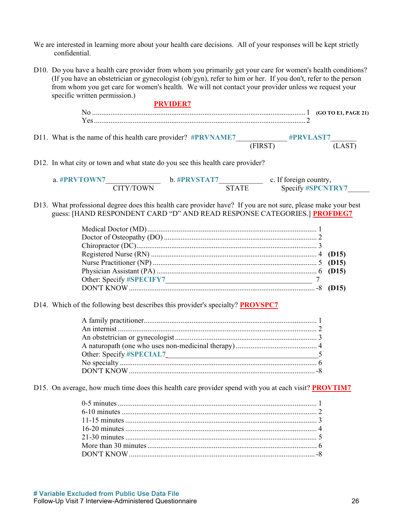- We are interested in learning more about your health care decisions. All of your responses will be kept strictly confidential.
- D10. Do you have a health care provider from whom you primarily get your care for women's health conditions? (If you have an obstetrician or gynecologist (ob/gyn), refer to him or her. If you don't, refer to the person from whom you get care for women's health. We will not contact your provider unless we request your specific written permission.) **PRVIDER7**

| <b>PRVIDER7</b>                                               |          |                  |  |
|---------------------------------------------------------------|----------|------------------|--|
|                                                               |          |                  |  |
|                                                               |          |                  |  |
|                                                               |          |                  |  |
| D11. What is the name of this health care provider? #PRVNAME7 |          | <b>#PRVLAST7</b> |  |
|                                                               | (FIRST). | (LAST)           |  |
|                                                               |          |                  |  |

D12. In what city or town and what state do you see this health care provider?

| a. #PRVTOWN7 |           | b. #PRVSTAT7 | c. If foreign country, |
|--------------|-----------|--------------|------------------------|
|              | CITY/TOWN | <b>STATE</b> | Specify #SPCNTRY7      |

D13. What professional degree does this health care provider have? If you are not sure, please make your best guess: [HAND RESPONDENT CARD "D" AND READ RESPONSE CATEGORIES.] **PROFDEG7**

D14. Which of the following best describes this provider's specialty? **PROVSPC7**

D15. On average, how much time does this health care provider spend with you at each visit? **PROVTIM7**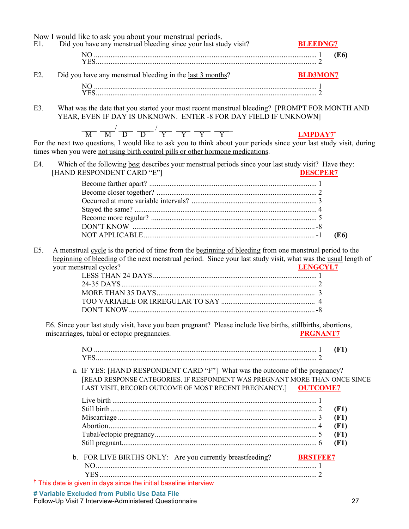|     | Now I would like to ask you about your menstrual periods.<br>E1. Did you have any menstrual bleeding since your last study visit?                                                                                                                                                                   | <b>BLEEDNG7</b>      |                                      |
|-----|-----------------------------------------------------------------------------------------------------------------------------------------------------------------------------------------------------------------------------------------------------------------------------------------------------|----------------------|--------------------------------------|
|     |                                                                                                                                                                                                                                                                                                     |                      | <b>(E6)</b>                          |
| E2. | Did you have any menstrual bleeding in the last 3 months?                                                                                                                                                                                                                                           | <b>BLD3MON7</b>      |                                      |
|     |                                                                                                                                                                                                                                                                                                     |                      |                                      |
| E3. | What was the date that you started your most recent menstrual bleeding? [PROMPT FOR MONTH AND<br>YEAR, EVEN IF DAY IS UNKNOWN. ENTER -8 FOR DAY FIELD IF UNKNOWN]<br>$-\frac{1}{M}$ $\frac{1}{M}$ $\frac{1}{D}$ $\frac{1}{D}$ $\frac{1}{N}$ $\frac{1}{N}$ $\frac{1}{N}$ $\frac{1}{N}$ $\frac{1}{N}$ |                      |                                      |
|     | For the next two questions, I would like to ask you to think about your periods since your last study visit, during<br>times when you were not using birth control pills or other hormone medications.                                                                                              | LMPDAY7 <sup>†</sup> |                                      |
| E4. | Which of the following best describes your menstrual periods since your last study visit? Have they:<br>[HAND RESPONDENT CARD "E"]                                                                                                                                                                  | <b>DESCPER7</b>      |                                      |
|     |                                                                                                                                                                                                                                                                                                     |                      | <b>(E6)</b>                          |
| E5. | A menstrual cycle is the period of time from the beginning of bleeding from one menstrual period to the<br>beginning of bleeding of the next menstrual period. Since your last study visit, what was the usual length of<br>your menstrual cycles?                                                  | <b>LENGCYL7</b>      |                                      |
|     | E6. Since your last study visit, have you been pregnant? Please include live births, stillbirths, abortions,<br>miscarriages, tubal or ectopic pregnancies.                                                                                                                                         | PRGNANT7             |                                      |
|     |                                                                                                                                                                                                                                                                                                     |                      | (F1)                                 |
|     | a. IF YES: [HAND RESPONDENT CARD "F"] What was the outcome of the pregnancy?<br>[READ RESPONSE CATEGORIES. IF RESPONDENT WAS PREGNANT MORE THAN ONCE SINCE<br>LAST VISIT, RECORD OUTCOME OF MOST RECENT PREGNANCY.]                                                                                 | <b>OUTCOME7</b>      |                                      |
|     |                                                                                                                                                                                                                                                                                                     |                      | (F1)<br>(F1)<br>(F1)<br>(F1)<br>(F1) |
|     | b. FOR LIVE BIRTHS ONLY: Are you currently breastfeeding?                                                                                                                                                                                                                                           | <b>BRSTFEE7</b>      |                                      |
|     | $†$ This date is given in days since the initial baseline interview                                                                                                                                                                                                                                 |                      |                                      |
|     | # Variable Excluded from Public Use Data File                                                                                                                                                                                                                                                       |                      |                                      |

Follow-Up Visit 7 Interview-Administered Questionnaire 27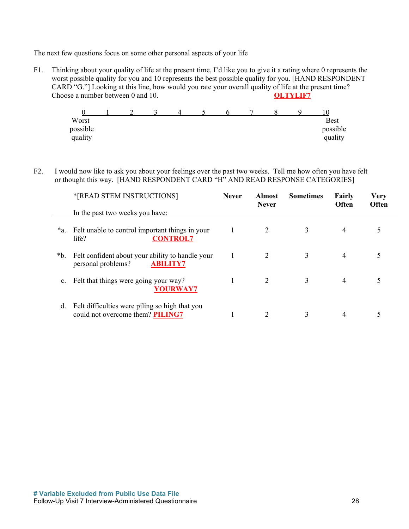The next few questions focus on some other personal aspects of your life

F1. Thinking about your quality of life at the present time, I'd like you to give it a rating where 0 represents the worst possible quality for you and 10 represents the best possible quality for you. [HAND RESPONDENT CARD "G."] Looking at this line, how would you rate your overall quality of life at the present time? Choose a number between 0 and 10. **QLTYLIF7** 

| Worst    |  |  |  |  | <b>Best</b> |
|----------|--|--|--|--|-------------|
| possible |  |  |  |  | possible    |
| quality  |  |  |  |  | quality     |

F2. I would now like to ask you about your feelings over the past two weeks. Tell me how often you have felt or thought this way. [HAND RESPONDENT CARD "H" AND READ RESPONSE CATEGORIES]

|                | *[READ STEM INSTRUCTIONS]                                                                 | <b>Never</b> | <b>Almost</b><br><b>Never</b> | <b>Sometimes</b> | Fairly<br>Often | <b>Very</b><br>Often |  |
|----------------|-------------------------------------------------------------------------------------------|--------------|-------------------------------|------------------|-----------------|----------------------|--|
|                | In the past two weeks you have:                                                           |              |                               |                  |                 |                      |  |
| $a^*a$         | Felt unable to control important things in your<br>life?<br><b>CONTROL7</b>               |              |                               | 3                | 4               |                      |  |
| *b.            | Felt confident about your ability to handle your<br><b>ABILITY7</b><br>personal problems? |              | 2                             | 3                | 4               |                      |  |
| $\mathbf{c}$ . | Felt that things were going your way?<br><b>YOURWAY7</b>                                  |              | 2                             | 3                | 4               |                      |  |
| d.             | Felt difficulties were piling so high that you<br>could not overcome them? PILING7        |              | 2                             |                  |                 |                      |  |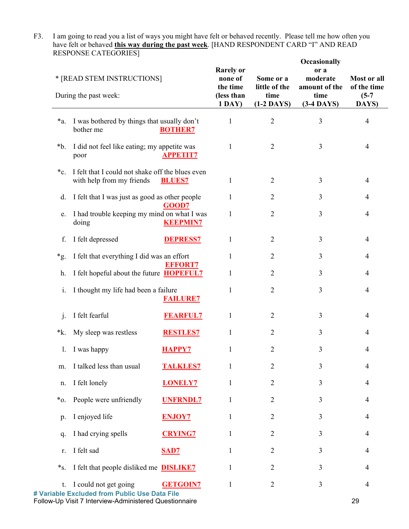| F3. I am going to read you a list of ways you might have felt or behaved recently. Please tell me how often you |
|-----------------------------------------------------------------------------------------------------------------|
| have felt or behaved this way during the past week. [HAND RESPONDENT CARD "I" AND READ                          |
| <b>RESPONSE CATEGORIES</b>                                                                                      |

|           | * [READ STEM INSTRUCTIONS]<br>During the past week:                           |                 | <b>Rarely or</b><br>none of<br>the time<br>(less than<br>$1$ DAY) | Some or a<br>little of the<br>time<br>$(1-2$ DAYS) | <b>Occasionally</b><br>or a<br>moderate<br>amount of the<br>time<br>$(3-4$ DAYS) | Most or all<br>of the time<br>$(5-7)$<br>DAYS) |
|-----------|-------------------------------------------------------------------------------|-----------------|-------------------------------------------------------------------|----------------------------------------------------|----------------------------------------------------------------------------------|------------------------------------------------|
| *a.       | I was bothered by things that usually don't<br>bother me                      | <b>BOTHER7</b>  | $\mathbf{1}$                                                      | $\overline{2}$                                     | 3                                                                                | $\overline{4}$                                 |
| *b.       | I did not feel like eating; my appetite was<br>poor                           | <b>APPETIT7</b> | 1                                                                 | 2                                                  | 3                                                                                | 4                                              |
| $C$ .     | I felt that I could not shake off the blues even<br>with help from my friends | <b>BLUES7</b>   | $\mathbf{1}$                                                      | $\overline{2}$                                     | 3                                                                                | 4                                              |
| d.        | I felt that I was just as good as other people                                | GOOD7           | 1                                                                 | $\overline{2}$                                     | 3                                                                                | 4                                              |
| e.        | I had trouble keeping my mind on what I was<br>doing                          | <b>KEEPMIN7</b> | 1                                                                 | $\overline{2}$                                     | 3                                                                                | 4                                              |
| f.        | I felt depressed                                                              | <b>DEPRESS7</b> | 1                                                                 | $\overline{2}$                                     | 3                                                                                | 4                                              |
| $*_{g.}$  | I felt that everything I did was an effort                                    | <b>EFFORT7</b>  | 1                                                                 | $\overline{2}$                                     | 3                                                                                | 4                                              |
| h.        | I felt hopeful about the future HOPEFUL7                                      |                 | $\mathbf{1}$                                                      | $\overline{2}$                                     | 3                                                                                | 4                                              |
| i.        | I thought my life had been a failure                                          | <b>FAILURE7</b> | 1                                                                 | $\overline{2}$                                     | 3                                                                                | 4                                              |
| j.        | I felt fearful                                                                | <b>FEARFUL7</b> | 1                                                                 | 2                                                  | 3                                                                                | 4                                              |
| $*_{k.}$  | My sleep was restless                                                         | <b>RESTLES7</b> | $\mathbf{1}$                                                      | $\overline{2}$                                     | 3                                                                                | 4                                              |
| 1.        | I was happy                                                                   | <b>HAPPY7</b>   | 1                                                                 | $\overline{2}$                                     | 3                                                                                | 4                                              |
| m.        | I talked less than usual                                                      | <b>TALKLES7</b> | 1                                                                 | 2                                                  | 3                                                                                | 4                                              |
| n.        | I felt lonely                                                                 | <b>LONELY7</b>  | $\mathbf{1}$                                                      | 2                                                  | 3                                                                                | 4                                              |
| $*_{0.}$  | People were unfriendly                                                        | <b>UNFRNDL7</b> | $\mathbf{1}$                                                      | 2                                                  | 3                                                                                | 4                                              |
| p.        | I enjoyed life                                                                | <b>ENJOY7</b>   | $\mathbf{1}$                                                      | $\overline{2}$                                     | 3                                                                                | 4                                              |
| q.        | I had crying spells                                                           | <b>CRYING7</b>  | 1                                                                 | $\overline{c}$                                     | 3                                                                                | 4                                              |
| r.        | I felt sad                                                                    | <b>SAD7</b>     | 1                                                                 | 2                                                  | 3                                                                                | 4                                              |
| $*_{S}$ . | I felt that people disliked me <b>DISLIKE7</b>                                |                 | 1                                                                 | 2                                                  | 3                                                                                | 4                                              |
| t.        | I could not get going<br># Variable Excluded from Public Use Data File        | <b>GETGOIN7</b> | $\mathbf{1}$                                                      | $\overline{2}$                                     | 3                                                                                | 4                                              |

Follow-Up Visit 7 Interview-Administered Questionnaire 29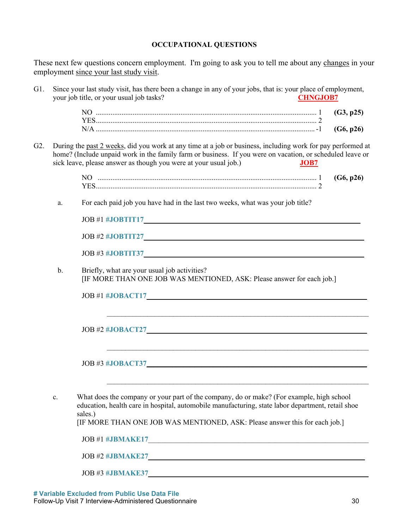### **OCCUPATIONAL QUESTIONS**

These next few questions concern employment. I'm going to ask you to tell me about any changes in your employment since your last study visit.

| G1.              | Since your last study visit, has there been a change in any of your jobs, that is: your place of employment,<br>your job title, or your usual job tasks?<br><b>CHNGJOB7</b> |                                                                                                                                                                                                                                                                                                      |  |  |  |  |  |
|------------------|-----------------------------------------------------------------------------------------------------------------------------------------------------------------------------|------------------------------------------------------------------------------------------------------------------------------------------------------------------------------------------------------------------------------------------------------------------------------------------------------|--|--|--|--|--|
|                  |                                                                                                                                                                             | (G3, p25)<br>(G6, p26)                                                                                                                                                                                                                                                                               |  |  |  |  |  |
| G <sub>2</sub> . |                                                                                                                                                                             | During the past 2 weeks, did you work at any time at a job or business, including work for pay performed at<br>home? (Include unpaid work in the family farm or business. If you were on vacation, or scheduled leave or<br>sick leave, please answer as though you were at your usual job.)<br>JOB7 |  |  |  |  |  |
|                  |                                                                                                                                                                             | (G6, p26)                                                                                                                                                                                                                                                                                            |  |  |  |  |  |
|                  | a.                                                                                                                                                                          | For each paid job you have had in the last two weeks, what was your job title?                                                                                                                                                                                                                       |  |  |  |  |  |
|                  |                                                                                                                                                                             | JOB #1 #JOBTT17                                                                                                                                                                                                                                                                                      |  |  |  |  |  |
|                  |                                                                                                                                                                             | JOB #2 #JOBTIT27                                                                                                                                                                                                                                                                                     |  |  |  |  |  |
|                  |                                                                                                                                                                             | $JOB \#3 \#JOBTT37$                                                                                                                                                                                                                                                                                  |  |  |  |  |  |
|                  | $\mathbf b$ .                                                                                                                                                               | Briefly, what are your usual job activities?<br>[IF MORE THAN ONE JOB WAS MENTIONED, ASK: Please answer for each job.]                                                                                                                                                                               |  |  |  |  |  |
|                  |                                                                                                                                                                             | JOB #1 #JOBACT17                                                                                                                                                                                                                                                                                     |  |  |  |  |  |
|                  |                                                                                                                                                                             | JOB #2 #JOBACT27                                                                                                                                                                                                                                                                                     |  |  |  |  |  |
|                  |                                                                                                                                                                             |                                                                                                                                                                                                                                                                                                      |  |  |  |  |  |
|                  | c.                                                                                                                                                                          | What does the company or your part of the company, do or make? (For example, high school<br>education, health care in hospital, automobile manufacturing, state labor department, retail shoe<br>sales.)<br>[IF MORE THAN ONE JOB WAS MENTIONED, ASK: Please answer this for each job.]              |  |  |  |  |  |
|                  |                                                                                                                                                                             | JOB #1 #JBMAKE17                                                                                                                                                                                                                                                                                     |  |  |  |  |  |
|                  |                                                                                                                                                                             |                                                                                                                                                                                                                                                                                                      |  |  |  |  |  |
|                  |                                                                                                                                                                             |                                                                                                                                                                                                                                                                                                      |  |  |  |  |  |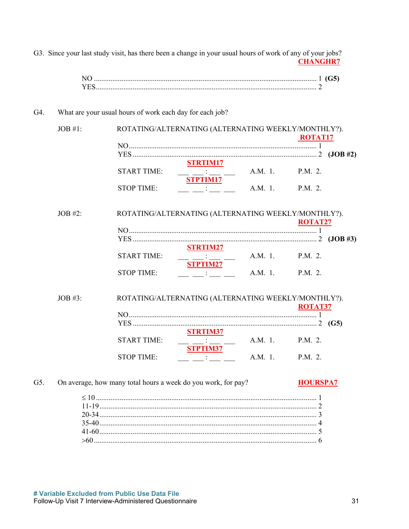ROTATING/ALTERNATING (ALTERNATING WEEKLY/MONTHLY?).  $JOB #1:$ ROTAT<sub>17</sub> **STRTIM17**  $\frac{1}{\text{STPTIM17}}$ **START TIME:** A.M. 1.  $P.M. 2.$ **STOP TIME:**  $\mathcal{L}^{\mathcal{L}}(\mathcal{L}^{\mathcal{L}}(\mathcal{L}^{\mathcal{L}}(\mathcal{L}^{\mathcal{L}}(\mathcal{L}^{\mathcal{L}}(\mathcal{L}^{\mathcal{L}}(\mathcal{L}^{\mathcal{L}}(\mathcal{L}^{\mathcal{L}}(\mathcal{L}^{\mathcal{L}}(\mathcal{L}^{\mathcal{L}}(\mathcal{L}^{\mathcal{L}}(\mathcal{L}^{\mathcal{L}}(\mathcal{L}^{\mathcal{L}}(\mathcal{L}^{\mathcal{L}}(\mathcal{L}^{\mathcal{L}}(\mathcal{L}^{\mathcal{L}}(\mathcal{L}^{\mathcal{L$ A.M. 1. P.M. 2. ROTATING/ALTERNATING (ALTERNATING WEEKLY/MONTHLY?). JOB #2: ROTAT27 **STRTIM27**  $\mathbb{C}^{\mathbb{C}}$  . **START TIME:** A.M. 1. P.M. 2. **STPTIM27 STOP TIME:** A.M. 1. P.M. 2. ROTATING/ALTERNATING (ALTERNATING WEEKLY/MONTHLY?).  $JOB \#3$ : ROTAT37 **STRTIM37** -<br>- <sub>-</sub> - - - -**START TIME:** A.M. 1. P.M. 2. STPTIM37 **STOP TIME:**  $\mathcal{L}^{\text{max}}_{\text{max}}$  . The set of the  $\mathcal{L}^{\text{max}}_{\text{max}}$ A.M. 1. P.M. 2. On average, how many total hours a week do you work, for pay?  $G5.$ **HOURSPA7** # Variable Excluded from Public Use Data File Follow-Up Visit 7 Interview-Administered Questionnaire

G3. Since your last study visit, has there been a change in your usual hours of work of any of your jobs?

What are your usual hours of work each day for each job?

G4.

**CHANGHR7**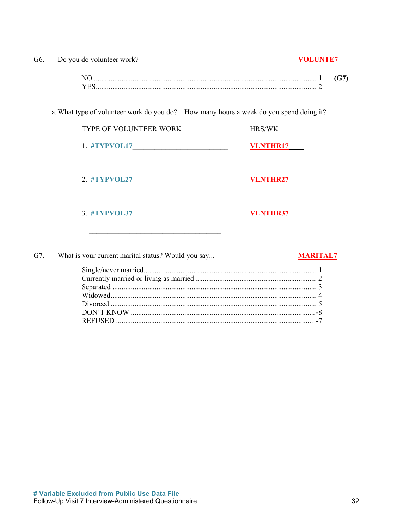| G6. | Do you do volunteer work?     | <b>VOLUNTE7</b>                                                                        |      |
|-----|-------------------------------|----------------------------------------------------------------------------------------|------|
|     |                               |                                                                                        | (G7) |
|     |                               | a. What type of volunteer work do you do? How many hours a week do you spend doing it? |      |
|     | <b>TYPE OF VOLUNTEER WORK</b> | HRS/WK                                                                                 |      |
|     |                               | <b>VLNTHR17</b>                                                                        |      |
|     |                               | <b>VLNTHR27</b>                                                                        |      |
|     |                               | <b>VLNTHR37</b>                                                                        |      |
|     |                               |                                                                                        |      |

What is your current marital status? Would you say... G7.

**MARITAL7**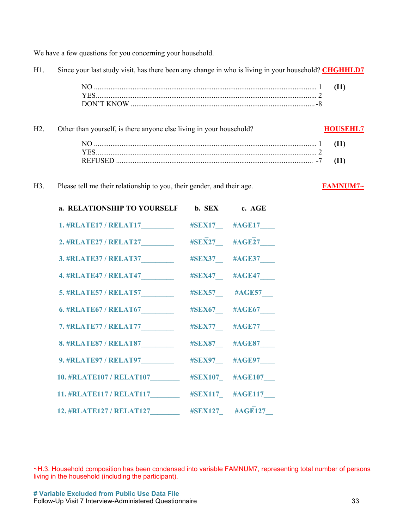| a. RELATIONSHIP TO YOURSELF b. SEX c. AGE                 |                      |
|-----------------------------------------------------------|----------------------|
| 1. #RLATE17 / RELAT17_____________ #SEX17___ #AGE17____   |                      |
|                                                           | #SEX27___ #AGE27____ |
|                                                           |                      |
|                                                           |                      |
|                                                           | #SEX57___ #AGE57___  |
| 6. #RLATE67 / RELAT67 ____________ #SEX67 ___ #AGE67 ___  |                      |
|                                                           |                      |
| 8. #RLATE87 / RELAT87 4SEX87 #AGE87                       |                      |
| 9. #RLATE97 / RELAT97 4SEX97 4AGE97                       |                      |
| 10. #RLATE107 / RELAT107___________ #SEX107___ #AGE107___ |                      |
| 11. #RLATE117 / RELAT117 #SEX117 #AGE117                  |                      |
| 12. #RLATE127 / RELAT127___________ #SEX127__ #AGE127___  |                      |

~H.3. Household composition has been condensed into variable FAMNUM7, representing total number of persons living in the household (including the participant).

### We have a few questions for you concerning your household.

H1. Since your last study visit, has there been any change in who is living in your household? **CHGHHLD7**

| YES. |  |
|------|--|
|      |  |

| H2. | Other than yourself, is there anyone else living in your household? | <b>HOUSEHL7</b> |
|-----|---------------------------------------------------------------------|-----------------|
|     |                                                                     |                 |
|     |                                                                     |                 |
|     |                                                                     |                 |

H3. Please tell me their relationship to you, their gender, and their age. **FAMNUM7**~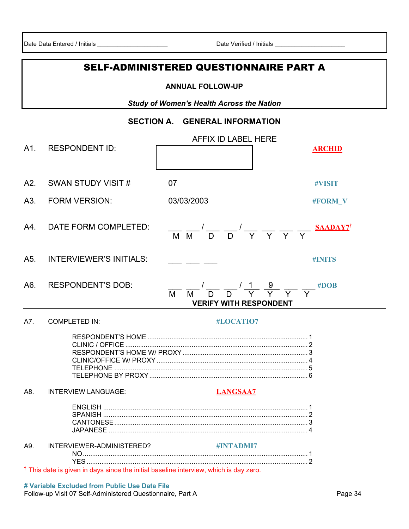### SELF-ADMINISTERED QUESTIONNAIRE PART A

### **ANNUAL FOLLOW-UP**

*Study of Women's Health Across the Nation*

### **SECTION A. GENERAL INFORMATION**

|                  |                                                                                         | AFFIX ID LABEL HERE                                                                                                                                                                                                               |               |
|------------------|-----------------------------------------------------------------------------------------|-----------------------------------------------------------------------------------------------------------------------------------------------------------------------------------------------------------------------------------|---------------|
|                  | A1. RESPONDENT ID:                                                                      |                                                                                                                                                                                                                                   | <b>ARCHID</b> |
| A2.              | SWAN STUDY VISIT#                                                                       | 07                                                                                                                                                                                                                                | <b>#VISIT</b> |
| A3.              | <b>FORM VERSION:</b>                                                                    | 03/03/2003                                                                                                                                                                                                                        | #FORM V       |
| A4.              | DATE FORM COMPLETED:                                                                    | $\frac{1}{M} \frac{1}{M} \frac{1}{D} \frac{1}{D} \frac{1}{Y} \frac{1}{Y} \frac{1}{Y} \frac{5AADAY7}{Y}$                                                                                                                           |               |
| A5.              | <b>INTERVIEWER'S INITIALS:</b>                                                          |                                                                                                                                                                                                                                   | <b>#INITS</b> |
| A <sub>6</sub> . | <b>RESPONDENT'S DOB:</b>                                                                | $\frac{1}{M}$ $\frac{1}{M}$ $\frac{1}{D}$ $\frac{1}{D}$ $\frac{1}{\gamma}$ $\frac{9}{\gamma}$ $\frac{1}{\gamma}$ $\frac{9}{\gamma}$ $\frac{1}{\gamma}$ $\frac{1}{N}$ $\frac{1}{N}$ $\frac{1}{N}$<br><b>VERIFY WITH RESPONDENT</b> |               |
| A7.              | <b>COMPLETED IN:</b>                                                                    | #LOCATIO7                                                                                                                                                                                                                         |               |
|                  |                                                                                         |                                                                                                                                                                                                                                   |               |
| A8.              | <b>INTERVIEW LANGUAGE:</b>                                                              | <b>LANGSAA7</b>                                                                                                                                                                                                                   |               |
| A9.              | INTERVIEWER-ADMINISTERED?                                                               | #INTADMI7                                                                                                                                                                                                                         |               |
|                  | $†$ This date is given in days since the initial baseline interview, which is day zero. |                                                                                                                                                                                                                                   |               |

**# Variable Excluded from Public Use Data File** Follow-up Visit 07 Self-Administered Questionnaire, Part A Page 34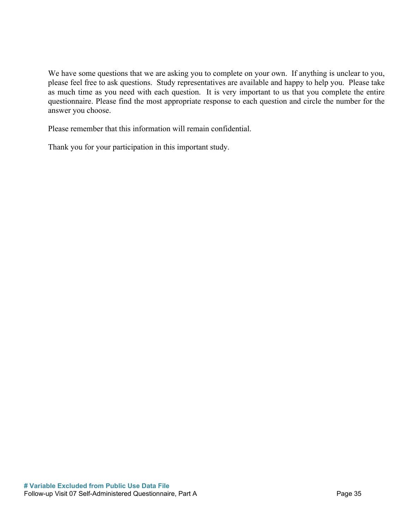We have some questions that we are asking you to complete on your own. If anything is unclear to you, please feel free to ask questions. Study representatives are available and happy to help you. Please take as much time as you need with each question. It is very important to us that you complete the entire questionnaire. Please find the most appropriate response to each question and circle the number for the answer you choose.

Please remember that this information will remain confidential.

Thank you for your participation in this important study.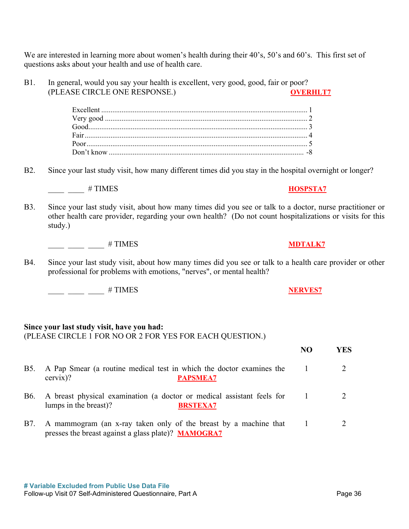We are interested in learning more about women's health during their 40's, 50's and 60's. This first set of questions asks about your health and use of health care.

B1. In general, would you say your health is excellent, very good, good, fair or poor? (PLEASE CIRCLE ONE RESPONSE.) **OVERHLT7**

B2. Since your last study visit, how many different times did you stay in the hospital overnight or longer?

\_\_\_\_ \_\_\_\_ # TIMES **HOSPSTA7**

B3. Since your last study visit, about how many times did you see or talk to a doctor, nurse practitioner or other health care provider, regarding your own health? (Do not count hospitalizations or visits for this study.)

\_\_\_\_ \_\_\_\_ \_\_\_\_ # TIMES **MDTALK7**

B4. Since your last study visit, about how many times did you see or talk to a health care provider or other professional for problems with emotions, "nerves", or mental health?

\_\_\_\_ \_\_\_\_ \_\_\_\_ # TIMES **NERVES7**

### **Since your last study visit, have you had:**

(PLEASE CIRCLE 1 FOR NO OR 2 FOR YES FOR EACH QUESTION.)

|                  |                                                                                                                         | NO | YES |
|------------------|-------------------------------------------------------------------------------------------------------------------------|----|-----|
| B5.              | A Pap Smear (a routine medical test in which the doctor examines the<br>$cervix$ ?<br><b>PAPSMEA7</b>                   |    |     |
| B <sub>6</sub> . | A breast physical examination (a doctor or medical assistant feels for<br>lumps in the breast)?<br><b>BRSTEXA7</b>      |    |     |
| B7.              | A mammogram (an x-ray taken only of the breast by a machine that<br>presses the breast against a glass plate)? MAMOGRA7 |    |     |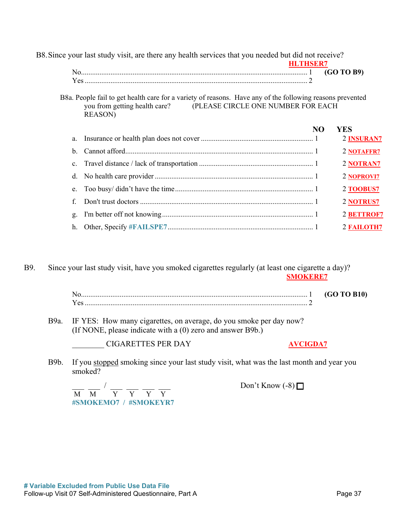B8.Since your last study visit, are there any health services that you needed but did not receive?  **HLTHSER7**

| (GO TO B9) |
|------------|
|            |

B8a. People fail to get health care for a variety of reasons. Have any of the following reasons prevented you from getting health care? (PLEASE CIRCLE ONE NUMBER FOR EACH (PLEASE CIRCLE ONE NUMBER FOR EACH) REASON)

|             | NΟ | YES        |
|-------------|----|------------|
|             |    | 2 INSURAN7 |
| $h_{\cdot}$ |    | 2 NOTAFFR7 |
|             |    | 2 NOTRAN7  |
|             |    | 2 NOPROVIZ |
|             |    | 2 TOOBUS7  |
| £           |    | 2 NOTRUS7  |
| g.          |    | 2 BETTROF7 |
| h.          |    | 2 FAILOTH7 |

B9. Since your last study visit, have you smoked cigarettes regularly (at least one cigarette a day)? **SMOKERE7**

|      |                                                                                                                                  | (GO TO B10)     |
|------|----------------------------------------------------------------------------------------------------------------------------------|-----------------|
| B9a. | IF YES: How many cigarettes, on average, do you smoke per day now?<br>(If NONE, please indicate with a (0) zero and answer B9b.) |                 |
|      | <b>CIGARETTES PER DAY</b>                                                                                                        | <b>AVCIGDA7</b> |
| B9b. | If you stopped smoking since your last study visit, what was the last month and year you<br>smoked?                              |                 |

 $\frac{1}{2}$   $\frac{1}{2}$   $\frac{1}{2}$   $\frac{1}{2}$   $\frac{1}{2}$   $\frac{1}{2}$   $\frac{1}{2}$   $\frac{1}{2}$   $\frac{1}{2}$   $\frac{1}{2}$   $\frac{1}{2}$   $\frac{1}{2}$   $\frac{1}{2}$   $\frac{1}{2}$   $\frac{1}{2}$   $\frac{1}{2}$   $\frac{1}{2}$   $\frac{1}{2}$   $\frac{1}{2}$   $\frac{1}{2}$   $\frac{1}{2}$   $\frac{1}{2}$  M M Y Y Y Y **#SMOKEMO7 / #SMOKEYR7**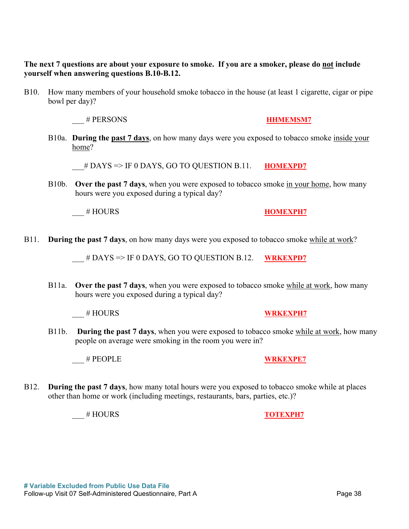### **The next 7 questions are about your exposure to smoke. If you are a smoker, please do not include yourself when answering questions B.10-B.12.**

B10. How many members of your household smoke tobacco in the house (at least 1 cigarette, cigar or pipe bowl per day)?

# PERSONS **HHMEMSM7** 

B10a. **During the past 7 days**, on how many days were you exposed to tobacco smoke inside your

\_\_\_# DAYS => IF 0 DAYS, GO TO QUESTION B.11. **HOMEXPD7**

B10b. **Over the past 7 days**, when you were exposed to tobacco smoke in your home, how many hours were you exposed during a typical day?

\_\_\_ # HOURS **HOMEXPH7**

home?

B11. **During the past 7 days**, on how many days were you exposed to tobacco smoke while at work?

\_\_\_ # DAYS => IF 0 DAYS, GO TO QUESTION B.12. **WRKEXPD7**

B11a. **Over the past 7 days**, when you were exposed to tobacco smoke while at work, how many hours were you exposed during a typical day?

\_\_\_ # HOURS **WRKEXPH7**

B11b. **During the past 7 days**, when you were exposed to tobacco smoke while at work, how many people on average were smoking in the room you were in?

\_\_\_ # PEOPLE **WRKEXPE7**

B12. **During the past 7 days**, how many total hours were you exposed to tobacco smoke while at places other than home or work (including meetings, restaurants, bars, parties, etc.)?

\_\_\_ # HOURS **TOTEXPH7**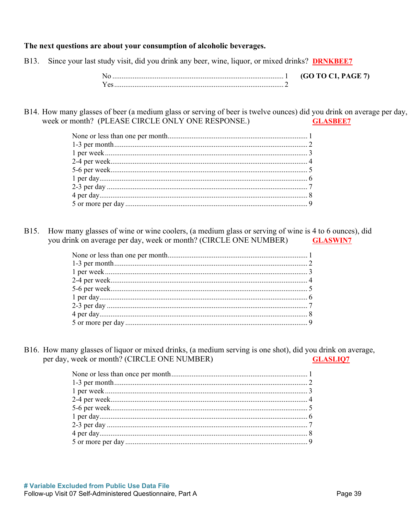## The next questions are about your consumption of alcoholic beverages.

Since your last study visit, did you drink any beer, wine, liquor, or mixed drinks? DRNKBEE7 B13.

| (GO TO C1. PAGE 7) |
|--------------------|
|                    |

B14. How many glasses of beer (a medium glass or serving of beer is twelve ounces) did you drink on average per day, week or month? (PLEASE CIRCLE ONLY ONE RESPONSE.) **GLASBEE7** 

B15. How many glasses of wine or wine coolers, (a medium glass or serving of wine is 4 to 6 ounces), did you drink on average per day, week or month? (CIRCLE ONE NUMBER) **GLASWIN7** 

B16. How many glasses of liquor or mixed drinks, (a medium serving is one shot), did you drink on average, per day, week or month? (CIRCLE ONE NUMBER) **GLASLIQ7**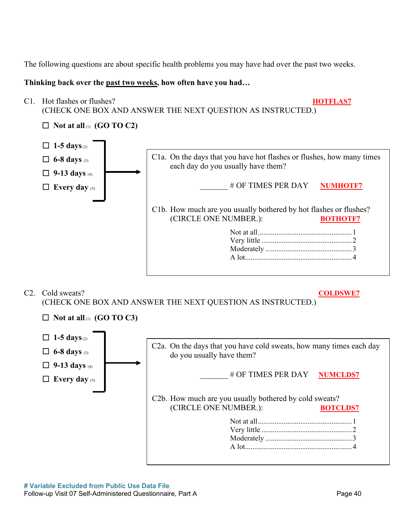The following questions are about specific health problems you may have had over the past two weeks.

**Thinking back over the past two weeks, how often have you had…**

C1. Hot flashes or flushes? **HOTFLAS7** (CHECK ONE BOX AND ANSWER THE NEXT QUESTION AS INSTRUCTED.)



# C2. Cold sweats? **COLDSWE7**

(CHECK ONE BOX AND ANSWER THE NEXT QUESTION AS INSTRUCTED.)

 $\Box$  Not at all<sub>(1)</sub> (GO TO C3)

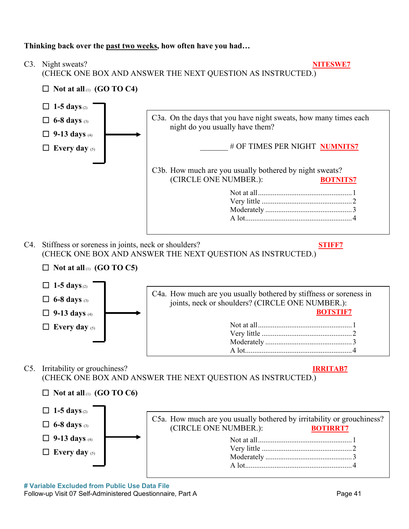# **Thinking back over the past two weeks, how often have you had…**

C3. Night sweats? **NITESWE7** (CHECK ONE BOX AND ANSWER THE NEXT QUESTION AS INSTRUCTED.) □ Not at all<sub>(1)</sub> (GO TO C4)



- C4. Stiffness or soreness in joints, neck or shoulders? **STIFF7** (CHECK ONE BOX AND ANSWER THE NEXT QUESTION AS INSTRUCTED.)
	- $\Box$  Not at all<sub>(1)</sub> (GO TO C5)



- C5. Irritability or grouchiness? **IRRITAB7** (CHECK ONE BOX AND ANSWER THE NEXT QUESTION AS INSTRUCTED.)
	- $\Box$  Not at all<sub>(1)</sub> (GO TO C6)

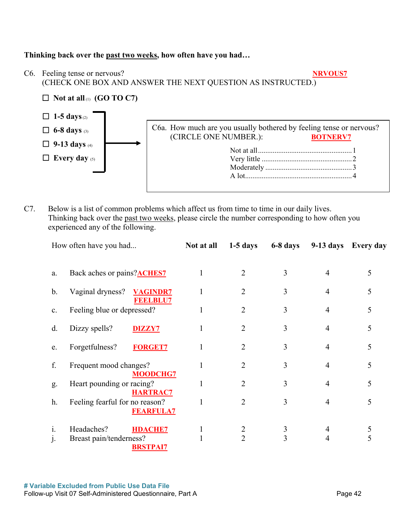# **Thinking back over the past two weeks, how often have you had…**

- C6. Feeling tense or nervous? **NRVOUS7** (CHECK ONE BOX AND ANSWER THE NEXT QUESTION AS INSTRUCTED.)
	- $\Box$  Not at all<sub>(1)</sub> (GO TO C7)



C7. Below is a list of common problems which affect us from time to time in our daily lives. Thinking back over the past two weeks, please circle the number corresponding to how often you experienced any of the following.

|                           | How often have you had                                                     | Not at all | $1-5$ days     | 6-8 days |                | 9-13 days Every day |
|---------------------------|----------------------------------------------------------------------------|------------|----------------|----------|----------------|---------------------|
| a.                        | Back aches or pains? <b>ACHES7</b>                                         |            |                | 3        | $\overline{4}$ | 5                   |
| b.                        | Vaginal dryness?<br><b>VAGINDR7</b><br><b>FEELBLU7</b>                     |            | 2              | 3        | $\overline{4}$ | 5                   |
| c.                        | Feeling blue or depressed?                                                 |            | 2              | 3        | $\overline{4}$ | 5                   |
| $\mathbf{d}$ .            | Dizzy spells?<br><b>DIZZY7</b>                                             |            | $\overline{2}$ | 3        | $\overline{4}$ | 5                   |
| e.                        | Forgetfulness?<br><b>FORGET7</b>                                           |            | 2              | 3        | 4              | 5                   |
| f.                        | Frequent mood changes?<br><b>MOODCHG7</b>                                  |            | 2              | 3        | $\overline{4}$ | 5                   |
| g.                        | Heart pounding or racing?<br><b>HARTRAC7</b>                               |            | 2              | 3        | $\overline{4}$ | 5                   |
| h.                        | Feeling fearful for no reason?<br><b>FEARFULA7</b>                         |            | 2              | 3        | 4              | 5                   |
| $\mathbf{1}$ .<br>$\cdot$ | Headaches?<br><b>HDACHE7</b><br>Breast pain/tenderness?<br><b>BRSTPAI7</b> |            | $\overline{2}$ | 3        | 4<br>4         | 5                   |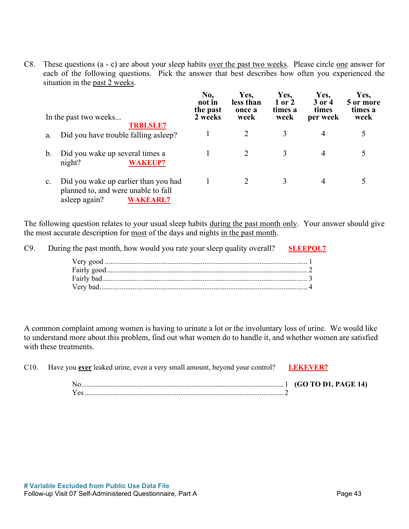C8. These questions (a - c) are about your sleep habits over the past two weeks. Please circle one answer for each of the following questions. Pick the answer that best describes how often you experienced the situation in the past 2 weeks.

|                | In the past two weeks                                                                                           | No,<br>not in<br>the past<br>2 weeks | Yes,<br>less than<br>once a<br>week | Yes,<br>1 or 2<br>times a<br>week | Yes,<br>3 or 4<br>times<br>per week | Yes,<br>5 or more<br>times a<br>week |
|----------------|-----------------------------------------------------------------------------------------------------------------|--------------------------------------|-------------------------------------|-----------------------------------|-------------------------------------|--------------------------------------|
| a.             | <b>TRBLSLE7</b><br>Did you have trouble falling as leep?                                                        |                                      |                                     | 3                                 | 4                                   |                                      |
| b.             | Did you wake up several times a<br>night?<br><b>WAKEUP7</b>                                                     |                                      | 2                                   | 3                                 | 4                                   |                                      |
| $\mathbf{c}$ . | Did you wake up earlier than you had<br>planned to, and were unable to fall<br>asleep again?<br><b>WAKEARL7</b> |                                      |                                     | 3                                 | 4                                   |                                      |

The following question relates to your usual sleep habits during the past month only. Your answer should give the most accurate description for most of the days and nights in the past month.

| C9. | During the past month, how would you rate your sleep quality overall? SLEEPQL7 |  |
|-----|--------------------------------------------------------------------------------|--|
|     |                                                                                |  |

A common complaint among women is having to urinate a lot or the involuntary loss of urine. We would like to understand more about this problem, find out what women do to handle it, and whether women are satisfied with these treatments.

| C10. Have you ever leaked urine, even a very small amount, beyond your control? LEKEVER7 |  |
|------------------------------------------------------------------------------------------|--|
|                                                                                          |  |
|                                                                                          |  |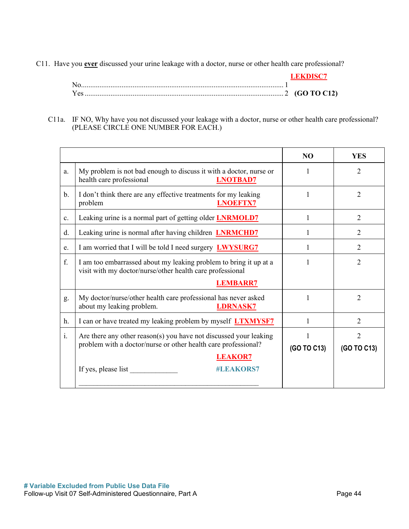C11. Have you **ever** discussed your urine leakage with a doctor, nurse or other health care professional?

| (GO TO C12) |
|-------------|

C11a. IF NO, Why have you not discussed your leakage with a doctor, nurse or other health care professional? (PLEASE CIRCLE ONE NUMBER FOR EACH.)

|                |                                                                                                                                                       | N <sub>O</sub> | <b>YES</b>                    |
|----------------|-------------------------------------------------------------------------------------------------------------------------------------------------------|----------------|-------------------------------|
| a.             | My problem is not bad enough to discuss it with a doctor, nurse or<br>health care professional<br><b>LNOTBAD7</b>                                     | 1              | 2                             |
| b.             | I don't think there are any effective treatments for my leaking<br>problem<br><b>LNOEFTX7</b>                                                         | 1              | $\overline{2}$                |
| c.             | Leaking urine is a normal part of getting older <b>LNRMOLD7</b>                                                                                       | 1              | $\overline{2}$                |
| d.             | Leaking urine is normal after having children <b>LNRMCHD7</b>                                                                                         | 1              | 2                             |
| e.             | I am worried that I will be told I need surgery <b>LWYSURG7</b>                                                                                       |                | $\overline{2}$                |
| f.             | I am too embarrassed about my leaking problem to bring it up at a<br>visit with my doctor/nurse/other health care professional                        |                | 2                             |
|                | <b>LEMBARR7</b>                                                                                                                                       |                |                               |
| g.             | My doctor/nurse/other health care professional has never asked<br>about my leaking problem.<br><b>LDRNASK7</b>                                        |                | $\overline{2}$                |
| h.             | I can or have treated my leaking problem by myself <b>LTXMYSF7</b>                                                                                    | 1              | 2                             |
| $\mathbf{i}$ . | Are there any other reason(s) you have not discussed your leaking<br>problem with a doctor/nurse or other health care professional?<br><b>LEAKOR7</b> | (GO TO C13)    | $\overline{2}$<br>(GO TO C13) |
|                | If yes, please list<br><b>#LEAKORS7</b>                                                                                                               |                |                               |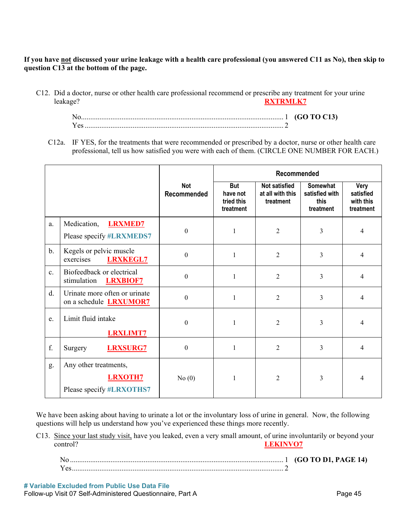## **If you have not discussed your urine leakage with a health care professional (you answered C11 as No), then skip to question C13 at the bottom of the page.**

C12. Did a doctor, nurse or other health care professional recommend or prescribe any treatment for your urine leakage? **RXTRMLK7**

| (GO TO C13) |
|-------------|
|             |

C12a. IF YES, for the treatments that were recommended or prescribed by a doctor, nurse or other health care professional, tell us how satisfied you were with each of them. (CIRCLE ONE NUMBER FOR EACH.)

|                |                                                                     |                           |                                                   | Recommended                                           |                                                        |                                             |
|----------------|---------------------------------------------------------------------|---------------------------|---------------------------------------------------|-------------------------------------------------------|--------------------------------------------------------|---------------------------------------------|
|                |                                                                     | <b>Not</b><br>Recommended | <b>But</b><br>have not<br>tried this<br>treatment | <b>Not satisfied</b><br>at all with this<br>treatment | <b>Somewhat</b><br>satisfied with<br>this<br>treatment | Very<br>satisfied<br>with this<br>treatment |
| a.             | Medication,<br><b>LRXMED7</b><br>Please specify #LRXMEDS7           | $\boldsymbol{0}$          | 1                                                 | $\overline{2}$                                        | 3                                                      | $\overline{4}$                              |
| b.             | Kegels or pelvic muscle<br><b>LRXKEGL7</b><br>exercises             | $\boldsymbol{0}$          | $\mathbf{1}$                                      | $\overline{2}$                                        | 3                                                      | $\overline{4}$                              |
| $\mathbf{c}$ . | Biofeedback or electrical<br>stimulation<br><b>LRXBIOF7</b>         | $\boldsymbol{0}$          | $\mathbf{1}$                                      | $\overline{2}$                                        | 3                                                      | 4                                           |
| d.             | Urinate more often or urinate<br>on a schedule <b>LRXUMOR7</b>      | $\boldsymbol{0}$          | 1                                                 | $\overline{2}$                                        | 3                                                      | 4                                           |
| e.             | Limit fluid intake<br><b>LRXLIMT7</b>                               | $\boldsymbol{0}$          | $\mathbf{1}$                                      | $\overline{2}$                                        | 3                                                      | 4                                           |
| f.             | <b>LRXSURG7</b><br>Surgery                                          | $\boldsymbol{0}$          | $\mathbf{1}$                                      | $\overline{2}$                                        | 3                                                      | $\overline{4}$                              |
| g.             | Any other treatments,<br><b>LRXOTH7</b><br>Please specify #LRXOTHS7 | No(0)                     | 1                                                 | 2                                                     | 3                                                      | 4                                           |

We have been asking about having to urinate a lot or the involuntary loss of urine in general. Now, the following questions will help us understand how you've experienced these things more recently.

C13. Since your last study visit, have you leaked, even a very small amount, of urine involuntarily or beyond your control? **LEKINVO7** 

| <b>(GO TO D1, PAGE 14)</b> |
|----------------------------|
|                            |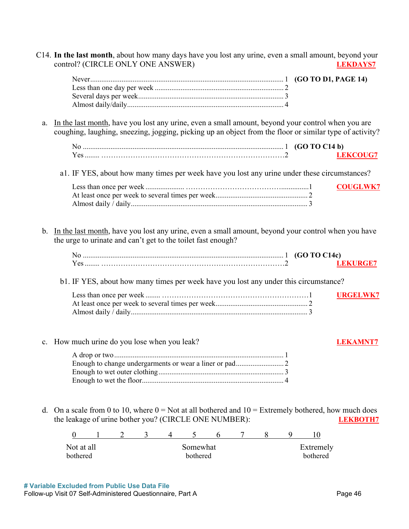|                                   | C14. In the last month, about how many days have you lost any urine, even a small amount, beyond your |
|-----------------------------------|-------------------------------------------------------------------------------------------------------|
| control? (CIRCLE ONLY ONE ANSWER) | LEKDAYS7                                                                                              |

a. In the last month, have you lost any urine, even a small amount, beyond your control when you are coughing, laughing, sneezing, jogging, picking up an object from the floor or similar type of activity?

| (GO TO C14 b) |
|---------------|
|               |

a1. IF YES, about how many times per week have you lost any urine under these circumstances?

| <b>COUGLWK7</b> |
|-----------------|
|                 |
|                 |

b. In the last month, have you lost any urine, even a small amount, beyond your control when you have the urge to urinate and can't get to the toilet fast enough?

| (GO TO C14c) |
|--------------|
| LEKTRAR7     |

b1. IF YES, about how many times per week have you lost any under this circumstance?

| <b>URGELWK7</b> |
|-----------------|
|                 |
|                 |

c. How much urine do you lose when you leak? **LEKAMNT7**

d. On a scale from 0 to 10, where  $0 = Not$  at all bothered and  $10 = Extremely$  bothered, how much does the leakage of urine bother you? (CIRCLE ONE NUMBER): **LEKBOTH7** 

| Not at all<br>bothered |  |  | Somewhat<br>bothered |  |  | Extremely<br>bothered |
|------------------------|--|--|----------------------|--|--|-----------------------|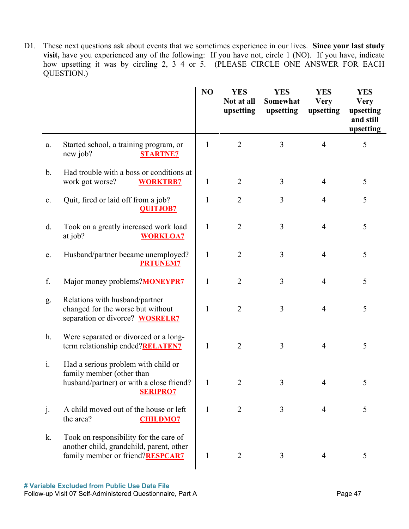D1. These next questions ask about events that we sometimes experience in our lives. **Since your last study**  visit, have you experienced any of the following: If you have not, circle 1 (NO). If you have, indicate how upsetting it was by circling 2, 3 4 or 5. (PLEASE CIRCLE ONE ANSWER FOR EACH QUESTION.)

|               |                                                                                                                                 | NO           | <b>YES</b><br>Not at all<br>upsetting | <b>YES</b><br>Somewhat<br>upsetting | <b>YES</b><br><b>Very</b><br>upsetting | <b>YES</b><br><b>Very</b><br>upsetting<br>and still<br>upsetting |
|---------------|---------------------------------------------------------------------------------------------------------------------------------|--------------|---------------------------------------|-------------------------------------|----------------------------------------|------------------------------------------------------------------|
| a.            | Started school, a training program, or<br><b>STARTNE7</b><br>new job?                                                           | $\mathbf{1}$ | $\overline{2}$                        | 3                                   | $\overline{4}$                         | 5                                                                |
| $\mathbf b$ . | Had trouble with a boss or conditions at<br>work got worse?<br><b>WORKTRB7</b>                                                  | $\mathbf{1}$ | $\overline{2}$                        | 3                                   | $\overline{4}$                         | 5                                                                |
| c.            | Quit, fired or laid off from a job?<br><b>QUITJOB7</b>                                                                          | $\mathbf{1}$ | $\overline{2}$                        | 3                                   | $\overline{4}$                         | 5                                                                |
| d.            | Took on a greatly increased work load<br>at job?<br><b>WORKLOA7</b>                                                             | $\mathbf{1}$ | $\overline{2}$                        | 3                                   | $\overline{4}$                         | 5                                                                |
| e.            | Husband/partner became unemployed?<br><b>PRTUNEM7</b>                                                                           | $\mathbf{1}$ | $\overline{2}$                        | 3                                   | $\overline{4}$                         | 5                                                                |
| f.            | Major money problems? <b>MONEYPR7</b>                                                                                           | 1            | $\overline{2}$                        | 3                                   | $\overline{4}$                         | 5                                                                |
| g.            | Relations with husband/partner<br>changed for the worse but without<br>separation or divorce? WOSRELR7                          | 1            | $\overline{2}$                        | 3                                   | 4                                      | 5                                                                |
| h.            | Were separated or divorced or a long-<br>term relationship ended?RELATEN7                                                       | 1            | $\overline{2}$                        | 3                                   | $\overline{4}$                         | 5                                                                |
| i.            | Had a serious problem with child or<br>family member (other than<br>husband/partner) or with a close friend?<br><b>SERIPRO7</b> | $\mathbf{1}$ | 2                                     | 3                                   | 4                                      | 5                                                                |
| $\mathbf{J}$  | A child moved out of the house or left<br>the area?<br><b>CHILDMO7</b>                                                          | $\mathbf{1}$ | 2                                     | 3                                   | 4                                      | 5                                                                |
| k.            | Took on responsibility for the care of<br>another child, grandchild, parent, other<br>family member or friend?RESPCAR7          | $\mathbf{1}$ | 2                                     | 3                                   | $\overline{4}$                         | 5                                                                |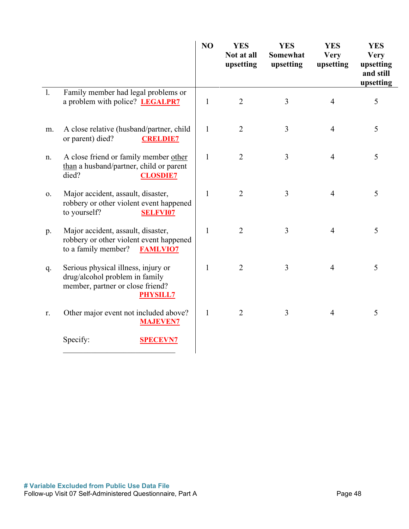|    |                                                                                                                              | NO           | <b>YES</b><br>Not at all<br>upsetting | <b>YES</b><br>Somewhat<br>upsetting | <b>YES</b><br><b>Very</b><br>upsetting | <b>YES</b><br><b>Very</b><br>upsetting<br>and still<br>upsetting |
|----|------------------------------------------------------------------------------------------------------------------------------|--------------|---------------------------------------|-------------------------------------|----------------------------------------|------------------------------------------------------------------|
| 1. | Family member had legal problems or<br>a problem with police? LEGALPR7                                                       | $\mathbf{1}$ | $\overline{2}$                        | $\overline{3}$                      | $\overline{4}$                         | 5                                                                |
| m. | A close relative (husband/partner, child<br>or parent) died?<br><b>CRELDIE7</b>                                              | $\mathbf{1}$ | $\overline{2}$                        | 3                                   | $\overline{4}$                         | 5                                                                |
| n. | A close friend or family member other<br>than a husband/partner, child or parent<br>died?<br><b>CLOSDIE7</b>                 | $\mathbf{1}$ | $\overline{2}$                        | 3                                   | $\overline{4}$                         | 5                                                                |
| 0. | Major accident, assault, disaster,<br>robbery or other violent event happened<br>to yourself?<br><b>SELFVI07</b>             | $\mathbf{1}$ | $\overline{2}$                        | 3                                   | $\overline{4}$                         | 5                                                                |
| p. | Major accident, assault, disaster,<br>robbery or other violent event happened<br>to a family member?<br><b>FAMLVIO7</b>      | $\mathbf{1}$ | $\overline{2}$                        | 3                                   | $\overline{4}$                         | 5                                                                |
| q. | Serious physical illness, injury or<br>drug/alcohol problem in family<br>member, partner or close friend?<br><b>PHYSILL7</b> | $\mathbf{1}$ | $\sqrt{2}$                            | $\overline{3}$                      | $\overline{4}$                         | 5                                                                |
| r. | Other major event not included above?<br><b>MAJEVEN7</b>                                                                     | $\mathbf{1}$ | $\overline{2}$                        | $\mathfrak{Z}$                      | $\overline{4}$                         | 5                                                                |
|    | Specify:<br><b>SPECEVN7</b>                                                                                                  |              |                                       |                                     |                                        |                                                                  |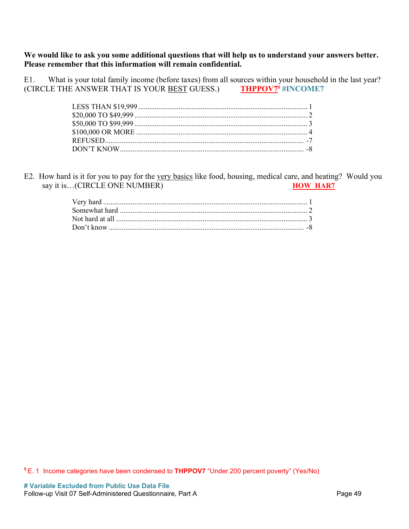**We would like to ask you some additional questions that will help us to understand your answers better. Please remember that this information will remain confidential.**

E1. What is your total family income (before taxes) from all sources within your household in the last year?<br>(CIRCLE THE ANSWER THAT IS YOUR BEST GUESS.) THPPOV7<sup>5</sup> #INCOME7 (CIRCLE THE ANSWER THAT IS YOUR **BEST** GUESS.)

E2.How hard is it for you to pay for the very basics like food, housing, medical care, and heating? Would you say it is…(CIRCLE ONE NUMBER) **HOW HAR7** 

**\$** E. 1 Income categories have been condensed to **THPPOV7** "Under 200 percent poverty" (Yes/No)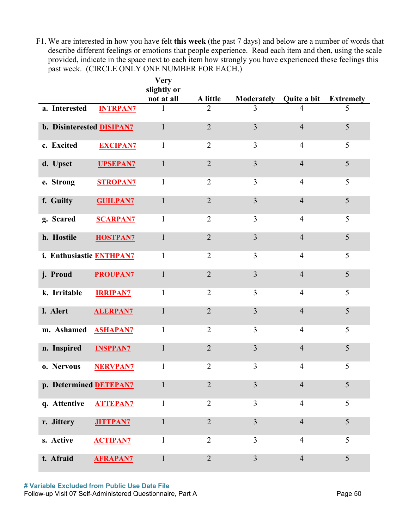F1. We are interested in how you have felt **this week** (the past 7 days) and below are a number of words that describe different feelings or emotions that people experience. Read each item and then, using the scale provided, indicate in the space next to each item how strongly you have experienced these feelings this past week. (CIRCLE ONLY ONE NUMBER FOR EACH.)

|                                  |                 | <b>Very</b><br>slightly or |                |                |                |                  |
|----------------------------------|-----------------|----------------------------|----------------|----------------|----------------|------------------|
|                                  |                 | not at all                 | A little       | Moderately     | Quite a bit    | <b>Extremely</b> |
| a. Interested                    | <b>INTRPAN7</b> |                            | $\overline{2}$ | 3              | 4              | 5                |
| b. Disinterested <b>DISIPAN7</b> |                 | $\mathbf{1}$               | $\overline{2}$ | 3              | $\overline{4}$ | 5                |
| c. Excited                       | <b>EXCIPAN7</b> | $\mathbf{1}$               | $\overline{2}$ | 3              | $\overline{4}$ | 5                |
| d. Upset                         | <b>UPSEPAN7</b> | $\mathbf{1}$               | $\overline{2}$ | $\overline{3}$ | $\overline{4}$ | 5                |
| e. Strong                        | <b>STROPAN7</b> | $\mathbf{1}$               | $\overline{2}$ | 3              | $\overline{4}$ | 5                |
| f. Guilty                        | <b>GUILPAN7</b> | $\mathbf{1}$               | $\overline{2}$ | $\overline{3}$ | $\overline{4}$ | 5                |
| g. Scared                        | <b>SCARPAN7</b> | $\mathbf{1}$               | $\overline{2}$ | 3              | $\overline{4}$ | 5                |
| h. Hostile                       | <b>HOSTPAN7</b> | $\mathbf{1}$               | $\overline{2}$ | 3              | $\overline{4}$ | 5                |
| i. Enthusiastic ENTHPAN7         |                 | 1                          | $\overline{2}$ | 3              | $\overline{4}$ | 5                |
| j. Proud                         | <b>PROUPAN7</b> | $\mathbf{1}$               | $\overline{2}$ | 3              | $\overline{4}$ | 5                |
| k. Irritable                     | <b>IRRIPAN7</b> | $\mathbf{1}$               | $\overline{2}$ | 3              | $\overline{4}$ | 5                |
| l. Alert                         | <b>ALERPAN7</b> | $\mathbf{1}$               | $\overline{2}$ | 3              | $\overline{4}$ | 5                |
| m. Ashamed                       | <b>ASHAPAN7</b> | $\mathbf{1}$               | $\overline{2}$ | 3              | $\overline{4}$ | 5                |
| n. Inspired                      | <b>INSPPAN7</b> | $\mathbf{1}$               | $\overline{2}$ | 3              | $\overline{4}$ | 5                |
| o. Nervous                       | <b>NERVPAN7</b> | 1                          | $\overline{2}$ | 3              | $\overline{4}$ | 5                |
| p. Determined DETEPAN7           |                 | $\mathbf{1}$               | $\overline{2}$ | $\overline{3}$ | $\overline{4}$ | 5                |
| q. Attentive                     | <b>ATTEPAN7</b> | $\mathbf{1}$               | $\overline{2}$ | 3              | $\overline{4}$ | 5                |
| r. Jittery                       | <b>JITTPAN7</b> | $\mathbf{1}$               | $\overline{2}$ | 3              | $\overline{4}$ | 5                |
| s. Active                        | <b>ACTIPAN7</b> | $\mathbf{1}$               | $\sqrt{2}$     | $\overline{3}$ | $\overline{4}$ | 5                |
| t. Afraid                        | <b>AFRAPAN7</b> | $\mathbf{1}$               | $\overline{2}$ | $\overline{3}$ | $\overline{4}$ | 5                |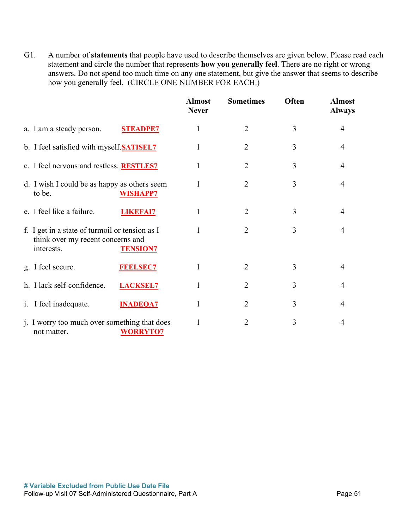G1. A number of **statements** that people have used to describe themselves are given below. Please read each statement and circle the number that represents **how you generally feel**. There are no right or wrong answers. Do not spend too much time on any one statement, but give the answer that seems to describe how you generally feel. (CIRCLE ONE NUMBER FOR EACH.)

|                                                                                                   |                 | <b>Almost</b><br><b>Never</b> | <b>Sometimes</b> | Often | <b>Almost</b><br><b>Always</b> |
|---------------------------------------------------------------------------------------------------|-----------------|-------------------------------|------------------|-------|--------------------------------|
| a. I am a steady person.                                                                          | <b>STEADPE7</b> | 1                             | 2                | 3     | $\overline{4}$                 |
| b. I feel satisfied with myself. <b>SATISEL7</b>                                                  |                 |                               | 2                | 3     | 4                              |
| c. I feel nervous and restless. RESTLES7                                                          |                 | 1                             | $\overline{2}$   | 3     | 4                              |
| d. I wish I could be as happy as others seem<br>to be.                                            | <b>WISHAPP7</b> | 1                             | $\overline{2}$   | 3     | 4                              |
| e. I feel like a failure.                                                                         | <b>LIKEFAI7</b> | 1                             | 2                | 3     | 4                              |
| f. I get in a state of turmoil or tension as I<br>think over my recent concerns and<br>interests. | <b>TENSION7</b> | 1                             | $\overline{2}$   | 3     | 4                              |
| g. I feel secure.                                                                                 | <b>FEELSEC7</b> | 1                             | 2                | 3     | 4                              |
| h. I lack self-confidence.                                                                        | <b>LACKSEL7</b> |                               | $\overline{2}$   | 3     | 4                              |
| i. I feel inadequate.                                                                             | <b>INADEQA7</b> |                               | 2                | 3     | 4                              |
| j. I worry too much over something that does<br>not matter.                                       | <b>WORRYTO7</b> | 1                             | 2                | 3     | 4                              |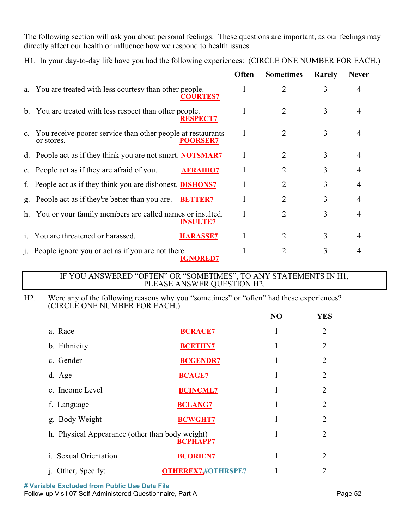The following section will ask you about personal feelings. These questions are important, as our feelings may directly affect our health or influence how we respond to health issues.

H1. In your day-to-day life have you had the following experiences: (CIRCLE ONE NUMBER FOR EACH.)

|             |                                                                                              | <b>Often</b> | <b>Sometimes</b> | <b>Rarely</b> | <b>Never</b> |
|-------------|----------------------------------------------------------------------------------------------|--------------|------------------|---------------|--------------|
|             | a. You are treated with less courtesy than other people.<br><b>COURTES7</b>                  |              | 2                | 3             | 4            |
|             | b. You are treated with less respect than other people.<br><b>RESPECT7</b>                   |              | $\overline{2}$   | 3             | 4            |
| $c_{\cdot}$ | You receive poorer service than other people at restaurants<br>or stores.<br><b>POORSER7</b> |              |                  | 3             |              |
|             | d. People act as if they think you are not smart. <b>NOTSMAR7</b>                            |              | 2                | 3             |              |
|             | e. People act as if they are afraid of you.<br><b>AFRAIDO7</b>                               |              | 2                | 3             |              |
|             | f. People act as if they think you are dishonest. <b>DISHONS7</b>                            |              | 2                | 3             | 4            |
| g.          | People act as if they're better than you are.<br><b>BETTER7</b>                              |              | 2                | 3             | 4            |
|             | h. You or your family members are called names or insulted.<br><b>INSULTE7</b>               |              |                  | 3             | 4            |
|             | i. You are threatened or harassed.<br><b>HARASSE7</b>                                        |              | 2                | 3             | 4            |
|             | <i>i.</i> People ignore you or act as if you are not there.<br><b>IGNORED7</b>               |              | 2                | 3             |              |

# IF YOU ANSWERED "OFTEN" OR "SOMETIMES", TO ANY STATEMENTS IN H1, PLEASE ANSWER QUESTION H2.

H2. Were any of the following reasons why you "sometimes" or "often" had these experiences? (CIRCLE ONE NUMBER FOR EACH.)

|                                                 |                           | N <sub>O</sub> | <b>YES</b>               |
|-------------------------------------------------|---------------------------|----------------|--------------------------|
| a. Race                                         | <b>BCRACE7</b>            | 1              | $\overline{2}$           |
| b. Ethnicity                                    | <b>BCETHN7</b>            | 1              | $\mathcal{D}$            |
| c. Gender                                       | <b>BCGENDR7</b>           | 1              | $\overline{2}$           |
| d. Age                                          | <b>BCAGE7</b>             | 1              | $\overline{2}$           |
| e. Income Level                                 | <b>BCINCML7</b>           | 1              | $\overline{2}$           |
| f. Language                                     | <b>BCLANG7</b>            | 1              | $\overline{2}$           |
| g. Body Weight                                  | <b>BCWGHT7</b>            |                | $\mathcal{D}$            |
| h. Physical Appearance (other than body weight) | <b>BCPHAPP7</b>           | 1              | $\mathfrak{D}_{1}^{(1)}$ |
| i. Sexual Orientation                           | <b>BCORIEN7</b>           | 1              | $\overline{2}$           |
| <i>i.</i> Other, Specify:                       | <b>OTHEREX7,#OTHRSPE7</b> |                | っ                        |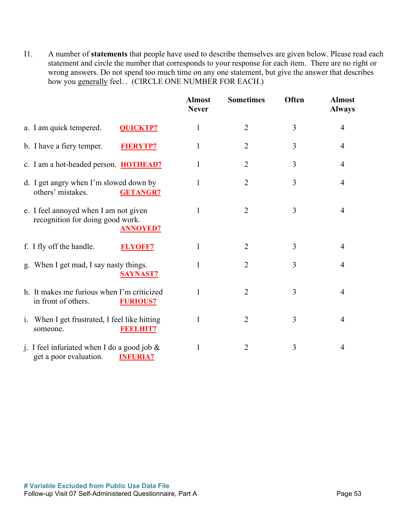I1. A number of **statements** that people have used to describe themselves are given below. Please read each statement and circle the number that corresponds to your response for each item. There are no right or wrong answers. Do not spend too much time on any one statement, but give the answer that describes how you generally feel. . (CIRCLE ONE NUMBER FOR EACH.)

|                                                                                              | <b>Almost</b><br><b>Never</b> | <b>Sometimes</b> | Often | <b>Almost</b><br><b>Always</b> |
|----------------------------------------------------------------------------------------------|-------------------------------|------------------|-------|--------------------------------|
| a. I am quick tempered.<br><b>QUICKTP7</b>                                                   | 1                             | $\overline{2}$   | 3     | $\overline{4}$                 |
| b. I have a fiery temper.<br><b>FIERYTP7</b>                                                 | 1                             | $\overline{2}$   | 3     | 4                              |
| c. I am a hot-headed person. HOTHEAD7                                                        | 1                             | $\overline{2}$   | 3     | 4                              |
| d. I get angry when I'm slowed down by<br>others' mistakes.<br><b>GETANGR7</b>               | 1                             | $\overline{2}$   | 3     | 4                              |
| e. I feel annoyed when I am not given<br>recognition for doing good work.<br><b>ANNOYED7</b> | 1                             | $\overline{2}$   | 3     | 4                              |
| f. I fly off the handle.<br><b>FLYOFF7</b>                                                   | 1                             | 2                | 3     | 4                              |
| g. When I get mad, I say nasty things.<br><b>SAYNAST7</b>                                    | 1                             | $\overline{2}$   | 3     | 4                              |
| h. It makes me furious when I'm criticized<br>in front of others.<br><b>FURIOUS7</b>         | 1                             | $\overline{2}$   | 3     | 4                              |
| i. When I get frustrated, I feel like hitting<br><b>FEELHIT7</b><br>someone.                 | 1                             | $\overline{2}$   | 3     | 4                              |
| j. I feel infuriated when I do a good job $\&$<br>get a poor evaluation.<br><b>INFURIA7</b>  | 1                             | $\overline{2}$   | 3     | 4                              |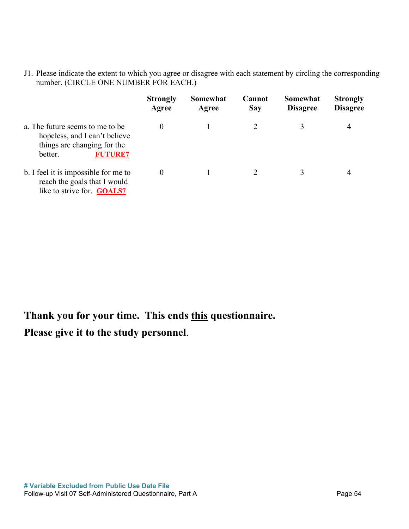J1. Please indicate the extent to which you agree or disagree with each statement by circling the corresponding number. (CIRCLE ONE NUMBER FOR EACH.)

|                                                                                                                              | <b>Strongly</b><br>Agree | Somewhat<br>Agree | Cannot<br><b>Say</b> | Somewhat<br><b>Disagree</b> | <b>Strongly</b><br><b>Disagree</b> |
|------------------------------------------------------------------------------------------------------------------------------|--------------------------|-------------------|----------------------|-----------------------------|------------------------------------|
| a. The future seems to me to be<br>hopeless, and I can't believe<br>things are changing for the<br><b>FUTURE7</b><br>better. | $\theta$                 |                   |                      |                             | 4                                  |
| b. I feel it is impossible for me to<br>reach the goals that I would<br>like to strive for. <b>GOALS7</b>                    | $\theta$                 |                   |                      |                             | 4                                  |

**Thank you for your time. This ends this questionnaire. Please give it to the study personnel**.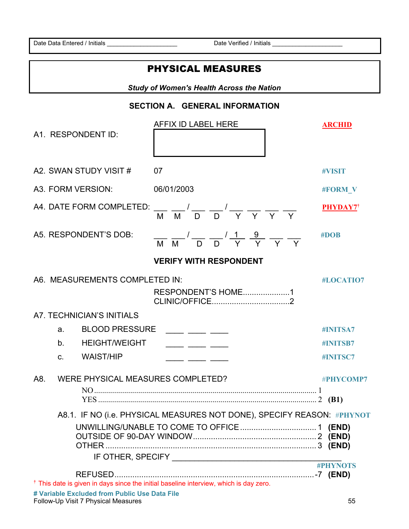# PHYSICAL MEASURES

*Study of Women's Health Across the Nation*

# **SECTION A. GENERAL INFORMATION**

| A1. RESPONDENT ID:                                                                   | <b>AFFIX ID LABEL HERE</b>                                                                                    | <b>ARCHID</b>              |
|--------------------------------------------------------------------------------------|---------------------------------------------------------------------------------------------------------------|----------------------------|
|                                                                                      |                                                                                                               |                            |
| A2. SWAN STUDY VISIT #                                                               | 07                                                                                                            | <b>#VISIT</b>              |
| A3. FORM VERSION:                                                                    | 06/01/2003                                                                                                    | #FORM V                    |
| A4. DATE FORM COMPLETED:                                                             | $\frac{1}{M} \frac{1}{M} \frac{1}{D} - \frac{1}{D} \frac{1}{Y} \frac{1}{Y} - \frac{1}{Y} \frac{1}{Y}$         | <b>PHYDAY7<sup>†</sup></b> |
| A5. RESPONDENT'S DOB:                                                                | $\frac{1}{M} \frac{1}{M}$ $\frac{1}{D}$ $\frac{1}{D}$ $\frac{1}{N}$ $\frac{9}{Y}$ $\frac{9}{Y}$ $\frac{1}{Y}$ | #DOB                       |
|                                                                                      | <b>VERIFY WITH RESPONDENT</b>                                                                                 |                            |
| A6. MEASUREMENTS COMPLETED IN:                                                       |                                                                                                               | #LOCATIO7                  |
|                                                                                      | <b>RESPONDENT'S HOME1</b>                                                                                     |                            |
| A7. TECHNICIAN'S INITIALS                                                            |                                                                                                               |                            |
| <b>BLOOD PRESSURE</b><br>a.                                                          | $\overline{\phantom{a}}$ and $\overline{\phantom{a}}$                                                         | <b>#INITSA7</b>            |
| <b>HEIGHT/WEIGHT</b><br>$b_{\cdot}$                                                  |                                                                                                               | #INITSB7                   |
| <b>WAIST/HIP</b><br>$C_{1}$                                                          |                                                                                                               | #INITSC7                   |
| WERE PHYSICAL MEASURES COMPLETED?<br>A8.                                             |                                                                                                               | <b>#PHYCOMP7</b>           |
|                                                                                      | A8.1. IF NO (i.e. PHYSICAL MEASURES NOT DONE), SPECIFY REASON: #PHYNOT                                        |                            |
|                                                                                      |                                                                                                               |                            |
|                                                                                      |                                                                                                               |                            |
|                                                                                      |                                                                                                               |                            |
|                                                                                      |                                                                                                               | <b>#PHYNOTS</b>            |
|                                                                                      | $†$ This date is given in days since the initial baseline interview, which is day zero.                       |                            |
| # Variable Excluded from Public Use Data File<br>Follow-Up Visit 7 Physical Measures |                                                                                                               | 55                         |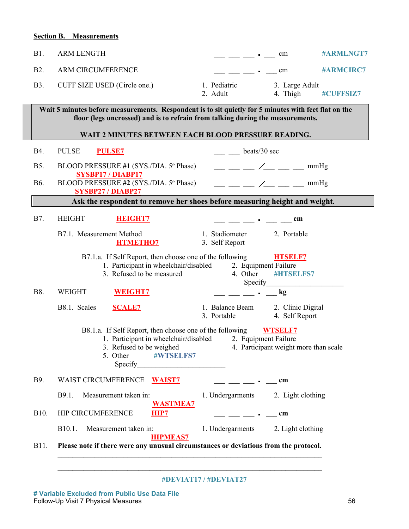# **Section B. Measurements**

| <b>B</b> 1.      | <b>ARM LENGTH</b>                                                                                                                                                                                 | <b>#ARMLNGT7</b><br>cm<br>$\begin{tabular}{ll} \bf & \color{red}{\color{blue}{\color{black} \textbf{1}}\color{black} \textbf{2}} & \color{red}{\color{blue}{\color{black} \textbf{2}}\color{black} \textbf{1}} & \color{red}{\color{blue}{\color{black} \textbf{3}}\color{black} \textbf{3}} & \color{red}{\color{blue}{\color{black} \textbf{4}}\color{black} \textbf{4}} \\ \color{red}{\color{blue}{\color{black} \textbf{3}}\color{black} \textbf{1}} & \color{red}{\color{blue}{\color{black} \textbf{3}}\color{black} \textbf{1}} & \color{red}{\color{blue}{\$ |  |  |
|------------------|---------------------------------------------------------------------------------------------------------------------------------------------------------------------------------------------------|-----------------------------------------------------------------------------------------------------------------------------------------------------------------------------------------------------------------------------------------------------------------------------------------------------------------------------------------------------------------------------------------------------------------------------------------------------------------------------------------------------------------------------------------------------------------------|--|--|
| B <sub>2</sub> . | ARM CIRCUMFERENCE                                                                                                                                                                                 | <b>#ARMCIRC7</b><br>cm<br>$   -$                                                                                                                                                                                                                                                                                                                                                                                                                                                                                                                                      |  |  |
| <b>B</b> 3.      | CUFF SIZE USED (Circle one.)                                                                                                                                                                      | 1. Pediatric<br>3. Large Adult<br>2. Adult<br>4. Thigh<br>#CUFFSIZ7                                                                                                                                                                                                                                                                                                                                                                                                                                                                                                   |  |  |
|                  | floor (legs uncrossed) and is to refrain from talking during the measurements.                                                                                                                    | Wait 5 minutes before measurements. Respondent is to sit quietly for 5 minutes with feet flat on the                                                                                                                                                                                                                                                                                                                                                                                                                                                                  |  |  |
|                  | WAIT 2 MINUTES BETWEEN EACH BLOOD PRESSURE READING.                                                                                                                                               |                                                                                                                                                                                                                                                                                                                                                                                                                                                                                                                                                                       |  |  |
| B4.              | <b>PULSE</b><br><b>PULSE7</b>                                                                                                                                                                     | $\frac{1}{2}$ beats/30 sec                                                                                                                                                                                                                                                                                                                                                                                                                                                                                                                                            |  |  |
| <b>B5.</b>       | BLOOD PRESSURE #1 (SYS./DIA. 5 <sup>th</sup> Phase)                                                                                                                                               | $   \angle$ $   mmHg$                                                                                                                                                                                                                                                                                                                                                                                                                                                                                                                                                 |  |  |
| <b>B6.</b>       | SYSBP17 / DIABP17<br>BLOOD PRESSURE #2 (SYS./DIA. 5th Phase)<br>SYSBP27 / DIABP27                                                                                                                 | $\frac{1}{\sqrt{1-\frac{1}{2}}}\frac{1}{\sqrt{1-\frac{1}{2}}}\frac{1}{\sqrt{1-\frac{1}{2}}}\frac{1}{\sqrt{1-\frac{1}{2}}}\frac{1}{\sqrt{1-\frac{1}{2}}}\frac{1}{\sqrt{1-\frac{1}{2}}}\frac{1}{\sqrt{1-\frac{1}{2}}}\frac{1}{\sqrt{1-\frac{1}{2}}}\frac{1}{\sqrt{1-\frac{1}{2}}}\frac{1}{\sqrt{1-\frac{1}{2}}}\frac{1}{\sqrt{1-\frac{1}{2}}}\frac{1}{\sqrt{1-\frac{1}{2}}}\frac{1}{\sqrt{1-\frac{1}{2}}}\frac{1}{\sqrt{1-\frac{$                                                                                                                                       |  |  |
|                  |                                                                                                                                                                                                   | Ask the respondent to remove her shoes before measuring height and weight.                                                                                                                                                                                                                                                                                                                                                                                                                                                                                            |  |  |
| B7.              | <b>HEIGHT</b><br><b>HEIGHT7</b>                                                                                                                                                                   | - - - - - - - - - - - cm                                                                                                                                                                                                                                                                                                                                                                                                                                                                                                                                              |  |  |
|                  | B7.1. Measurement Method<br><b>HTMETHO7</b>                                                                                                                                                       | 1. Stadiometer<br>2. Portable<br>3. Self Report                                                                                                                                                                                                                                                                                                                                                                                                                                                                                                                       |  |  |
|                  | B7.1.a. If Self Report, then choose one of the following<br><b>HTSELF7</b><br>2. Equipment Failure<br>1. Participant in wheelchair/disabled<br>3. Refused to be measured<br>4. Other<br>#HTSELFS7 |                                                                                                                                                                                                                                                                                                                                                                                                                                                                                                                                                                       |  |  |
| <b>B8.</b>       | <b>WEIGHT</b><br><b>WEIGHT7</b>                                                                                                                                                                   | $\log$ $\log$                                                                                                                                                                                                                                                                                                                                                                                                                                                                                                                                                         |  |  |
|                  | B8.1. Scales<br><b>SCALE7</b>                                                                                                                                                                     | 1. Balance Beam 2. Clinic Digital<br>4. Self Report<br>3. Portable                                                                                                                                                                                                                                                                                                                                                                                                                                                                                                    |  |  |
|                  | B8.1.a. If Self Report, then choose one of the following WTSELF7<br>3. Refused to be weighed<br><b>#WTSELFS7</b><br>5. Other                                                                      | 1. Participant in wheelchair/disabled 2. Equipment Failure<br>4. Participant weight more than scale                                                                                                                                                                                                                                                                                                                                                                                                                                                                   |  |  |
| B9.              | WAIST CIRCUMFERENCE WAIST7                                                                                                                                                                        |                                                                                                                                                                                                                                                                                                                                                                                                                                                                                                                                                                       |  |  |
|                  | Measurement taken in:<br>B9.1.<br><b>WASTMEA7</b>                                                                                                                                                 | 1. Undergarments<br>2. Light clothing                                                                                                                                                                                                                                                                                                                                                                                                                                                                                                                                 |  |  |
| B10.             | HIP CIRCUMFERENCE<br>HIP7                                                                                                                                                                         |                                                                                                                                                                                                                                                                                                                                                                                                                                                                                                                                                                       |  |  |
| B11.             | B <sub>10.1</sub> .<br>Measurement taken in:<br><b>HIPMEAS7</b><br>Please note if there were any unusual circumstances or deviations from the protocol.                                           | 1. Undergarments<br>2. Light clothing                                                                                                                                                                                                                                                                                                                                                                                                                                                                                                                                 |  |  |
|                  |                                                                                                                                                                                                   |                                                                                                                                                                                                                                                                                                                                                                                                                                                                                                                                                                       |  |  |

## **#DEVIAT17 / #DEVIAT27**

\_\_\_\_\_\_\_\_\_\_\_\_\_\_\_\_\_\_\_\_\_\_\_\_\_\_\_\_\_\_\_\_\_\_\_\_\_\_\_\_\_\_\_\_\_\_\_\_\_\_\_\_\_\_\_\_\_\_\_\_\_\_\_\_\_\_\_\_\_\_\_\_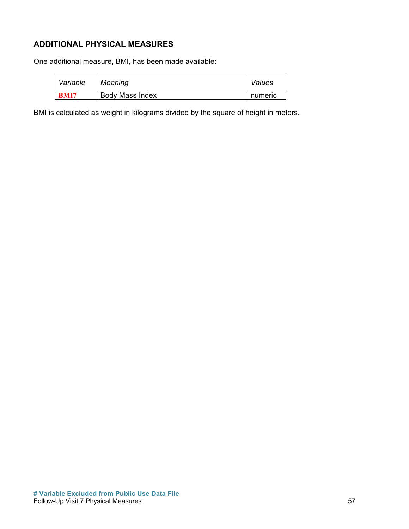# **ADDITIONAL PHYSICAL MEASURES**

One additional measure, BMI, has been made available:

| Variable    | Meaning                | <b>Values</b> |
|-------------|------------------------|---------------|
| <b>BMI7</b> | <b>Body Mass Index</b> | numeric       |

BMI is calculated as weight in kilograms divided by the square of height in meters.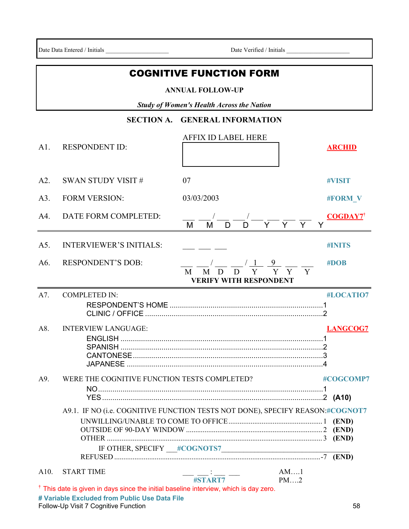# COGNITIVE FUNCTION FORM

### **ANNUAL FOLLOW-UP**

*Study of Women's Health Across the Nation*

# **SECTION A. GENERAL INFORMATION**

AFFIX ID LABEL HERE

| A1.  | <b>RESPONDENT ID:</b>                                                                   |                                                                                                                                    | <b>ARCHID</b>       |
|------|-----------------------------------------------------------------------------------------|------------------------------------------------------------------------------------------------------------------------------------|---------------------|
|      |                                                                                         |                                                                                                                                    |                     |
| A2.  | <b>SWAN STUDY VISIT#</b>                                                                | 07                                                                                                                                 | <b>#VISIT</b>       |
| A3.  | <b>FORM VERSION:</b>                                                                    | 03/03/2003                                                                                                                         | #FORM V             |
| A4.  | DATE FORM COMPLETED:                                                                    | Y Y<br>Y.<br>D<br>D<br>M<br>М                                                                                                      | <b>COGDAY7</b><br>Y |
| A5.  | <b>INTERVIEWER'S INITIALS:</b>                                                          |                                                                                                                                    | <b>#INITS</b>       |
| A6.  | <b>RESPONDENT'S DOB:</b>                                                                | $\frac{1}{M}$ $\frac{1}{D}$ $\frac{1}{D}$ $\frac{1}{Y}$ $\frac{9}{Y}$ $\frac{1}{Y}$ $\frac{1}{Y}$<br><b>VERIFY WITH RESPONDENT</b> | #DOB                |
| A7.  | <b>COMPLETED IN:</b>                                                                    |                                                                                                                                    | #LOCATIO7           |
|      |                                                                                         |                                                                                                                                    |                     |
| A8.  | <b>INTERVIEW LANGUAGE:</b>                                                              |                                                                                                                                    | <b>LANGCOG7</b>     |
|      |                                                                                         |                                                                                                                                    |                     |
|      |                                                                                         |                                                                                                                                    |                     |
| A9.  | WERE THE COGNITIVE FUNCTION TESTS COMPLETED?                                            |                                                                                                                                    | #COGCOMP7           |
|      |                                                                                         |                                                                                                                                    |                     |
|      |                                                                                         | A9.1. IF NO (i.e. COGNITIVE FUNCTION TESTS NOT DONE), SPECIFY REASON:#COGNOT7                                                      |                     |
|      |                                                                                         |                                                                                                                                    |                     |
|      | OTHER.                                                                                  |                                                                                                                                    |                     |
|      |                                                                                         |                                                                                                                                    |                     |
| A10. | <b>START TIME</b>                                                                       | AM1<br>$\frac{1}{\# \text{START7}}$<br>$PM$ 2                                                                                      |                     |
|      | $†$ This date is given in days since the initial baseline interview, which is day zero. |                                                                                                                                    |                     |
|      | # Variable Excluded from Public Use Data File                                           |                                                                                                                                    |                     |

Follow-Up Visit 7 Cognitive Function 58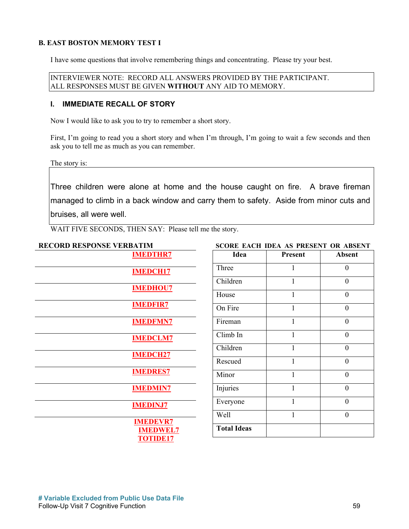## **B. EAST BOSTON MEMORY TEST I**

I have some questions that involve remembering things and concentrating. Please try your best.

INTERVIEWER NOTE: RECORD ALL ANSWERS PROVIDED BY THE PARTICIPANT. ALL RESPONSES MUST BE GIVEN **WITHOUT** ANY AID TO MEMORY.

## **I. IMMEDIATE RECALL OF STORY**

Now I would like to ask you to try to remember a short story.

First, I'm going to read you a short story and when I'm through, I'm going to wait a few seconds and then ask you to tell me as much as you can remember.

The story is:

Three children were alone at home and the house caught on fire. A brave fireman managed to climb in a back window and carry them to safety. Aside from minor cuts and bruises, all were well.

WAIT FIVE SECONDS, THEN SAY: Please tell me the story.

| <b>RECORD RESPONSE VERBATIM</b> | SCORE EACH IDEA AS PRESENT OR ABSENT |                |                |
|---------------------------------|--------------------------------------|----------------|----------------|
| <b>IMEDTHR7</b>                 | Idea                                 | <b>Present</b> | <b>Absent</b>  |
| <b>IMEDCH17</b>                 | Three                                |                | $\mathbf{0}$   |
| <b>IMEDHOU7</b>                 | Children                             | $\mathbf{1}$   | $\mathbf{0}$   |
|                                 | House                                |                | $\mathbf{0}$   |
| <b>IMEDFIR7</b>                 | On Fire                              | $\mathbf{1}$   | $\mathbf{0}$   |
| <b>IMEDFMN7</b>                 | Fireman                              |                | $\theta$       |
| <b>IMEDCLM7</b>                 | Climb In                             |                | $\theta$       |
| <b>IMEDCH27</b>                 | Children                             |                | $\theta$       |
|                                 | Rescued                              |                | $\overline{0}$ |
| <b>IMEDRES7</b>                 | Minor                                |                | $\theta$       |
| <b>IMEDMIN7</b>                 | Injuries                             |                | $\mathbf{0}$   |
| <b>IMEDINJ7</b>                 | Everyone                             |                | $\theta$       |
| <b>IMEDEVR7</b>                 | Well                                 |                | $\mathbf{0}$   |
| <b>IMEDWEL7</b>                 | <b>Total Ideas</b>                   |                |                |
| <b>TOTIDE17</b>                 |                                      |                |                |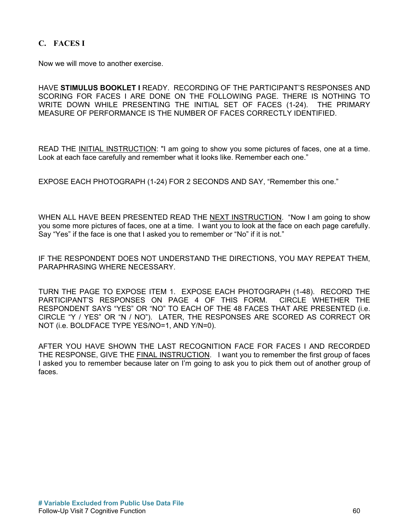# **C. FACES I**

Now we will move to another exercise.

HAVE **STIMULUS BOOKLET I** READY. RECORDING OF THE PARTICIPANT'S RESPONSES AND SCORING FOR FACES I ARE DONE ON THE FOLLOWING PAGE. THERE IS NOTHING TO WRITE DOWN WHILE PRESENTING THE INITIAL SET OF FACES (1-24). THE PRIMARY MEASURE OF PERFORMANCE IS THE NUMBER OF FACES CORRECTLY IDENTIFIED.

READ THE INITIAL INSTRUCTION: "I am going to show you some pictures of faces, one at a time. Look at each face carefully and remember what it looks like. Remember each one."

EXPOSE EACH PHOTOGRAPH (1-24) FOR 2 SECONDS AND SAY, "Remember this one."

WHEN ALL HAVE BEEN PRESENTED READ THE NEXT INSTRUCTION. "Now I am going to show you some more pictures of faces, one at a time. I want you to look at the face on each page carefully. Say "Yes" if the face is one that I asked you to remember or "No" if it is not."

IF THE RESPONDENT DOES NOT UNDERSTAND THE DIRECTIONS, YOU MAY REPEAT THEM, PARAPHRASING WHERE NECESSARY.

TURN THE PAGE TO EXPOSE ITEM 1. EXPOSE EACH PHOTOGRAPH (1-48). RECORD THE PARTICIPANT'S RESPONSES ON PAGE 4 OF THIS FORM. CIRCLE WHETHER THE RESPONDENT SAYS "YES" OR "NO" TO EACH OF THE 48 FACES THAT ARE PRESENTED (i.e. CIRCLE "Y / YES" OR "N / NO"). LATER, THE RESPONSES ARE SCORED AS CORRECT OR NOT (i.e. BOLDFACE TYPE YES/NO=1, AND Y/N=0).

AFTER YOU HAVE SHOWN THE LAST RECOGNITION FACE FOR FACES I AND RECORDED THE RESPONSE, GIVE THE FINAL INSTRUCTION. I want you to remember the first group of faces I asked you to remember because later on I'm going to ask you to pick them out of another group of faces.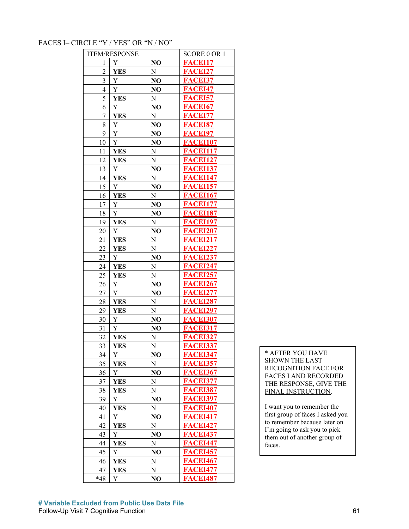#### FACES I– CIRCLE "Y / YES" OR "N / NO"

|                | <b>ITEM/RESPONSE</b> |                | SCORE 0 OR 1    |
|----------------|----------------------|----------------|-----------------|
| 1              | Y                    | NO             | <b>FACEI17</b>  |
| $\overline{c}$ | <b>YES</b>           | N              | FACEI27         |
| 3              | Y                    | NO             | <b>FACEI37</b>  |
| 4              | $\mathbf Y$          | N <sub>O</sub> | <b>FACEI47</b>  |
| 5              | <b>YES</b>           | N              | <b>FACEI57</b>  |
| 6              | Y                    | NO             | <b>FACEI67</b>  |
| $\overline{7}$ | <b>YES</b>           | N              | FACEI77         |
| 8              | Y                    | NO             | <b>FACEI87</b>  |
| 9              | Y                    | NO             | <b>FACEI97</b>  |
| 10             | Y                    | NO             | <b>FACEI107</b> |
| 11             | <b>YES</b>           | N              | <b>FACEI117</b> |
| 12             | <b>YES</b>           | N              | <b>FACEI127</b> |
| 13             | Y                    | N <sub>O</sub> | <b>FACEI137</b> |
| 14             | <b>YES</b>           | ${\bf N}$      | <b>FACEI147</b> |
| 15             | Y                    | NO             | <b>FACEI157</b> |
| 16             | <b>YES</b>           | N              | <b>FACEI167</b> |
| 17             | Y                    | NO             | <b>FACEI177</b> |
| 18             | Y                    | N <sub>O</sub> | <b>FACEI187</b> |
| 19             | <b>YES</b>           | N              | <b>FACEI197</b> |
| 20             | Y                    | NO             | <b>FACEI207</b> |
| 21             | <b>YES</b>           | N              | <b>FACEI217</b> |
| 22             | <b>YES</b>           | N              | FACEI227        |
| 23             | Y                    | NO             | <b>FACEI237</b> |
| 24             | <b>YES</b>           | N              | <b>FACEI247</b> |
| 25             | <b>YES</b>           | N              | <b>FACEI257</b> |
| 26             | Y                    | NO             | <b>FACEI267</b> |
| 27             | Y                    | N <sub>O</sub> | <b>FACEI277</b> |
| 28             | <b>YES</b>           | N              | <b>FACEI287</b> |
| 29             | <b>YES</b>           | N              | <b>FACEI297</b> |
| 30             | Y                    | NO             | <b>FACEI307</b> |
| 31             | Y                    | N <sub>O</sub> | <b>FACEI317</b> |
| 32             | <b>YES</b>           | N              | <b>FACEI327</b> |
| 33             | <b>YES</b>           | N              | <b>FACEI337</b> |
| 34             | Y                    | N <sub>O</sub> | <b>FACEI347</b> |
| 35             | <b>YES</b>           | N              | <b>FACEI357</b> |
| 36             | Y                    | NO             | <b>FACEI367</b> |
| 37             | <b>YES</b>           | N              | <b>FACEI377</b> |
| 38             | <b>YES</b>           | N              | <b>FACEI387</b> |
| 39             | Y                    | NO             | <b>FACEI397</b> |
| 40             | <b>YES</b>           | N              | <b>FACEI407</b> |
| 41             | Y                    | N <sub>O</sub> | <b>FACEI417</b> |
| 42             | <b>YES</b>           | Ν              | <b>FACEI427</b> |
| 43             | Y                    | NO             | <b>FACEI437</b> |
| 44             | <b>YES</b>           | N              | <b>FACEI447</b> |
| 45             | Y                    | NO             | <b>FACEI457</b> |
| 46             | YES                  | N              | <b>FACEI467</b> |
| 47             | <b>YES</b>           | ${\bf N}$      | <b>FACEI477</b> |
| $*48$          | Y                    | NO             | <b>FACEI487</b> |

\* AFTER YOU HAVE SHOWN THE LAST RECOGNITION FACE FOR FACES I AND RECORDED THE RESPONSE, GIVE THE FINAL INSTRUCTION.

I want you to remember the first group of faces I asked you to remember because later on I'm going to ask you to pick them out of another group of faces.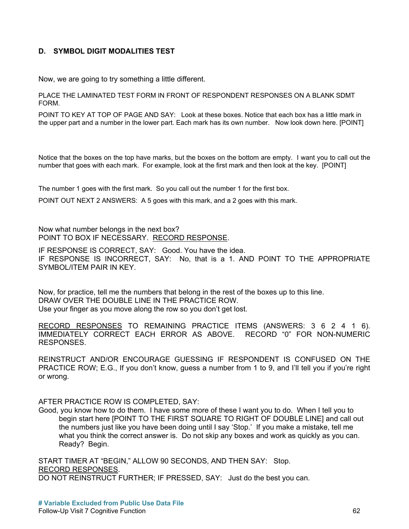# **D. SYMBOL DIGIT MODALITIES TEST**

Now, we are going to try something a little different.

PLACE THE LAMINATED TEST FORM IN FRONT OF RESPONDENT RESPONSES ON A BLANK SDMT FORM.

POINT TO KEY AT TOP OF PAGE AND SAY: Look at these boxes. Notice that each box has a little mark in the upper part and a number in the lower part. Each mark has its own number. Now look down here. [POINT]

Notice that the boxes on the top have marks, but the boxes on the bottom are empty. I want you to call out the number that goes with each mark. For example, look at the first mark and then look at the key. [POINT]

The number 1 goes with the first mark. So you call out the number 1 for the first box.

POINT OUT NEXT 2 ANSWERS: A 5 goes with this mark, and a 2 goes with this mark.

Now what number belongs in the next box? POINT TO BOX IF NECESSARY. RECORD RESPONSE.

IF RESPONSE IS CORRECT, SAY: Good. You have the idea. IF RESPONSE IS INCORRECT, SAY: No, that is a 1. AND POINT TO THE APPROPRIATE SYMBOL/ITEM PAIR IN KEY.

Now, for practice, tell me the numbers that belong in the rest of the boxes up to this line. DRAW OVER THE DOUBLE LINE IN THE PRACTICE ROW. Use your finger as you move along the row so you don't get lost.

RECORD RESPONSES TO REMAINING PRACTICE ITEMS (ANSWERS: 3 6 2 4 1 6). IMMEDIATELY CORRECT EACH ERROR AS ABOVE. RECORD "0" FOR NON-NUMERIC RESPONSES.

REINSTRUCT AND/OR ENCOURAGE GUESSING IF RESPONDENT IS CONFUSED ON THE PRACTICE ROW; E.G., If you don't know, guess a number from 1 to 9, and I'll tell you if you're right or wrong.

AFTER PRACTICE ROW IS COMPLETED, SAY:

Good, you know how to do them. I have some more of these I want you to do. When I tell you to begin start here [POINT TO THE FIRST SQUARE TO RIGHT OF DOUBLE LINE] and call out the numbers just like you have been doing until I say 'Stop.' If you make a mistake, tell me what you think the correct answer is. Do not skip any boxes and work as quickly as you can. Ready? Begin.

START TIMER AT "BEGIN," ALLOW 90 SECONDS, AND THEN SAY: Stop. RECORD RESPONSES. DO NOT REINSTRUCT FURTHER; IF PRESSED, SAY: Just do the best you can.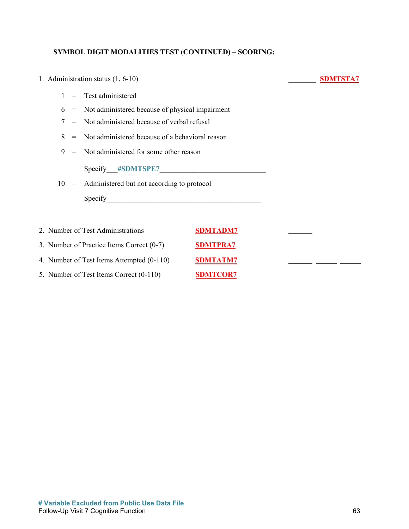## **SYMBOL DIGIT MODALITIES TEST (CONTINUED) – SCORING:**

- 1. Administration status (1, 6-10) **SDMTSTA7** 
	- 1 = Test administered
	- 6 = Not administered because of physical impairment
	- 7 = Not administered because of verbal refusal
	- $8 =$  Not administered because of a behavioral reason
	- 9 = Not administered for some other reason

Specify #SDMTSPE7

- 10 = Administered but not according to protocol  $Specify$
- 2. Number of Test Administrations **SDMTADM7** 3. Number of Practice Items Correct (0-7) **SDMTPRA7** 4. Number of Test Items Attempted (0-110) **SDMTATM7** 2001 2002 2002 2004 5. Number of Test Items Correct (0-110) **SDMTCOR7** 2002 2003 2004 2014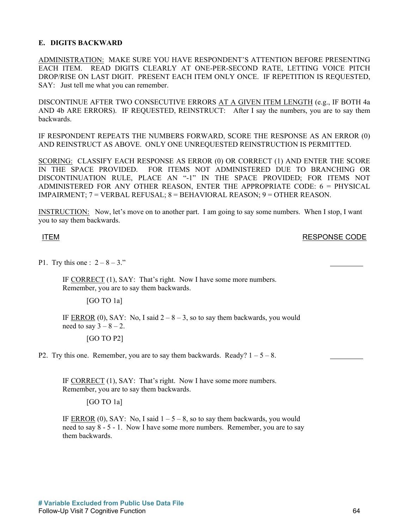## **E. DIGITS BACKWARD**

ADMINISTRATION: MAKE SURE YOU HAVE RESPONDENT'S ATTENTION BEFORE PRESENTING EACH ITEM. READ DIGITS CLEARLY AT ONE-PER-SECOND RATE, LETTING VOICE PITCH DROP/RISE ON LAST DIGIT. PRESENT EACH ITEM ONLY ONCE. IF REPETITION IS REQUESTED, SAY: Just tell me what you can remember.

DISCONTINUE AFTER TWO CONSECUTIVE ERRORS AT A GIVEN ITEM LENGTH (e.g., IF BOTH 4a AND 4b ARE ERRORS). IF REQUESTED, REINSTRUCT: After I say the numbers, you are to say them backwards.

IF RESPONDENT REPEATS THE NUMBERS FORWARD, SCORE THE RESPONSE AS AN ERROR (0) AND REINSTRUCT AS ABOVE. ONLY ONE UNREQUESTED REINSTRUCTION IS PERMITTED.

SCORING: CLASSIFY EACH RESPONSE AS ERROR (0) OR CORRECT (1) AND ENTER THE SCORE IN THE SPACE PROVIDED. FOR ITEMS NOT ADMINISTERED DUE TO BRANCHING OR DISCONTINUATION RULE, PLACE AN "-1" IN THE SPACE PROVIDED; FOR ITEMS NOT ADMINISTERED FOR ANY OTHER REASON, ENTER THE APPROPRIATE CODE: 6 = PHYSICAL IMPAIRMENT; 7 = VERBAL REFUSAL; 8 = BEHAVIORAL REASON; 9 = OTHER REASON.

INSTRUCTION: Now, let's move on to another part. I am going to say some numbers. When I stop, I want you to say them backwards.

### ITEM RESPONSE CODE

P1. Try this one :  $2 - 8 - 3$ ."

IF CORRECT (1), SAY: That's right. Now I have some more numbers. Remember, you are to say them backwards.

[GO TO 1a]

IF ERROR (0), SAY: No, I said  $2-8-3$ , so to say them backwards, you would need to say  $3 - 8 - 2$ .

[GO TO P2]

P2. Try this one. Remember, you are to say them backwards. Ready?  $1 - 5 - 8$ .

IF CORRECT (1), SAY: That's right. Now I have some more numbers. Remember, you are to say them backwards.

[GO TO 1a]

IF ERROR (0), SAY: No, I said  $1 - 5 - 8$ , so to say them backwards, you would need to say 8 - 5 - 1. Now I have some more numbers. Remember, you are to say them backwards.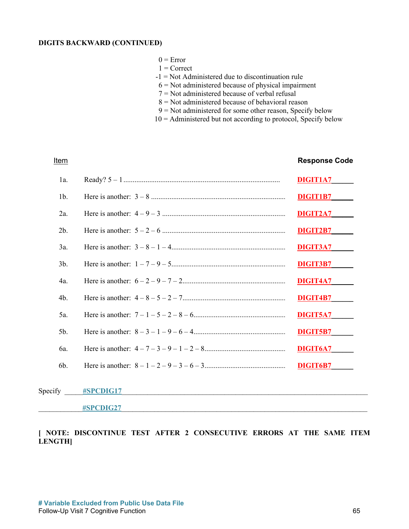#### **DIGITS BACKWARD (CONTINUED)**

- $0 = Error$
- $1$  = Correct
- -1 = Not Administered due to discontinuation rule
- $6$  = Not administered because of physical impairment
- $7 = Not$  administered because of verbal refusal
- 8 = Not administered because of behavioral reason
- $9 = Not administered for some other reason, Specify below$
- $10 =$  Administered but not according to protocol, Specify below

| <u>Item</u>    | <b>Response Code</b> |
|----------------|----------------------|
| la.            | <b>DIGIT1A7</b>      |
| $1b$ .         | <b>DIGIT1B7</b>      |
| 2a.            | <b>DIGIT2A7</b>      |
| 2 <sub>b</sub> | <b>DIGIT2B7</b>      |
| 3a.            | DIGIT3A7             |
| $3b$ .         | <b>DIGIT3B7</b>      |
| 4a.            | <b>DIGIT4A7</b>      |
| 4b.            | DIGIT4B7             |
| 5a.            | <b>DIGIT5A7</b>      |
| 5b.            | <b>DIGIT5B7</b>      |
| 6а.            | <b>DIGIT6A7</b>      |
| 6b.            | DIGIT6B7             |
|                |                      |

Specify #SPCDIG17

\_\_\_\_\_\_\_\_\_\_\_\_**#SPCDIG27**\_\_\_\_\_\_\_\_\_\_\_\_\_\_\_\_\_\_\_\_\_\_\_\_\_\_\_\_\_\_\_\_\_\_\_\_\_\_\_\_\_\_\_\_\_\_\_\_\_\_\_\_\_\_\_\_\_\_\_\_\_\_\_\_\_\_\_

# **[ NOTE: DISCONTINUE TEST AFTER 2 CONSECUTIVE ERRORS AT THE SAME ITEM LENGTH]**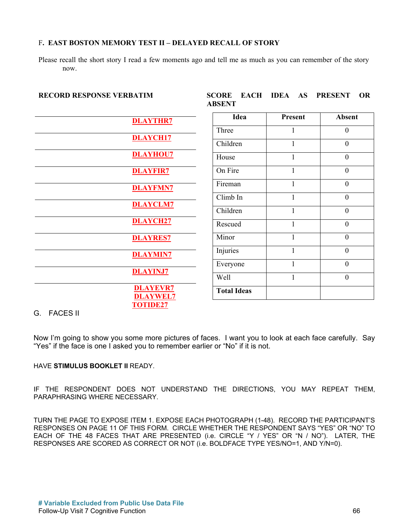## F**. EAST BOSTON MEMORY TEST II – DELAYED RECALL OF STORY**

 **TOTIDE27**

Please recall the short story I read a few moments ago and tell me as much as you can remember of the story now.

| <b>RECORD RESPONSE VERBATIM</b>    | <b>SCORE</b><br><b>EACH</b><br><b>ABSENT</b> | <b>IDEA</b> AS | <b>PRESENT</b><br>OR |
|------------------------------------|----------------------------------------------|----------------|----------------------|
| <b>DLAYTHR7</b>                    | Idea                                         | Present        | <b>Absent</b>        |
|                                    | Three                                        |                | $\overline{0}$       |
| <b>DLAYCH17</b>                    | Children                                     |                | $\theta$             |
| <b>DLAYHOU7</b>                    | House                                        |                | $\theta$             |
| <b>DLAYFIR7</b>                    | On Fire                                      |                | $\mathbf{0}$         |
| <b>DLAYFMN7</b>                    | Fireman                                      |                | $\theta$             |
| <b>DLAYCLM7</b>                    | Climb In                                     |                | $\mathbf{0}$         |
|                                    | Children                                     | 1              | $\theta$             |
| <b>DLAYCH27</b>                    | Rescued                                      |                | $\overline{0}$       |
| <b>DLAYRES7</b>                    | Minor                                        | 1              | $\theta$             |
| <b>DLAYMIN7</b>                    | Injuries                                     |                | $\overline{0}$       |
| <b>DLAYINJ7</b>                    | Everyone                                     |                | $\mathbf{0}$         |
|                                    | Well                                         |                | $\overline{0}$       |
| <b>DLAYEVR7</b><br><b>DLAYWEL7</b> | <b>Total Ideas</b>                           |                |                      |

# G. FACES II

Now I'm going to show you some more pictures of faces. I want you to look at each face carefully. Say "Yes" if the face is one I asked you to remember earlier or "No" if it is not.

### HAVE **STIMULUS BOOKLET II** READY.

IF THE RESPONDENT DOES NOT UNDERSTAND THE DIRECTIONS, YOU MAY REPEAT THEM, PARAPHRASING WHERE NECESSARY.

TURN THE PAGE TO EXPOSE ITEM 1. EXPOSE EACH PHOTOGRAPH (1-48). RECORD THE PARTICIPANT'S RESPONSES ON PAGE 11 OF THIS FORM. CIRCLE WHETHER THE RESPONDENT SAYS "YES" OR "NO" TO EACH OF THE 48 FACES THAT ARE PRESENTED (i.e. CIRCLE "Y / YES" OR "N / NO"). LATER, THE RESPONSES ARE SCORED AS CORRECT OR NOT (i.e. BOLDFACE TYPE YES/NO=1, AND Y/N=0).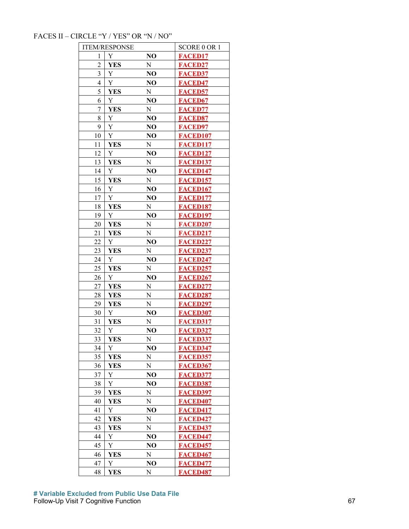# FACES II – CIRCLE "Y / YES" OR "N / NO"

| <b>ITEM/RESPONSE</b> |             |                | SCORE 0 OR 1    |
|----------------------|-------------|----------------|-----------------|
| 1                    | Y           | NO             | <b>FACED17</b>  |
| $\overline{c}$       | <b>YES</b>  | N              | <b>FACED27</b>  |
| 3                    | $\mathbf Y$ | NO             | <b>FACED37</b>  |
| 4                    | Y           | NO             | <b>FACED47</b>  |
| 5                    | YES         | N              | <b>FACED57</b>  |
| 6                    | Y           | NO             | FACED67         |
| 7                    | <b>YES</b>  | N              | FACED77         |
| 8                    | Y           | NO             | <b>FACED87</b>  |
| 9                    | $\mathbf Y$ | NO             | <b>FACED97</b>  |
| 10                   | Y           | N <sub>O</sub> | FACED107        |
| 11                   | <b>YES</b>  | N              | <b>FACED117</b> |
| 12                   | Y           | NO             | <b>FACED127</b> |
| 13                   | <b>YES</b>  | N              | <b>FACED137</b> |
| 14                   | Y           | NO             | <b>FACED147</b> |
| 15                   | YES         | N              | <b>FACED157</b> |
| 16                   | Y           | N <sub>O</sub> | FACED167        |
| 17                   | Y           | NO             | <b>FACED177</b> |
| 18                   | <b>YES</b>  | N              | <b>FACED187</b> |
| 19                   | Y           | NO             | <b>FACED197</b> |
| 20                   | <b>YES</b>  | N              | <b>FACED207</b> |
| 21                   | <b>YES</b>  | N              | FACED217        |
| 22                   | Y           | N <sub>O</sub> | FACED227        |
| 23                   | <b>YES</b>  | N              | <b>FACED237</b> |
| 24                   | Y           | N <sub>O</sub> | FACED247        |
| 25                   | YES         | N              | FACED257        |
| 26                   | Y           | N <sub>O</sub> | <b>FACED267</b> |
| 27                   | YES         | N              | <b>FACED277</b> |
| 28                   | <b>YES</b>  | ${\bf N}$      | FACED287        |
| 29                   | YES         | N              | FACED297        |
| 30                   | Y           | N <sub>O</sub> | FACED307        |
| 31                   | <b>YES</b>  | N              | <b>FACED317</b> |
| 32                   | Y           | NO             | FACED327        |
| 33                   | <b>YES</b>  | N              | <b>FACED337</b> |
| 34                   | Y           | NO             | <b>FACED347</b> |
| 35                   | <b>YES</b>  | N              | <b>FACED357</b> |
| 36                   | <b>YES</b>  | N              | <b>FACED367</b> |
| 37                   | Y           | N <sub>O</sub> | <b>FACED377</b> |
| 38                   | Y           | NO             | <b>FACED387</b> |
| 39                   | YES         | N              | <b>FACED397</b> |
| 40                   | YES         | N              | FACED407        |
| 41                   | Y           | NO             | FACED417        |
| 42                   | <b>YES</b>  | N              | <b>FACED427</b> |
| 43                   | <b>YES</b>  | N              | FACED437        |
| 44                   | Y           | NO             | <b>FACED447</b> |
| 45                   | Y           |                | FACED457        |
|                      |             | N <sub>O</sub> | FACED467        |
| 46                   | YES         | N              |                 |
| 47                   | Y           | NO             | FACED477        |
| 48                   | YES         | N              | FACED487        |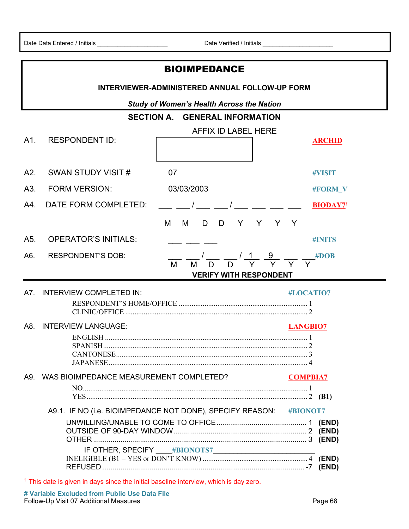Date Data Entered / Initials \_\_\_\_\_\_\_\_\_\_\_\_\_\_\_\_\_\_\_\_\_ Date Verified / Initials \_\_\_\_\_\_\_\_\_\_\_\_\_\_\_\_\_\_\_\_\_

# BIOIMPEDANCE

# **INTERVIEWER-ADMINISTERED ANNUAL FOLLOW-UP FORM**

|                  | <b>Study of Women's Health Across the Nation</b> |                                                                                                   |                  |  |  |
|------------------|--------------------------------------------------|---------------------------------------------------------------------------------------------------|------------------|--|--|
|                  |                                                  | <b>SECTION A. GENERAL INFORMATION</b>                                                             |                  |  |  |
| A1.              | <b>RESPONDENT ID:</b>                            | AFFIX ID LABEL HERE                                                                               | <b>ARCHID</b>    |  |  |
| A2.              | SWAN STUDY VISIT#                                | 07                                                                                                | <b>#VISIT</b>    |  |  |
| A3.              | <b>FORM VERSION:</b>                             | 03/03/2003                                                                                        | #FORM V          |  |  |
| A4.              | DATE FORM COMPLETED:                             | __ __/__ __/__ ___/___ ____                                                                       | <b>BIODAY7</b> † |  |  |
|                  |                                                  | M<br>Y Y Y Y<br>М<br>D.<br>D.                                                                     |                  |  |  |
| A <sub>5</sub> . | <b>OPERATOR'S INITIALS:</b>                      |                                                                                                   | <b>#INITS</b>    |  |  |
| A6.              | <b>RESPONDENT'S DOB:</b>                         | $\frac{1}{M}$ $\frac{1}{M}$ $\frac{1}{D}$ $\frac{1}{N}$ $\frac{9}{Y}$ $\frac{4}{Y}$ $\frac{4}{Y}$ |                  |  |  |
|                  |                                                  | <b>VERIFY WITH RESPONDENT</b>                                                                     |                  |  |  |
|                  | A7. INTERVIEW COMPLETED IN:                      |                                                                                                   | #LOCATIO7        |  |  |
|                  | A8. INTERVIEW LANGUAGE:                          |                                                                                                   | <b>LANGBIO7</b>  |  |  |
|                  | A9. WAS BIOIMPEDANCE MEASUREMENT COMPLETED?      |                                                                                                   | <b>COMPBIA7</b>  |  |  |
|                  |                                                  | A9.1. IF NO (i.e. BIOIMPEDANCE NOT DONE), SPECIFY REASON: #BIONOT7                                |                  |  |  |

INELIGIBLE (B1 = YES or DON'T KNOW) ......................................................... 4 **(END)** REFUSED................................................................................................... -7 **(END)**

IF OTHER, SPECIFY \_\_\_\_**#BIONOTS7**\_\_\_\_\_\_\_\_\_\_\_\_\_\_\_\_\_\_\_\_\_\_\_\_\_

**†** This date is given in days since the initial baseline interview, which is day zero.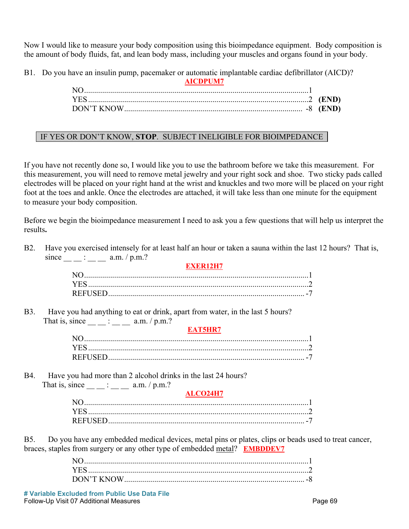Now I would like to measure your body composition using this bioimpedance equipment. Body composition is the amount of body fluids, fat, and lean body mass, including your muscles and organs found in your body.

B1. Do you have an insulin pump, pacemaker or automatic implantable cardiac defibrillator (AICD)?

| <b>AICDPUM7</b> |  |
|-----------------|--|
|                 |  |
|                 |  |
|                 |  |

# IF YES OR DON'T KNOW, **STOP**. SUBJECT INELIGIBLE FOR BIOIMPEDANCE

If you have not recently done so, I would like you to use the bathroom before we take this measurement. For this measurement, you will need to remove metal jewelry and your right sock and shoe. Two sticky pads called electrodes will be placed on your right hand at the wrist and knuckles and two more will be placed on your right foot at the toes and ankle. Once the electrodes are attached, it will take less than one minute for the equipment to measure your body composition.

Before we begin the bioimpedance measurement I need to ask you a few questions that will help us interpret the results**.**

B2. Have you exercised intensely for at least half an hour or taken a sauna within the last 12 hours? That is, since  $\qquad$  :  $\qquad$  a.m. / p.m.? **EXER12H7**

| BARKIZHI |  |
|----------|--|
|          |  |
|          |  |
|          |  |

B3. Have you had anything to eat or drink, apart from water, in the last 5 hours? That is, since  $\qquad \qquad$  :  $\qquad$  a.m. / p.m.?

### **EAT5HR7**

| <b>REFLISED</b> |  |
|-----------------|--|

B4. Have you had more than 2 alcohol drinks in the last 24 hours? That is, since  $\frac{\ }{2}$  :  $\frac{\ }{2}$  a.m. / p.m.?

### **ALCO24H7**

| NO.             |  |
|-----------------|--|
|                 |  |
| <b>REFUSED.</b> |  |

B5. Do you have any embedded medical devices, metal pins or plates, clips or beads used to treat cancer, braces, staples from surgery or any other type of embedded metal? **EMBDDEV7**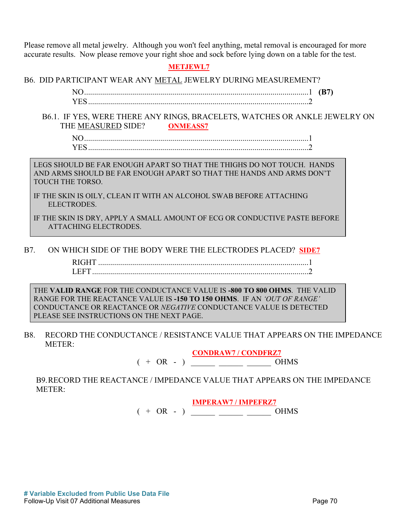Please remove all metal jewelry. Although you won't feel anything, metal removal is encouraged for more accurate results. Now please remove your right shoe and sock before lying down on a table for the test.

# **METJEWL7**

B6. DID PARTICIPANT WEAR ANY METAL JEWELRY DURING MEASUREMENT?

NO................................................................................................................1 **(B7)** YES..............................................................................................................2

B6.1. IF YES, WERE THERE ANY RINGS, BRACELETS, WATCHES OR ANKLE JEWELRY ON THE MEASURED SIDE? **ONMEASS7**

NO................................................................................................................1 YES..............................................................................................................2

LEGS SHOULD BE FAR ENOUGH APART SO THAT THE THIGHS DO NOT TOUCH. HANDS AND ARMS SHOULD BE FAR ENOUGH APART SO THAT THE HANDS AND ARMS DON'T TOUCH THE TORSO.

IF THE SKIN IS OILY, CLEAN IT WITH AN ALCOHOL SWAB BEFORE ATTACHING ELECTRODES.

IF THE SKIN IS DRY, APPLY A SMALL AMOUNT OF ECG OR CONDUCTIVE PASTE BEFORE ATTACHING ELECTRODES.

B7. ON WHICH SIDE OF THE BODY WERE THE ELECTRODES PLACED? **SIDE7**

RIGHT .........................................................................................................1 LEFT............................................................................................................2

THE **VALID RANGE** FOR THE CONDUCTANCE VALUE IS **-800 TO 800 OHMS**. THE VALID RANGE FOR THE REACTANCE VALUE IS **-150 TO 150 OHMS**. IF AN *'OUT OF RANGE'* CONDUCTANCE OR REACTANCE OR *NEGATIVE* CONDUCTANCE VALUE IS DETECTED PLEASE SEE INSTRUCTIONS ON THE NEXT PAGE.

B8. RECORD THE CONDUCTANCE / RESISTANCE VALUE THAT APPEARS ON THE IMPEDANCE METER:

**CONDRAW7 / CONDFRZ7**

 $( + \text{ OR } - )$   $\boxed{\phantom{a}}$   $\boxed{\phantom{a}}$   $\boxed{\phantom{a}}$   $\boxed{\phantom{a}}$   $\boxed{\phantom{a}}$   $\boxed{\phantom{a}}$   $\boxed{\phantom{a}}$   $\boxed{\phantom{a}}$   $\boxed{\phantom{a}}$   $\boxed{\phantom{a}}$   $\boxed{\phantom{a}}$   $\boxed{\phantom{a}}$   $\boxed{\phantom{a}}$   $\boxed{\phantom{a}}$   $\boxed{\phantom{a}}$   $\boxed{\phantom{a}}$   $\boxed{\phantom{a}}$   $\boxed{\phantom{a}}$   $\boxed{\phantom{a}}$ 

B9.RECORD THE REACTANCE / IMPEDANCE VALUE THAT APPEARS ON THE IMPEDANCE METER:

**IMPERAW7 / IMPEFRZ7**

( + OR - ) \_\_\_\_\_\_ \_\_\_\_\_\_ \_\_\_\_\_\_ OHMS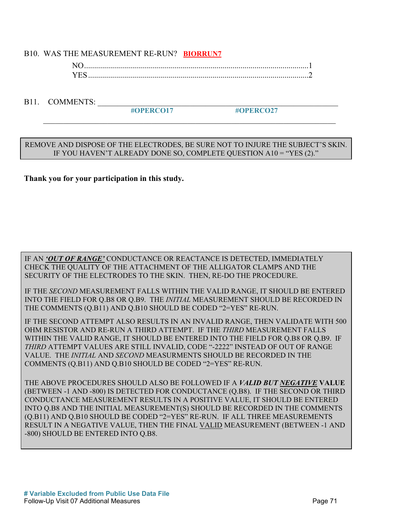B10. WAS THE MEASUREMENT RE-RUN? **BIORRUN7**

NO................................................................................................................1 YES..............................................................................................................2

B11. COMMENTS: \_\_\_\_\_\_\_\_\_\_\_\_\_\_\_\_\_\_\_\_\_\_\_\_\_\_\_\_\_\_\_\_\_\_\_\_\_\_\_\_\_\_\_\_\_\_\_\_\_\_\_\_\_\_\_\_\_\_\_\_

**#OPERCO17 #OPERCO27**

### REMOVE AND DISPOSE OF THE ELECTRODES, BE SURE NOT TO INJURE THE SUBJECT'S SKIN. IF YOU HAVEN'T ALREADY DONE SO, COMPLETE QUESTION A10 = "YES (2)."

**Thank you for your participation in this study.**

IF AN *'OUT OF RANGE'* CONDUCTANCE OR REACTANCE IS DETECTED, IMMEDIATELY CHECK THE QUALITY OF THE ATTACHMENT OF THE ALLIGATOR CLAMPS AND THE SECURITY OF THE ELECTRODES TO THE SKIN. THEN, RE-DO THE PROCEDURE.

IF THE *SECOND* MEASUREMENT FALLS WITHIN THE VALID RANGE, IT SHOULD BE ENTERED INTO THE FIELD FOR Q.B8 OR Q.B9. THE *INITIAL* MEASUREMENT SHOULD BE RECORDED IN THE COMMENTS (Q.B11) AND Q.B10 SHOULD BE CODED "2=YES" RE-RUN.

IF THE SECOND ATTEMPT ALSO RESULTS IN AN INVALID RANGE, THEN VALIDATE WITH 500 OHM RESISTOR AND RE-RUN A THIRD ATTEMPT. IF THE *THIRD* MEASUREMENT FALLS WITHIN THE VALID RANGE, IT SHOULD BE ENTERED INTO THE FIELD FOR Q.B8 OR Q.B9. IF *THIRD* ATTEMPT VALUES ARE STILL INVALID, CODE "-2222" INSTEAD OF OUT OF RANGE VALUE. THE *INITIAL* AND *SECOND* MEASURMENTS SHOULD BE RECORDED IN THE COMMENTS (Q.B11) AND Q.B10 SHOULD BE CODED "2=YES" RE-RUN.

THE ABOVE PROCEDURES SHOULD ALSO BE FOLLOWED IF A *VALID BUT NEGATIVE* **VALUE** (BETWEEN -1 AND -800) IS DETECTED FOR CONDUCTANCE (Q.B8). IF THE SECOND OR THIRD CONDUCTANCE MEASUREMENT RESULTS IN A POSITIVE VALUE, IT SHOULD BE ENTERED INTO Q.B8 AND THE INITIAL MEASUREMENT(S) SHOULD BE RECORDED IN THE COMMENTS (Q.B11) AND Q.B10 SHOULD BE CODED "2=YES" RE-RUN. IF ALL THREE MEASUREMENTS RESULT IN A NEGATIVE VALUE, THEN THE FINAL VALID MEASUREMENT (BETWEEN -1 AND -800) SHOULD BE ENTERED INTO Q.B8.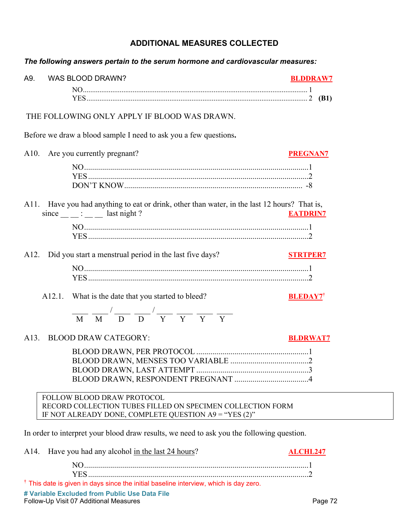# **ADDITIONAL MEASURES COLLECTED**

*The following answers pertain to the serum hormone and cardiovascular measures:*

| A9.<br>WAS BLOOD DRAWN?                                                                                                                                                 | <b>BLDDRAW7</b> |  |
|-------------------------------------------------------------------------------------------------------------------------------------------------------------------------|-----------------|--|
|                                                                                                                                                                         | (B1)            |  |
| THE FOLLOWING ONLY APPLY IF BLOOD WAS DRAWN.                                                                                                                            |                 |  |
| Before we draw a blood sample I need to ask you a few questions.                                                                                                        |                 |  |
| A10. Are you currently pregnant?                                                                                                                                        | <b>PREGNAN7</b> |  |
|                                                                                                                                                                         |                 |  |
| A11. Have you had anything to eat or drink, other than water, in the last 12 hours? That is,<br>since $\frac{\cdots}{\cdots}$ : $\frac{\cdots}{\cdots}$ last night ?    | <b>EATDRIN7</b> |  |
|                                                                                                                                                                         |                 |  |
| Did you start a menstrual period in the last five days?<br>A12.                                                                                                         | <b>STRTPER7</b> |  |
| What is the date that you started to bleed?<br>A12.1.                                                                                                                   | <b>BLEDAY7</b>  |  |
| $\begin{array}{c c c c} \hline \text{M} & \text{M} & \text{D} & \text{D} \\\hline \text{M} & \text{D} & \text{D} & \text{Y} & \text{Y} & \text{Y} \\\hline \end{array}$ |                 |  |
| A13.<br><b>BLOOD DRAW CATEGORY:</b>                                                                                                                                     | <b>BLDRWAT7</b> |  |
|                                                                                                                                                                         |                 |  |
| FOLLOW BLOOD DRAW PROTOCOL<br>RECORD COLLECTION TUBES FILLED ON SPECIMEN COLLECTION FORM<br>IF NOT ALREADY DONE, COMPLETE QUESTION A9 = "YES (2)"                       |                 |  |
| In order to interpret your blood draw results, we need to ask you the following question.                                                                               |                 |  |
| Have you had any alcohol in the last 24 hours?<br>A14.                                                                                                                  | <b>ALCHL247</b> |  |

NO................................................................................................................1 YES..............................................................................................................2 **†** This date is given in days since the initial baseline interview, which is day zero.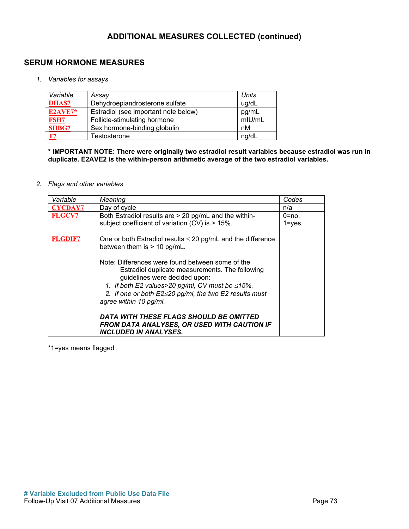# **ADDITIONAL MEASURES COLLECTED (continued)**

# **SERUM HORMONE MEASURES**

*1. Variables for assays*

| Variable       | Assav                                | Units  |
|----------------|--------------------------------------|--------|
| <b>DHAS7</b>   | Dehydroepiandrosterone sulfate       | ug/dL  |
| <b>E2AVE7*</b> | Estradiol (see important note below) | pg/mL  |
| <b>FSH7</b>    | Follicle-stimulating hormone         | mIU/mL |
| <b>SHBG7</b>   | Sex hormone-binding globulin         | nM     |
| T7             | Testosterone                         | ng/dL  |

**\* IMPORTANT NOTE: There were originally two estradiol result variables because estradiol was run in duplicate. E2AVE2 is the within-person arithmetic average of the two estradiol variables.**

#### *2. Flags and other variables*

| Variable       | Meaning                                                                                                                                                                                                                                                                                   | Codes                 |
|----------------|-------------------------------------------------------------------------------------------------------------------------------------------------------------------------------------------------------------------------------------------------------------------------------------------|-----------------------|
| <b>CYCDAY7</b> | Day of cycle                                                                                                                                                                                                                                                                              | n/a                   |
| <b>FLGCV7</b>  | Both Estradiol results are > 20 pg/mL and the within-<br>subject coefficient of variation (CV) is > 15%.                                                                                                                                                                                  | $0 = no$<br>$1 = yes$ |
| <b>FLGDIF7</b> | One or both Estradiol results $\leq$ 20 pg/mL and the difference<br>between them is $> 10$ pg/mL.                                                                                                                                                                                         |                       |
|                | Note: Differences were found between some of the<br>Estradiol duplicate measurements. The following<br>guidelines were decided upon:<br>1. If both E2 values > 20 pg/ml, CV must be $\leq$ 15%.<br>2. If one or both $E2 \le 20$ pg/ml, the two E2 results must<br>agree within 10 pg/ml. |                       |
|                | DATA WITH THESE FLAGS SHOULD BE OMITTED<br><b>FROM DATA ANALYSES, OR USED WITH CAUTION IF</b><br><b>INCLUDED IN ANALYSES.</b>                                                                                                                                                             |                       |

\*1=yes means flagged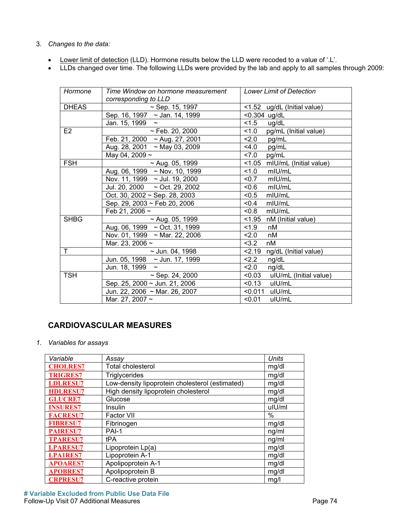### 3. *Changes to the data:*

- Lower limit of detection (LLD). Hormone results below the LLD were recoded to a value of '.L'.
- LLDs changed over time. The following LLDs were provided by the lab and apply to all samples through 2009:

| Hormone      | Time Window on hormone measurement<br>corresponding to LLD | <b>Lower Limit of Detection</b> |  |
|--------------|------------------------------------------------------------|---------------------------------|--|
| <b>DHEAS</b> | $\sim$ Sep. 15, 1997                                       | <1.52 ug/dL (Initial value)     |  |
|              | Sep. 16, 1997 ~ Jan. 14, 1999                              | $< 0.304$ ug/dL                 |  |
|              | Jan. 15, 1999 $\sim$                                       | 1.5<br>ug/dL                    |  |
| E2           | $\sim$ Feb. 20, 2000                                       | pg/mL (Initial value)<br>1.0    |  |
|              | Feb. 21, 2000 $\sim$ Aug. 27, 2001                         | < 2.0<br>pg/mL                  |  |
|              | Aug. 28, 2001 ~ May 03, 2009                               | 4.0<br>pg/mL                    |  |
|              | May 04, 2009 ~                                             | 27.0<br>pg/mL                   |  |
| <b>FSH</b>   | $\sim$ Aug. 05, 1999                                       | mIU/mL (Initial value)<br>1.05  |  |
|              | Aug. 06, 1999 ~ Nov. 10, 1999                              | 1.0<br>mIU/mL                   |  |
|              | Nov. 11, 1999 ~ Jul. 19, 2000                              | $\overline{50.7}$<br>mIU/mL     |  |
|              | Jul. 20, 2000 $\sim$ Oct. 29, 2002                         | < 0.6<br>mIU/mL                 |  |
|              | Oct. 30, 2002 $\sim$ Sep. 28, 2003                         | < 0.5<br>mIU/mL                 |  |
|              | Sep. 29, 2003 ~ Feb 20, 2006                               | < 0.4<br>mIU/mL                 |  |
|              | Feb 21, 2006 $\sim$                                        | < 0.8<br>mIU/mL                 |  |
| <b>SHBG</b>  | $\sim$ Aug. 05, 1999                                       | <1.95 nM (Initial value)        |  |
|              | Aug. 06, 1999 ~ Oct. 31, 1999                              | 1.9<br>nM                       |  |
|              | Nov. 01, 1999 ~ Mar. 22, 2006                              | 2.0<br>nM                       |  |
|              | Mar. 23, 2006 ~                                            | 3.2<br>nM                       |  |
| T.           | $\sim$ Jun. 04, 1998                                       | 2.19<br>ng/dL (Initial value)   |  |
|              | Jun. 05, 1998 ~ Jun. 17, 1999                              | 2.2<br>ng/dL                    |  |
|              | Jun. 18, 1999 $\sim$                                       | 2.0<br>ng/dL                    |  |
| <b>TSH</b>   | $\sim$ Sep. 24, 2000                                       | <0.03 ulU/mL (Initial value)    |  |
|              | Sep. 25, 2000 ~ Jun. 21, 2006                              | < 0.13<br>ulU/mL                |  |
|              | Jun. 22, 2006 ~ Mar. 26, 2007                              | ulU/mL<br>< 0.011               |  |
|              | Mar. 27, 2007 ~                                            | < 0.01<br>uIU/mL                |  |

# **CARDIOVASCULAR MEASURES**

*1. Variables for assays*

| Variable        | Assay                                           | <b>Units</b> |
|-----------------|-------------------------------------------------|--------------|
| <b>CHOLRES7</b> | <b>Total cholesterol</b>                        | mg/dl        |
| <b>TRIGRES7</b> | <b>Triglycerides</b>                            | mg/dl        |
| <b>LDLRESU7</b> | Low-density lipoprotein cholesterol (estimated) | mg/dl        |
| <b>HDLRESU7</b> | High density lipoprotein cholesterol            | mg/dl        |
| <b>GLUCRE7</b>  | Glucose                                         | mg/dl        |
| <b>INSURES7</b> | Insulin                                         | ulU/ml       |
| <b>FACRESU7</b> | Factor VII                                      | $\%$         |
| <b>FIBRESU7</b> | Fibrinogen                                      | mg/dl        |
| <b>PAIRESU7</b> | PAI-1                                           | ng/ml        |
| <b>TPARESU7</b> | tPA                                             | ng/ml        |
| <b>LPARESU7</b> | Lipoprotein Lp(a)                               | mg/dl        |
| <b>LPA1RES7</b> | Lipoprotein A-1                                 | mg/dl        |
| <b>APOARES7</b> | Apolipoprotein A-1                              | mg/dl        |
| <b>APOBRES7</b> | Apolipoprotein B                                | mg/dl        |
| <b>CRPRESU7</b> | C-reactive protein                              | mg/l         |